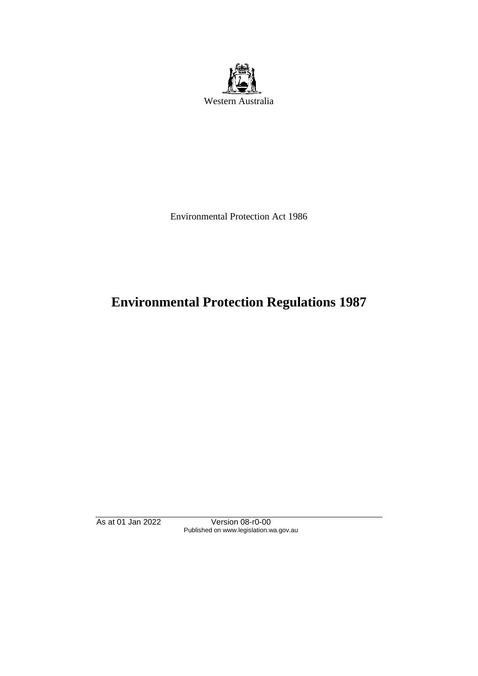

Environmental Protection Act 1986

# **Environmental Protection Regulations 1987**

As at 01 Jan 2022 Version 08-r0-00 Published on www.legislation.wa.gov.au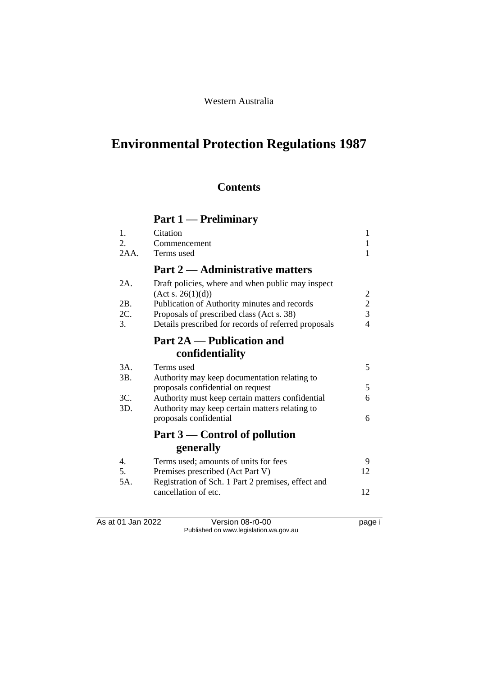#### Western Australia

# **Environmental Protection Regulations 1987**

### **Contents**

## **Part 1 — Preliminary**

| 1.   | Citation                                                          | 1              |
|------|-------------------------------------------------------------------|----------------|
| 2.   | Commencement                                                      | 1              |
| 2AA. | Terms used                                                        | 1              |
|      | <b>Part 2 — Administrative matters</b>                            |                |
| 2A.  | Draft policies, where and when public may inspect                 |                |
| 2B.  | (Act s. 26(1)(d))<br>Publication of Authority minutes and records | $\overline{c}$ |
| 2C.  | Proposals of prescribed class (Act s. 38)                         | $\frac{2}{3}$  |
| 3.   | Details prescribed for records of referred proposals              | $\overline{4}$ |
|      | <b>Part 2A</b> — Publication and                                  |                |
|      | confidentiality                                                   |                |
| 3A.  | Terms used                                                        | 5              |
| 3B.  | Authority may keep documentation relating to                      |                |
|      | proposals confidential on request                                 | 5              |
| 3C.  | Authority must keep certain matters confidential                  | 6              |
| 3D.  | Authority may keep certain matters relating to                    |                |
|      | proposals confidential                                            | 6              |
|      | Part $3$ — Control of pollution                                   |                |
|      | generally                                                         |                |
| 4.   | Terms used; amounts of units for fees                             | 9              |
| 5.   | Premises prescribed (Act Part V)                                  | 12             |
| 5A.  | Registration of Sch. 1 Part 2 premises, effect and                |                |
|      | cancellation of etc.                                              | 12             |
|      |                                                                   |                |

As at 01 Jan 2022 Version 08-r0-00 Page i Published on www.legislation.wa.gov.au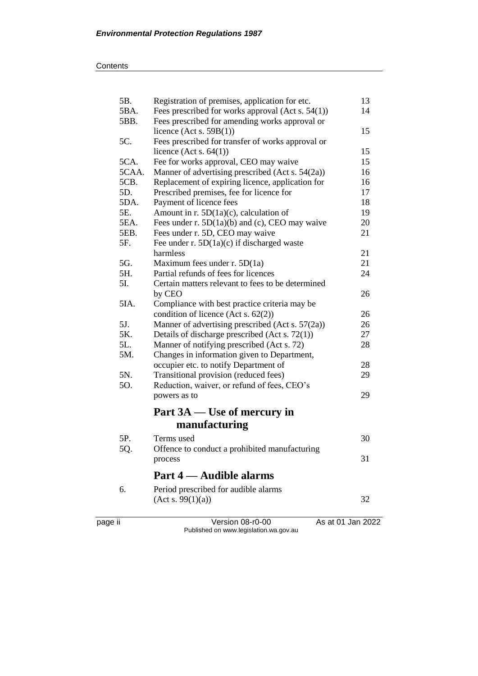| page ii | Version 08-r0-00                                                                          | As at 01 Jan 2022 |
|---------|-------------------------------------------------------------------------------------------|-------------------|
| 6.      | Period prescribed for audible alarms<br>(Act s. 99(1)(a))                                 | 32                |
|         | Part 4 — Audible alarms                                                                   |                   |
|         | process                                                                                   | 31                |
| 5Q.     | Offence to conduct a prohibited manufacturing                                             |                   |
| 5P.     | Terms used                                                                                | 30                |
|         | manufacturing                                                                             |                   |
|         | Part $3A$ — Use of mercury in                                                             |                   |
|         |                                                                                           |                   |
|         | powers as to                                                                              | 29                |
| 50.     | Reduction, waiver, or refund of fees, CEO's                                               |                   |
| 5N.     | Transitional provision (reduced fees)                                                     | 29                |
|         | occupier etc. to notify Department of                                                     | 28                |
| 5M.     | Manner of notifying prescribed (Act s. 72)<br>Changes in information given to Department, |                   |
| 5L.     | Details of discharge prescribed (Act s. 72(1))                                            | 27<br>28          |
| 5K.     | Manner of advertising prescribed (Act s. 57(2a))                                          | 26                |
| 5J.     | condition of licence (Act s. $62(2)$ )                                                    | 26                |
| 5IA.    | Compliance with best practice criteria may be                                             |                   |
|         | by CEO                                                                                    | 26                |
| 5I.     | Certain matters relevant to fees to be determined                                         |                   |
|         |                                                                                           |                   |
| 5H.     | Maximum fees under $r. 5D(1a)$<br>Partial refunds of fees for licences                    | 24                |
| 5G.     |                                                                                           | 21<br>21          |
| 5F.     | Fee under $r. 5D(1a)(c)$ if discharged waste<br>harmless                                  |                   |
| 5EB.    | Fees under r. 5D, CEO may waive                                                           | 21                |
| 5EA.    | Fees under r. $5D(1a)(b)$ and (c), CEO may waive                                          | 20                |
| 5E.     | Amount in $r. 5D(1a)(c)$ , calculation of                                                 | 19                |
| 5DA.    | Payment of licence fees                                                                   | 18                |
| 5D.     | Prescribed premises, fee for licence for                                                  | 17                |
| 5CB.    | Replacement of expiring licence, application for                                          | 16                |
| 5CAA.   | Manner of advertising prescribed (Act s. 54(2a))                                          | 16                |
| 5CA.    | Fee for works approval, CEO may waive                                                     | 15                |
|         | licence (Act s. $64(1)$ )                                                                 | 15                |
| 5C.     | Fees prescribed for transfer of works approval or                                         |                   |
|         | licence (Act s. $59B(1)$ )                                                                | 15                |
| 5BB.    | Fees prescribed for amending works approval or                                            |                   |
| 5BA.    | Fees prescribed for works approval (Act s. $54(1)$ )                                      | 14                |
| 5B.     | Registration of premises, application for etc.                                            | 13                |
|         |                                                                                           |                   |

Published on www.legislation.wa.gov.au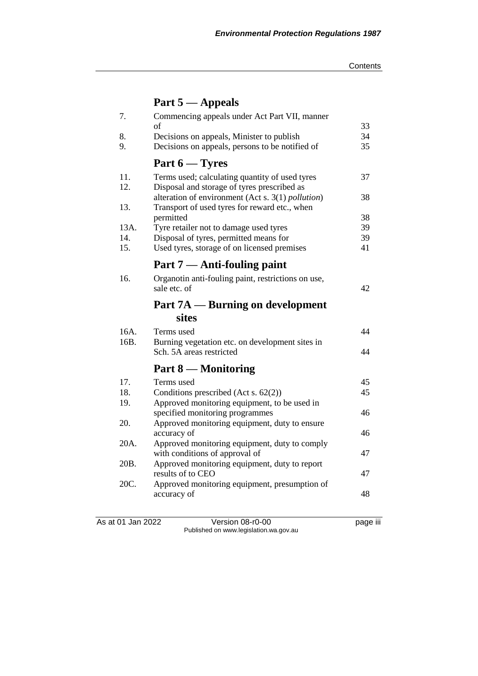## **Part 5 — Appeals**

| 7.   | Commencing appeals under Act Part VII, manner                                    |          |
|------|----------------------------------------------------------------------------------|----------|
|      | of                                                                               | 33       |
| 8.   | Decisions on appeals, Minister to publish                                        | 34       |
| 9.   | Decisions on appeals, persons to be notified of                                  | 35       |
|      | Part $6 -$ Tyres                                                                 |          |
| 11.  | Terms used; calculating quantity of used tyres                                   | 37       |
| 12.  | Disposal and storage of tyres prescribed as                                      |          |
|      | alteration of environment (Act s. 3(1) pollution)                                | 38       |
| 13.  | Transport of used tyres for reward etc., when                                    |          |
| 13A. | permitted                                                                        | 38       |
| 14.  | Tyre retailer not to damage used tyres<br>Disposal of tyres, permitted means for | 39<br>39 |
| 15.  | Used tyres, storage of on licensed premises                                      | 41       |
|      |                                                                                  |          |
|      | Part 7 — Anti-fouling paint                                                      |          |
| 16.  | Organotin anti-fouling paint, restrictions on use,                               |          |
|      | sale etc. of                                                                     | 42       |
|      | Part 7A — Burning on development                                                 |          |
|      | sites                                                                            |          |
| 16A. | Terms used                                                                       | 44       |
| 16B. | Burning vegetation etc. on development sites in                                  |          |
|      | Sch. 5A areas restricted                                                         | 44       |
|      | Part 8 – Monitoring                                                              |          |
| 17.  | Terms used                                                                       | 45       |
| 18.  | Conditions prescribed (Act s. 62(2))                                             | 45       |
| 19.  | Approved monitoring equipment, to be used in                                     |          |
|      | specified monitoring programmes                                                  | 46       |
| 20.  | Approved monitoring equipment, duty to ensure                                    |          |
|      |                                                                                  |          |
|      | accuracy of                                                                      | 46       |
| 20A. | Approved monitoring equipment, duty to comply                                    |          |
|      | with conditions of approval of                                                   | 47       |
| 20B. | Approved monitoring equipment, duty to report                                    |          |
|      | results of to CEO                                                                | 47       |
| 20C. | Approved monitoring equipment, presumption of                                    | 48       |
|      | accuracy of                                                                      |          |

As at 01 Jan 2022 Version 08-r0-00 page iii Published on www.legislation.wa.gov.au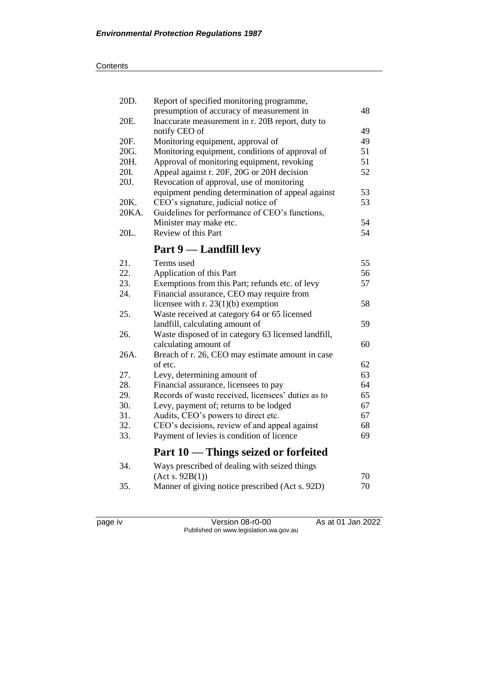| 20D.  | Report of specified monitoring programme,           |    |
|-------|-----------------------------------------------------|----|
|       | presumption of accuracy of measurement in           | 48 |
| 20E.  | Inaccurate measurement in r. 20B report, duty to    |    |
|       | notify CEO of                                       | 49 |
| 20F.  | Monitoring equipment, approval of                   | 49 |
| 20G.  | Monitoring equipment, conditions of approval of     | 51 |
| 20H.  | Approval of monitoring equipment, revoking          | 51 |
| 20I.  | Appeal against r. 20F, 20G or 20H decision          | 52 |
| 20J.  | Revocation of approval, use of monitoring           |    |
|       | equipment pending determination of appeal against   | 53 |
| 20K.  | CEO's signature, judicial notice of                 | 53 |
| 20KA. | Guidelines for performance of CEO's functions,      |    |
|       | Minister may make etc.                              | 54 |
| 20L.  | Review of this Part                                 | 54 |
|       | Part 9 — Landfill levy                              |    |
| 21.   | Terms used                                          | 55 |
| 22.   | Application of this Part                            | 56 |
| 23.   | Exemptions from this Part; refunds etc. of levy     | 57 |
| 24.   | Financial assurance, CEO may require from           |    |
|       | licensee with $r. 23(1)(b)$ exemption               | 58 |
| 25.   | Waste received at category 64 or 65 licensed        |    |
|       | landfill, calculating amount of                     | 59 |
| 26.   | Waste disposed of in category 63 licensed landfill, |    |
|       | calculating amount of                               | 60 |
| 26A.  | Breach of r. 26, CEO may estimate amount in case    |    |
|       | of etc.                                             | 62 |
| 27.   | Levy, determining amount of                         | 63 |
| 28.   | Financial assurance, licensees to pay               | 64 |
| 29.   | Records of waste received, licensees' duties as to  | 65 |
| 30.   | Levy, payment of; returns to be lodged              | 67 |
| 31.   | Audits, CEO's powers to direct etc.                 | 67 |
| 32.   | CEO's decisions, review of and appeal against       | 68 |
| 33.   | Payment of levies is condition of licence           | 69 |
|       | Part 10 — Things seized or forfeited                |    |
| 34.   | Ways prescribed of dealing with seized things       |    |
|       | (Act s. 92B(1))                                     | 70 |
| 35.   | Manner of giving notice prescribed (Act s. 92D)     | 70 |
|       |                                                     |    |
|       |                                                     |    |

page iv Version 08-r0-00 As at 01 Jan 2022 Published on www.legislation.wa.gov.au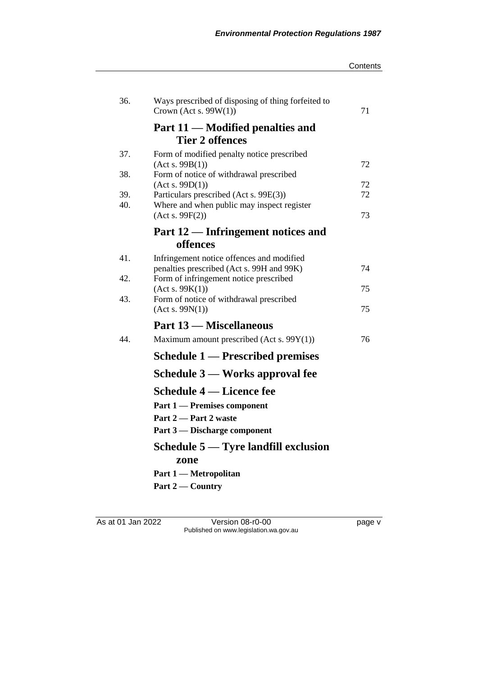| Contents |
|----------|
|----------|

| 36.        | Ways prescribed of disposing of thing forfeited to<br>Crown (Act s. $99W(1)$ )         | 71       |
|------------|----------------------------------------------------------------------------------------|----------|
|            | Part 11 — Modified penalties and<br><b>Tier 2 offences</b>                             |          |
| 37.        | Form of modified penalty notice prescribed<br>(Act s. 99B(1))                          | 72       |
| 38.        | Form of notice of withdrawal prescribed                                                |          |
| 39.<br>40. | (Act s. 99D(1))<br>Particulars prescribed (Act s. 99E(3))                              | 72<br>72 |
|            | Where and when public may inspect register<br>(Acts. 99F(2))                           | 73       |
|            | Part 12 — Infringement notices and                                                     |          |
|            | offences                                                                               |          |
| 41.        | Infringement notice offences and modified<br>penalties prescribed (Act s. 99H and 99K) | 74       |
| 42.        | Form of infringement notice prescribed                                                 |          |
| 43.        | (Act s. 99K(1))<br>Form of notice of withdrawal prescribed<br>(Act s. 99N(1))          | 75<br>75 |
|            | <b>Part 13 – Miscellaneous</b>                                                         |          |
| 44.        | Maximum amount prescribed (Act s. $99Y(1)$ )                                           | 76       |
|            | Schedule 1 — Prescribed premises                                                       |          |
|            | Schedule 3 — Works approval fee                                                        |          |
|            | <b>Schedule 4 — Licence fee</b>                                                        |          |
|            | Part 1 — Premises component                                                            |          |
|            | Part 2 – Part 2 waste                                                                  |          |
|            | Part 3 — Discharge component                                                           |          |
|            | Schedule 5 — Tyre landfill exclusion                                                   |          |
|            | zone                                                                                   |          |
|            | Part 1 — Metropolitan                                                                  |          |
|            | Part 2 – Country                                                                       |          |

As at 01 Jan 2022 Version 08-r0-00 page v Published on www.legislation.wa.gov.au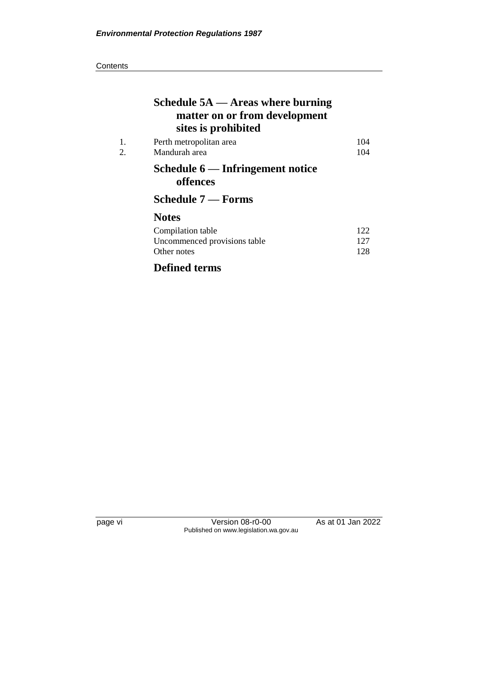**Contents** 

|          | Schedule $5A$ — Areas where burning<br>matter on or from development<br>sites is prohibited |                   |
|----------|---------------------------------------------------------------------------------------------|-------------------|
| 1.<br>2. | Perth metropolitan area<br>Mandurah area                                                    | 104<br>104        |
|          | Schedule $6$ — Infringement notice<br>offences<br><b>Schedule 7 — Forms</b>                 |                   |
|          | <b>Notes</b>                                                                                |                   |
|          | Compilation table<br>Uncommenced provisions table<br>Other notes                            | 122<br>127<br>128 |
|          | <b>Defined terms</b>                                                                        |                   |

page vi Version 08-r0-00 As at 01 Jan 2022 Published on www.legislation.wa.gov.au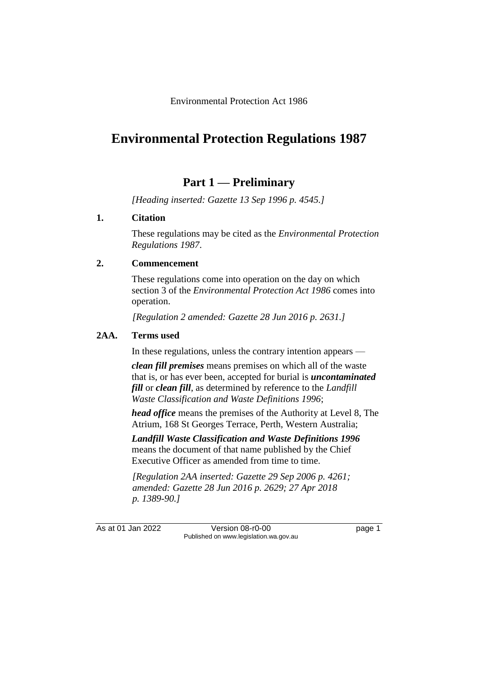Environmental Protection Act 1986

## **Environmental Protection Regulations 1987**

### **Part 1 — Preliminary**

*[Heading inserted: Gazette 13 Sep 1996 p. 4545.]*

#### **1. Citation**

These regulations may be cited as the *Environmental Protection Regulations 1987*.

#### **2. Commencement**

These regulations come into operation on the day on which section 3 of the *Environmental Protection Act 1986* comes into operation.

*[Regulation 2 amended: Gazette 28 Jun 2016 p. 2631.]*

#### **2AA. Terms used**

In these regulations, unless the contrary intention appears —

*clean fill premises* means premises on which all of the waste that is, or has ever been, accepted for burial is *uncontaminated fill* or *clean fill*, as determined by reference to the *Landfill Waste Classification and Waste Definitions 1996*;

*head office* means the premises of the Authority at Level 8, The Atrium, 168 St Georges Terrace, Perth, Western Australia;

*Landfill Waste Classification and Waste Definitions 1996* means the document of that name published by the Chief Executive Officer as amended from time to time.

*[Regulation 2AA inserted: Gazette 29 Sep 2006 p. 4261; amended: Gazette 28 Jun 2016 p. 2629; 27 Apr 2018 p. 1389-90.]*

As at 01 Jan 2022 Version 08-r0-00 Version 08-r0-00 Published on www.legislation.wa.gov.au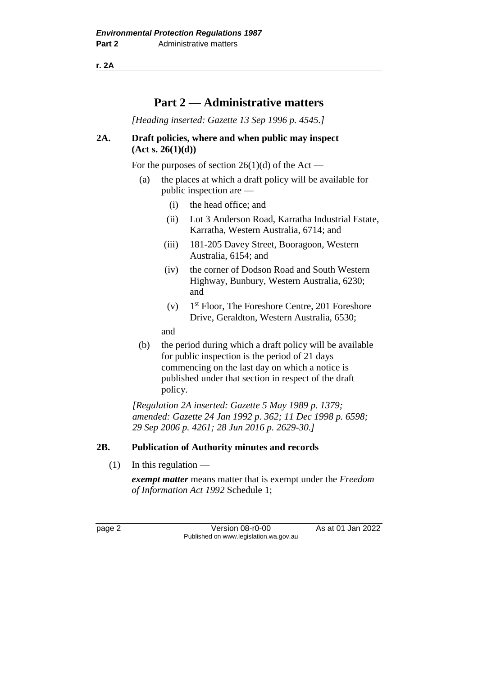**r. 2A**

### **Part 2 — Administrative matters**

*[Heading inserted: Gazette 13 Sep 1996 p. 4545.]*

#### **2A. Draft policies, where and when public may inspect (Act s. 26(1)(d))**

For the purposes of section  $26(1)(d)$  of the Act —

- (a) the places at which a draft policy will be available for public inspection are —
	- (i) the head office; and
	- (ii) Lot 3 Anderson Road, Karratha Industrial Estate, Karratha, Western Australia, 6714; and
	- (iii) 181-205 Davey Street, Booragoon, Western Australia, 6154; and
	- (iv) the corner of Dodson Road and South Western Highway, Bunbury, Western Australia, 6230; and
	- $(v)$ 1<sup>st</sup> Floor, The Foreshore Centre, 201 Foreshore Drive, Geraldton, Western Australia, 6530;

and

(b) the period during which a draft policy will be available for public inspection is the period of 21 days commencing on the last day on which a notice is published under that section in respect of the draft policy.

*[Regulation 2A inserted: Gazette 5 May 1989 p. 1379; amended: Gazette 24 Jan 1992 p. 362; 11 Dec 1998 p. 6598; 29 Sep 2006 p. 4261; 28 Jun 2016 p. 2629-30.]*

#### **2B. Publication of Authority minutes and records**

 $(1)$  In this regulation —

*exempt matter* means matter that is exempt under the *Freedom of Information Act 1992* Schedule 1;

page 2 **Version 08-r0-00** As at 01 Jan 2022 Published on www.legislation.wa.gov.au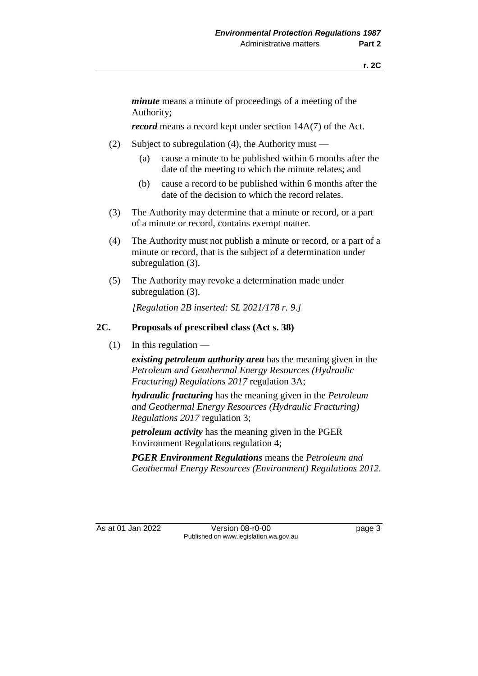*minute* means a minute of proceedings of a meeting of the Authority;

*record* means a record kept under section 14A(7) of the Act.

- (2) Subject to subregulation (4), the Authority must
	- (a) cause a minute to be published within 6 months after the date of the meeting to which the minute relates; and
	- (b) cause a record to be published within 6 months after the date of the decision to which the record relates.
- (3) The Authority may determine that a minute or record, or a part of a minute or record, contains exempt matter.
- (4) The Authority must not publish a minute or record, or a part of a minute or record, that is the subject of a determination under subregulation (3).
- (5) The Authority may revoke a determination made under subregulation (3).

*[Regulation 2B inserted: SL 2021/178 r. 9.]*

#### **2C. Proposals of prescribed class (Act s. 38)**

 $(1)$  In this regulation —

*existing petroleum authority area* has the meaning given in the *Petroleum and Geothermal Energy Resources (Hydraulic Fracturing) Regulations 2017* regulation 3A;

*hydraulic fracturing* has the meaning given in the *Petroleum and Geothermal Energy Resources (Hydraulic Fracturing) Regulations 2017* regulation 3;

*petroleum activity* has the meaning given in the PGER Environment Regulations regulation 4;

*PGER Environment Regulations* means the *Petroleum and Geothermal Energy Resources (Environment) Regulations 2012*.

As at 01 Jan 2022 Version 08-r0-00 Page 3 Published on www.legislation.wa.gov.au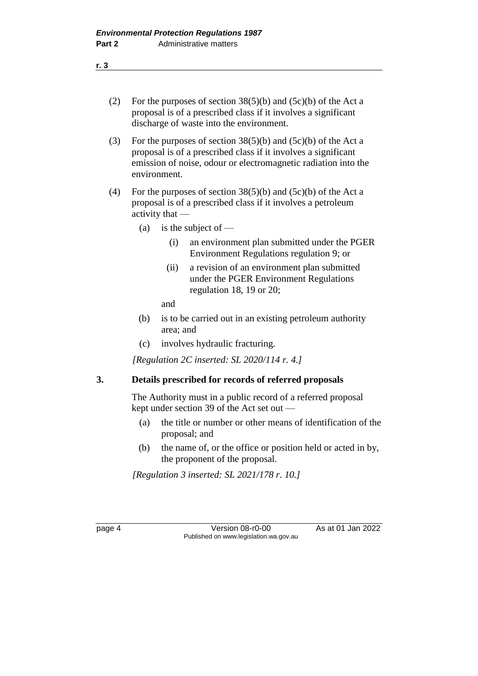- (2) For the purposes of section  $38(5)(b)$  and  $(5c)(b)$  of the Act a proposal is of a prescribed class if it involves a significant discharge of waste into the environment.
- (3) For the purposes of section  $38(5)(b)$  and  $(5c)(b)$  of the Act a proposal is of a prescribed class if it involves a significant emission of noise, odour or electromagnetic radiation into the environment.
- (4) For the purposes of section  $38(5)(b)$  and  $(5c)(b)$  of the Act a proposal is of a prescribed class if it involves a petroleum activity that —
	- (a) is the subject of  $-$ 
		- (i) an environment plan submitted under the PGER Environment Regulations regulation 9; or
		- (ii) a revision of an environment plan submitted under the PGER Environment Regulations regulation 18, 19 or 20;

and

- (b) is to be carried out in an existing petroleum authority area; and
- (c) involves hydraulic fracturing.

*[Regulation 2C inserted: SL 2020/114 r. 4.]*

#### **3. Details prescribed for records of referred proposals**

The Authority must in a public record of a referred proposal kept under section 39 of the Act set out —

- (a) the title or number or other means of identification of the proposal; and
- (b) the name of, or the office or position held or acted in by, the proponent of the proposal.

*[Regulation 3 inserted: SL 2021/178 r. 10.]*

page 4 Version 08-r0-00 As at 01 Jan 2022 Published on www.legislation.wa.gov.au

**r. 3**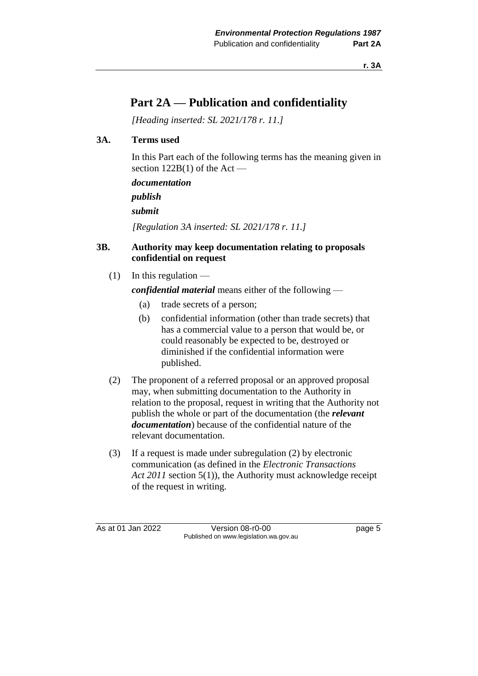**r. 3A**

## **Part 2A — Publication and confidentiality**

*[Heading inserted: SL 2021/178 r. 11.]*

#### **3A. Terms used**

In this Part each of the following terms has the meaning given in section  $122B(1)$  of the Act —

*documentation*

*publish*

*submit*

*[Regulation 3A inserted: SL 2021/178 r. 11.]*

#### **3B. Authority may keep documentation relating to proposals confidential on request**

 $(1)$  In this regulation —

*confidential material* means either of the following —

- (a) trade secrets of a person;
- (b) confidential information (other than trade secrets) that has a commercial value to a person that would be, or could reasonably be expected to be, destroyed or diminished if the confidential information were published.
- (2) The proponent of a referred proposal or an approved proposal may, when submitting documentation to the Authority in relation to the proposal, request in writing that the Authority not publish the whole or part of the documentation (the *relevant documentation*) because of the confidential nature of the relevant documentation.
- (3) If a request is made under subregulation (2) by electronic communication (as defined in the *Electronic Transactions Act 2011* section 5(1)), the Authority must acknowledge receipt of the request in writing.

As at 01 Jan 2022 Version 08-r0-00 Version 08-r0-00 Published on www.legislation.wa.gov.au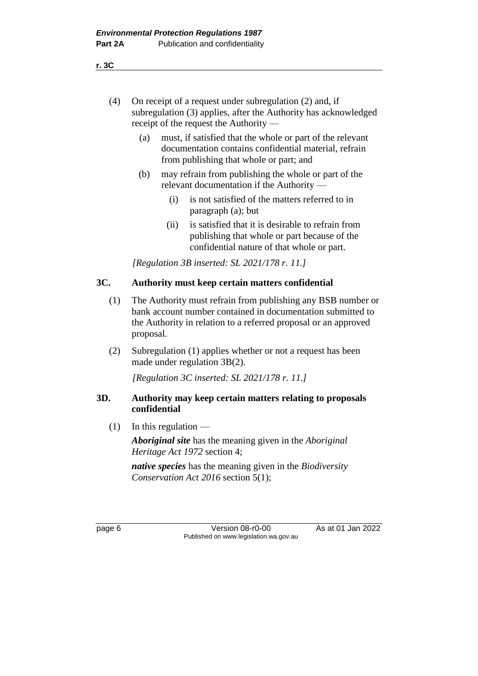- (a) must, if satisfied that the whole or part of the relevant documentation contains confidential material, refrain from publishing that whole or part; and
- (b) may refrain from publishing the whole or part of the relevant documentation if the Authority —
	- (i) is not satisfied of the matters referred to in paragraph (a); but
	- (ii) is satisfied that it is desirable to refrain from publishing that whole or part because of the confidential nature of that whole or part.

*[Regulation 3B inserted: SL 2021/178 r. 11.]*

#### **3C. Authority must keep certain matters confidential**

- (1) The Authority must refrain from publishing any BSB number or bank account number contained in documentation submitted to the Authority in relation to a referred proposal or an approved proposal.
- (2) Subregulation (1) applies whether or not a request has been made under regulation 3B(2).

*[Regulation 3C inserted: SL 2021/178 r. 11.]*

#### **3D. Authority may keep certain matters relating to proposals confidential**

 $(1)$  In this regulation —

*Aboriginal site* has the meaning given in the *Aboriginal Heritage Act 1972* section 4;

*native species* has the meaning given in the *Biodiversity Conservation Act 2016* section 5(1);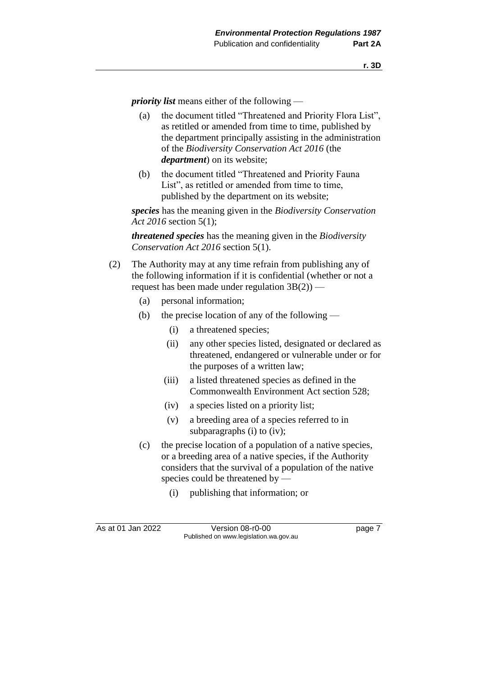*priority list* means either of the following —

- (a) the document titled "Threatened and Priority Flora List", as retitled or amended from time to time, published by the department principally assisting in the administration of the *Biodiversity Conservation Act 2016* (the *department*) on its website;
- (b) the document titled "Threatened and Priority Fauna List", as retitled or amended from time to time, published by the department on its website;

*species* has the meaning given in the *Biodiversity Conservation Act 2016* section 5(1);

*threatened species* has the meaning given in the *Biodiversity Conservation Act 2016* section 5(1).

- (2) The Authority may at any time refrain from publishing any of the following information if it is confidential (whether or not a request has been made under regulation 3B(2)) —
	- (a) personal information;
	- (b) the precise location of any of the following
		- (i) a threatened species;
		- (ii) any other species listed, designated or declared as threatened, endangered or vulnerable under or for the purposes of a written law;
		- (iii) a listed threatened species as defined in the Commonwealth Environment Act section 528;
		- (iv) a species listed on a priority list;
		- (v) a breeding area of a species referred to in subparagraphs (i) to (iv);
	- (c) the precise location of a population of a native species, or a breeding area of a native species, if the Authority considers that the survival of a population of the native species could be threatened by —
		- (i) publishing that information; or

As at 01 Jan 2022 Version 08-r0-00 Page 7 Published on www.legislation.wa.gov.au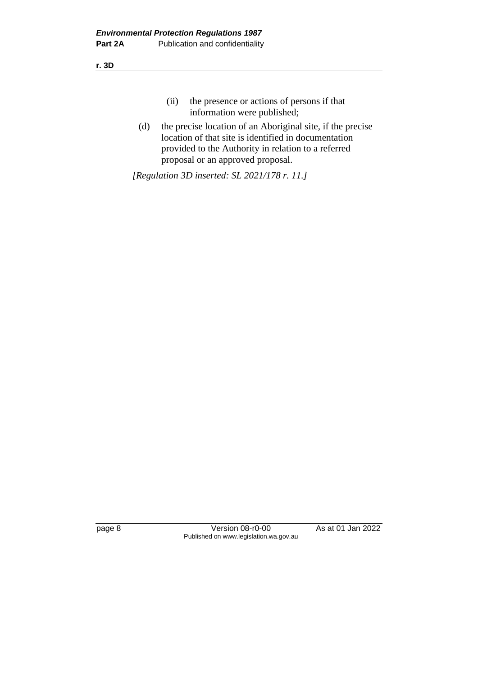**r. 3D**

- (ii) the presence or actions of persons if that information were published;
- (d) the precise location of an Aboriginal site, if the precise location of that site is identified in documentation provided to the Authority in relation to a referred proposal or an approved proposal.

*[Regulation 3D inserted: SL 2021/178 r. 11.]*

page 8 Version 08-r0-00 As at 01 Jan 2022 Published on www.legislation.wa.gov.au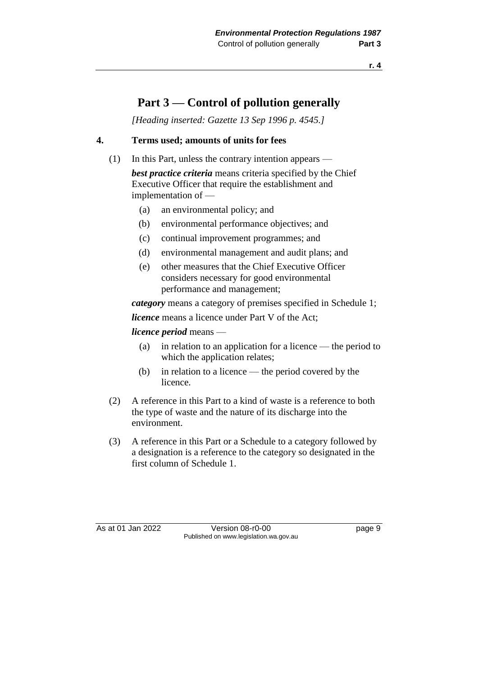## **Part 3 — Control of pollution generally**

*[Heading inserted: Gazette 13 Sep 1996 p. 4545.]*

#### **4. Terms used; amounts of units for fees**

(1) In this Part, unless the contrary intention appears —

*best practice criteria* means criteria specified by the Chief Executive Officer that require the establishment and implementation of —

- (a) an environmental policy; and
- (b) environmental performance objectives; and
- (c) continual improvement programmes; and
- (d) environmental management and audit plans; and
- (e) other measures that the Chief Executive Officer considers necessary for good environmental performance and management;

*category* means a category of premises specified in Schedule 1;

*licence* means a licence under Part V of the Act;

*licence period* means —

- (a) in relation to an application for a licence the period to which the application relates;
- (b) in relation to a licence the period covered by the licence.
- (2) A reference in this Part to a kind of waste is a reference to both the type of waste and the nature of its discharge into the environment.
- (3) A reference in this Part or a Schedule to a category followed by a designation is a reference to the category so designated in the first column of Schedule 1.

As at 01 Jan 2022 Version 08-r0-00 Version 08-r0-00 Published on www.legislation.wa.gov.au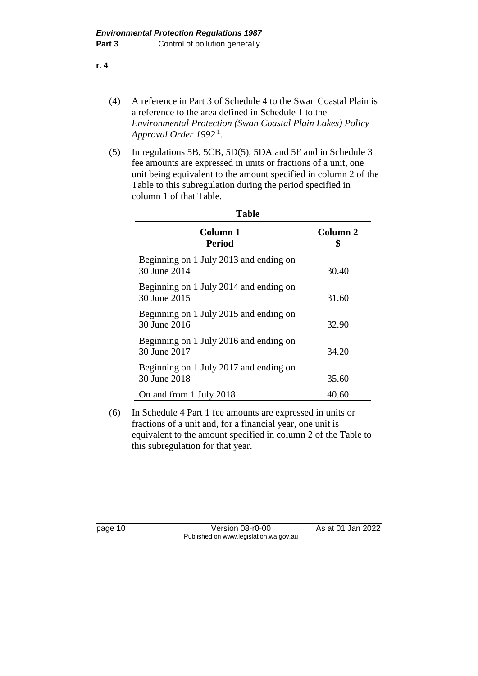- (4) A reference in Part 3 of Schedule 4 to the Swan Coastal Plain is a reference to the area defined in Schedule 1 to the *Environmental Protection (Swan Coastal Plain Lakes) Policy Approval Order 1992* <sup>1</sup> .
- (5) In regulations 5B, 5CB, 5D(5), 5DA and 5F and in Schedule 3 fee amounts are expressed in units or fractions of a unit, one unit being equivalent to the amount specified in column 2 of the Table to this subregulation during the period specified in column 1 of that Table.

**Table**

| Column 1<br>Period                                     | Column 2<br>S |
|--------------------------------------------------------|---------------|
| Beginning on 1 July 2013 and ending on<br>30 June 2014 | 30.40         |
| Beginning on 1 July 2014 and ending on<br>30 June 2015 | 31.60         |
| Beginning on 1 July 2015 and ending on<br>30 June 2016 | 32.90         |
| Beginning on 1 July 2016 and ending on<br>30 June 2017 | 34.20         |
| Beginning on 1 July 2017 and ending on<br>30 June 2018 | 35.60         |
| On and from 1 July 2018                                | 40.60         |

(6) In Schedule 4 Part 1 fee amounts are expressed in units or fractions of a unit and, for a financial year, one unit is equivalent to the amount specified in column 2 of the Table to this subregulation for that year.

| page | -10 |
|------|-----|
|------|-----|

Version 08-r0-00 As at 01 Jan 2022 Published on www.legislation.wa.gov.au

**r. 4**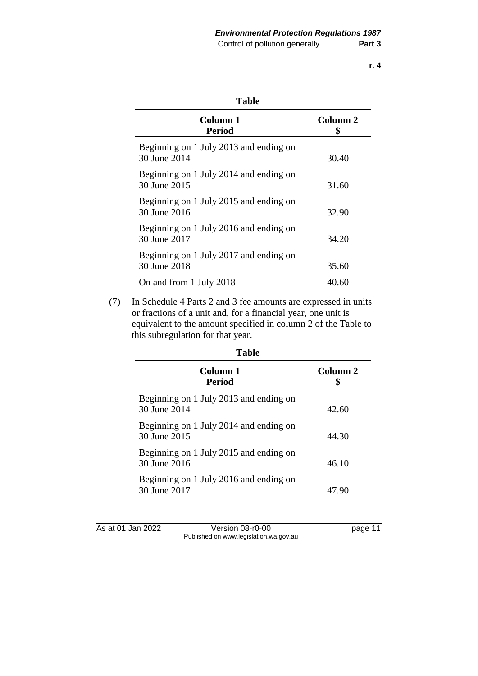#### **Table**

| Column 1<br>Period                                     | Column <sub>2</sub> |
|--------------------------------------------------------|---------------------|
| Beginning on 1 July 2013 and ending on<br>30 June 2014 | 30.40               |
| Beginning on 1 July 2014 and ending on<br>30 June 2015 | 31.60               |
| Beginning on 1 July 2015 and ending on<br>30 June 2016 | 32.90               |
| Beginning on 1 July 2016 and ending on<br>30 June 2017 | 34.20               |
| Beginning on 1 July 2017 and ending on<br>30 June 2018 | 35.60               |
| On and from 1 July 2018                                | 40.60               |

(7) In Schedule 4 Parts 2 and 3 fee amounts are expressed in units or fractions of a unit and, for a financial year, one unit is equivalent to the amount specified in column 2 of the Table to this subregulation for that year.

| Column 2 |
|----------|
| 42.60    |
| 44.30    |
| 46.10    |
| 47.90    |
|          |

As at 01 Jan 2022 Version 08-r0-00 Page 11 Published on www.legislation.wa.gov.au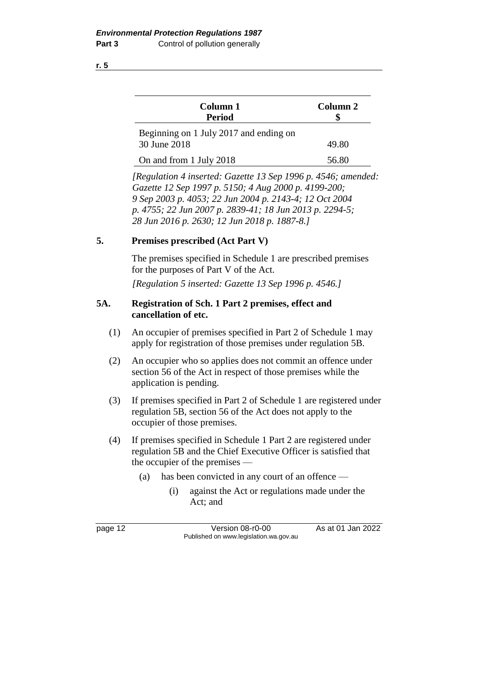**r. 5**

| Column 1<br><b>Period</b>                              | Column 2 |
|--------------------------------------------------------|----------|
| Beginning on 1 July 2017 and ending on<br>30 June 2018 | 49.80    |
| On and from 1 July 2018                                | 56.80    |

*[Regulation 4 inserted: Gazette 13 Sep 1996 p. 4546; amended: Gazette 12 Sep 1997 p. 5150; 4 Aug 2000 p. 4199-200; 9 Sep 2003 p. 4053; 22 Jun 2004 p. 2143-4; 12 Oct 2004 p. 4755; 22 Jun 2007 p. 2839-41; 18 Jun 2013 p. 2294-5; 28 Jun 2016 p. 2630; 12 Jun 2018 p. 1887-8.]*

#### **5. Premises prescribed (Act Part V)**

The premises specified in Schedule 1 are prescribed premises for the purposes of Part V of the Act.

*[Regulation 5 inserted: Gazette 13 Sep 1996 p. 4546.]*

#### **5A. Registration of Sch. 1 Part 2 premises, effect and cancellation of etc.**

- (1) An occupier of premises specified in Part 2 of Schedule 1 may apply for registration of those premises under regulation 5B.
- (2) An occupier who so applies does not commit an offence under section 56 of the Act in respect of those premises while the application is pending.
- (3) If premises specified in Part 2 of Schedule 1 are registered under regulation 5B, section 56 of the Act does not apply to the occupier of those premises.
- (4) If premises specified in Schedule 1 Part 2 are registered under regulation 5B and the Chief Executive Officer is satisfied that the occupier of the premises —
	- (a) has been convicted in any court of an offence
		- (i) against the Act or regulations made under the Act; and

page 12 Version 08-r0-00 As at 01 Jan 2022 Published on www.legislation.wa.gov.au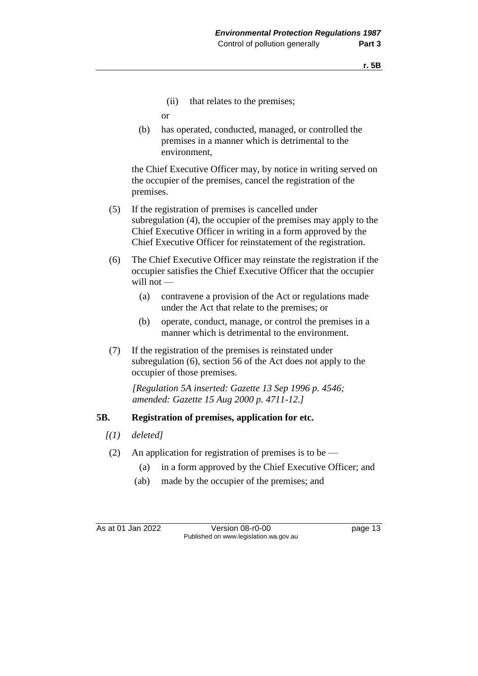(ii) that relates to the premises;

or

(b) has operated, conducted, managed, or controlled the premises in a manner which is detrimental to the environment,

the Chief Executive Officer may, by notice in writing served on the occupier of the premises, cancel the registration of the premises.

- (5) If the registration of premises is cancelled under subregulation (4), the occupier of the premises may apply to the Chief Executive Officer in writing in a form approved by the Chief Executive Officer for reinstatement of the registration.
- (6) The Chief Executive Officer may reinstate the registration if the occupier satisfies the Chief Executive Officer that the occupier will not —
	- (a) contravene a provision of the Act or regulations made under the Act that relate to the premises; or
	- (b) operate, conduct, manage, or control the premises in a manner which is detrimental to the environment.
- (7) If the registration of the premises is reinstated under subregulation (6), section 56 of the Act does not apply to the occupier of those premises.

*[Regulation 5A inserted: Gazette 13 Sep 1996 p. 4546; amended: Gazette 15 Aug 2000 p. 4711-12.]*

#### **5B. Registration of premises, application for etc.**

- *[(1) deleted]*
- (2) An application for registration of premises is to be  $-$ 
	- (a) in a form approved by the Chief Executive Officer; and
	- (ab) made by the occupier of the premises; and

As at 01 Jan 2022 Version 08-r0-00 page 13 Published on www.legislation.wa.gov.au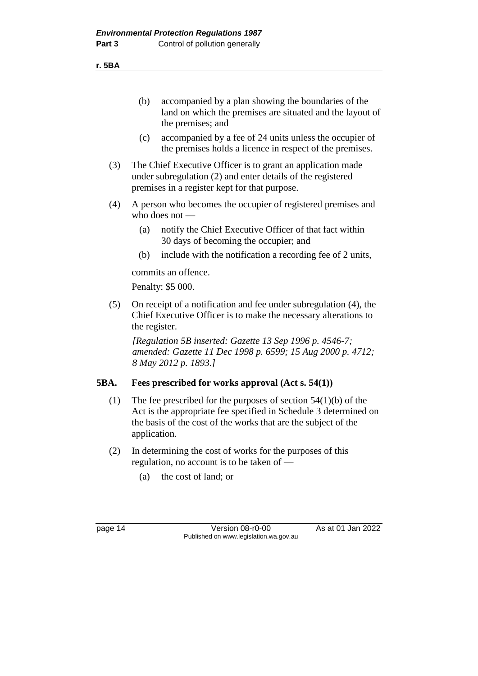**r. 5BA**

- (b) accompanied by a plan showing the boundaries of the land on which the premises are situated and the layout of the premises; and
- (c) accompanied by a fee of 24 units unless the occupier of the premises holds a licence in respect of the premises.
- (3) The Chief Executive Officer is to grant an application made under subregulation (2) and enter details of the registered premises in a register kept for that purpose.
- (4) A person who becomes the occupier of registered premises and who does not —
	- (a) notify the Chief Executive Officer of that fact within 30 days of becoming the occupier; and
	- (b) include with the notification a recording fee of 2 units,

commits an offence.

Penalty: \$5 000.

(5) On receipt of a notification and fee under subregulation (4), the Chief Executive Officer is to make the necessary alterations to the register.

*[Regulation 5B inserted: Gazette 13 Sep 1996 p. 4546-7; amended: Gazette 11 Dec 1998 p. 6599; 15 Aug 2000 p. 4712; 8 May 2012 p. 1893.]*

#### **5BA. Fees prescribed for works approval (Act s. 54(1))**

- (1) The fee prescribed for the purposes of section 54(1)(b) of the Act is the appropriate fee specified in Schedule 3 determined on the basis of the cost of the works that are the subject of the application.
- (2) In determining the cost of works for the purposes of this regulation, no account is to be taken of —
	- (a) the cost of land; or

page 14 Version 08-r0-00 As at 01 Jan 2022 Published on www.legislation.wa.gov.au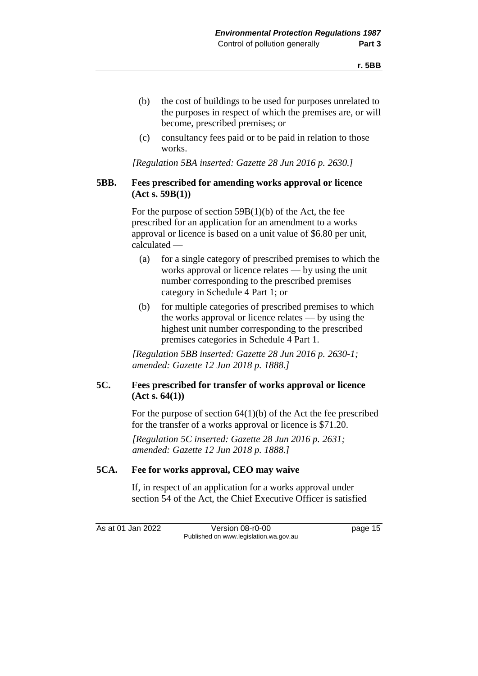- (b) the cost of buildings to be used for purposes unrelated to the purposes in respect of which the premises are, or will become, prescribed premises; or
- (c) consultancy fees paid or to be paid in relation to those works.

*[Regulation 5BA inserted: Gazette 28 Jun 2016 p. 2630.]*

#### **5BB. Fees prescribed for amending works approval or licence (Act s. 59B(1))**

For the purpose of section  $59B(1)(b)$  of the Act, the fee prescribed for an application for an amendment to a works approval or licence is based on a unit value of \$6.80 per unit, calculated —

- (a) for a single category of prescribed premises to which the works approval or licence relates — by using the unit number corresponding to the prescribed premises category in Schedule 4 Part 1; or
- (b) for multiple categories of prescribed premises to which the works approval or licence relates — by using the highest unit number corresponding to the prescribed premises categories in Schedule 4 Part 1.

*[Regulation 5BB inserted: Gazette 28 Jun 2016 p. 2630-1; amended: Gazette 12 Jun 2018 p. 1888.]*

#### **5C. Fees prescribed for transfer of works approval or licence (Act s. 64(1))**

For the purpose of section  $64(1)(b)$  of the Act the fee prescribed for the transfer of a works approval or licence is \$71.20.

*[Regulation 5C inserted: Gazette 28 Jun 2016 p. 2631; amended: Gazette 12 Jun 2018 p. 1888.]*

#### **5CA. Fee for works approval, CEO may waive**

If, in respect of an application for a works approval under section 54 of the Act, the Chief Executive Officer is satisfied

As at 01 Jan 2022 Version 08-r0-00 page 15 Published on www.legislation.wa.gov.au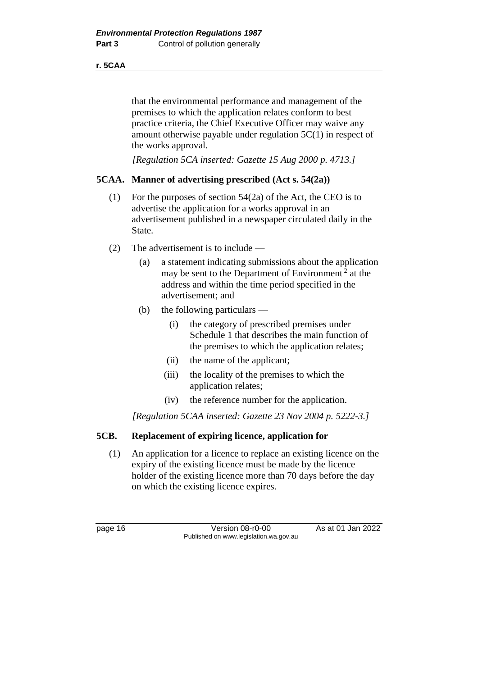#### **r. 5CAA**

that the environmental performance and management of the premises to which the application relates conform to best practice criteria, the Chief Executive Officer may waive any amount otherwise payable under regulation 5C(1) in respect of the works approval.

*[Regulation 5CA inserted: Gazette 15 Aug 2000 p. 4713.]*

#### **5CAA. Manner of advertising prescribed (Act s. 54(2a))**

- (1) For the purposes of section 54(2a) of the Act, the CEO is to advertise the application for a works approval in an advertisement published in a newspaper circulated daily in the State.
- (2) The advertisement is to include
	- (a) a statement indicating submissions about the application may be sent to the Department of Environment<sup>2</sup> at the address and within the time period specified in the advertisement; and
	- (b) the following particulars
		- (i) the category of prescribed premises under Schedule 1 that describes the main function of the premises to which the application relates;
		- (ii) the name of the applicant;
		- (iii) the locality of the premises to which the application relates;
		- (iv) the reference number for the application.

*[Regulation 5CAA inserted: Gazette 23 Nov 2004 p. 5222-3.]*

#### **5CB. Replacement of expiring licence, application for**

(1) An application for a licence to replace an existing licence on the expiry of the existing licence must be made by the licence holder of the existing licence more than 70 days before the day on which the existing licence expires.

page 16 Version 08-r0-00 As at 01 Jan 2022 Published on www.legislation.wa.gov.au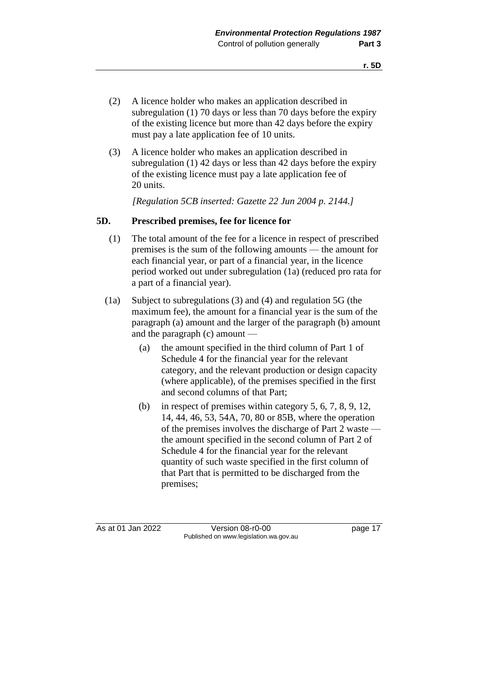- (2) A licence holder who makes an application described in subregulation (1) 70 days or less than 70 days before the expiry of the existing licence but more than 42 days before the expiry must pay a late application fee of 10 units.
- (3) A licence holder who makes an application described in subregulation (1) 42 days or less than 42 days before the expiry of the existing licence must pay a late application fee of 20 units.

*[Regulation 5CB inserted: Gazette 22 Jun 2004 p. 2144.]*

#### **5D. Prescribed premises, fee for licence for**

- (1) The total amount of the fee for a licence in respect of prescribed premises is the sum of the following amounts — the amount for each financial year, or part of a financial year, in the licence period worked out under subregulation (1a) (reduced pro rata for a part of a financial year).
- (1a) Subject to subregulations (3) and (4) and regulation 5G (the maximum fee), the amount for a financial year is the sum of the paragraph (a) amount and the larger of the paragraph (b) amount and the paragraph (c) amount —
	- (a) the amount specified in the third column of Part 1 of Schedule 4 for the financial year for the relevant category, and the relevant production or design capacity (where applicable), of the premises specified in the first and second columns of that Part;
	- (b) in respect of premises within category  $5, 6, 7, 8, 9, 12$ , 14, 44, 46, 53, 54A, 70, 80 or 85B, where the operation of the premises involves the discharge of Part 2 waste the amount specified in the second column of Part 2 of Schedule 4 for the financial year for the relevant quantity of such waste specified in the first column of that Part that is permitted to be discharged from the premises;

As at 01 Jan 2022 Version 08-r0-00 page 17 Published on www.legislation.wa.gov.au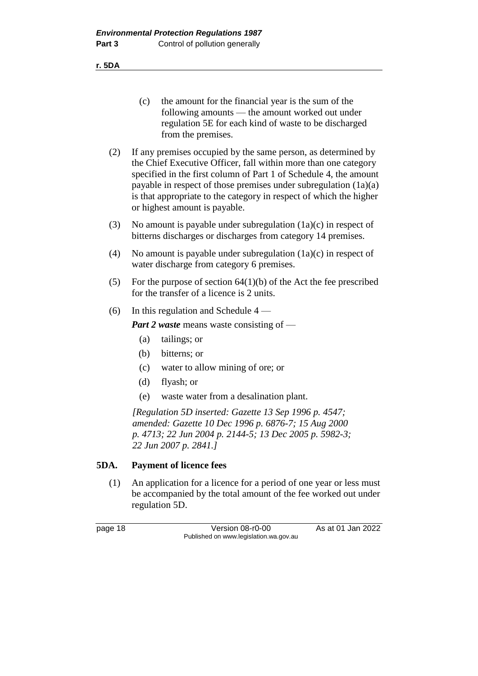**r. 5DA**

- (c) the amount for the financial year is the sum of the following amounts — the amount worked out under regulation 5E for each kind of waste to be discharged from the premises.
- (2) If any premises occupied by the same person, as determined by the Chief Executive Officer, fall within more than one category specified in the first column of Part 1 of Schedule 4, the amount payable in respect of those premises under subregulation (1a)(a) is that appropriate to the category in respect of which the higher or highest amount is payable.
- (3) No amount is payable under subregulation (1a)(c) in respect of bitterns discharges or discharges from category 14 premises.
- (4) No amount is payable under subregulation (1a)(c) in respect of water discharge from category 6 premises.
- (5) For the purpose of section  $64(1)(b)$  of the Act the fee prescribed for the transfer of a licence is 2 units.
- (6) In this regulation and Schedule  $4 -$

*Part 2 waste* means waste consisting of —

- (a) tailings; or
- (b) bitterns; or
- (c) water to allow mining of ore; or
- (d) flyash; or
- (e) waste water from a desalination plant.

*[Regulation 5D inserted: Gazette 13 Sep 1996 p. 4547; amended: Gazette 10 Dec 1996 p. 6876-7; 15 Aug 2000 p. 4713; 22 Jun 2004 p. 2144-5; 13 Dec 2005 p. 5982-3; 22 Jun 2007 p. 2841.]*

#### **5DA. Payment of licence fees**

(1) An application for a licence for a period of one year or less must be accompanied by the total amount of the fee worked out under regulation 5D.

page 18 Version 08-r0-00 As at 01 Jan 2022 Published on www.legislation.wa.gov.au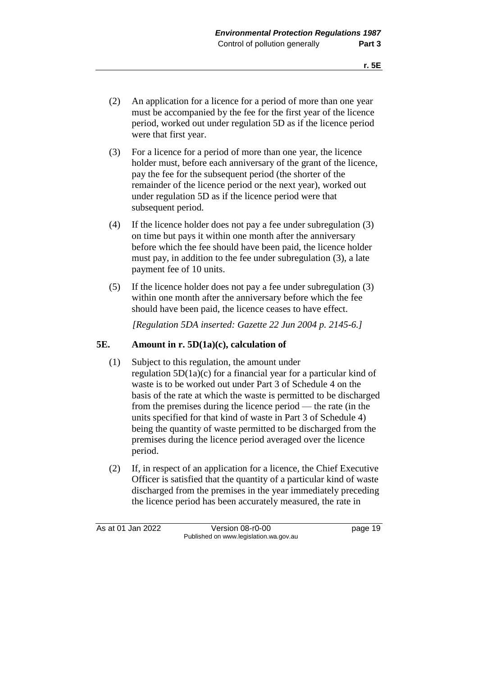- (2) An application for a licence for a period of more than one year must be accompanied by the fee for the first year of the licence period, worked out under regulation 5D as if the licence period were that first year.
- (3) For a licence for a period of more than one year, the licence holder must, before each anniversary of the grant of the licence, pay the fee for the subsequent period (the shorter of the remainder of the licence period or the next year), worked out under regulation 5D as if the licence period were that subsequent period.
- (4) If the licence holder does not pay a fee under subregulation (3) on time but pays it within one month after the anniversary before which the fee should have been paid, the licence holder must pay, in addition to the fee under subregulation (3), a late payment fee of 10 units.
- (5) If the licence holder does not pay a fee under subregulation (3) within one month after the anniversary before which the fee should have been paid, the licence ceases to have effect.

*[Regulation 5DA inserted: Gazette 22 Jun 2004 p. 2145-6.]*

#### **5E. Amount in r. 5D(1a)(c), calculation of**

- (1) Subject to this regulation, the amount under regulation 5D(1a)(c) for a financial year for a particular kind of waste is to be worked out under Part 3 of Schedule 4 on the basis of the rate at which the waste is permitted to be discharged from the premises during the licence period — the rate (in the units specified for that kind of waste in Part 3 of Schedule 4) being the quantity of waste permitted to be discharged from the premises during the licence period averaged over the licence period.
- (2) If, in respect of an application for a licence, the Chief Executive Officer is satisfied that the quantity of a particular kind of waste discharged from the premises in the year immediately preceding the licence period has been accurately measured, the rate in

As at 01 Jan 2022 Version 08-r0-00 page 19 Published on www.legislation.wa.gov.au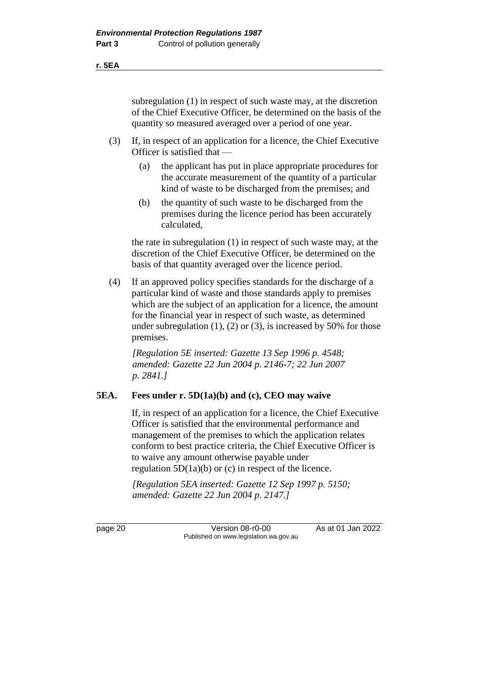subregulation (1) in respect of such waste may, at the discretion of the Chief Executive Officer, be determined on the basis of the quantity so measured averaged over a period of one year.

- (3) If, in respect of an application for a licence, the Chief Executive Officer is satisfied that —
	- (a) the applicant has put in place appropriate procedures for the accurate measurement of the quantity of a particular kind of waste to be discharged from the premises; and
	- (b) the quantity of such waste to be discharged from the premises during the licence period has been accurately calculated,

the rate in subregulation (1) in respect of such waste may, at the discretion of the Chief Executive Officer, be determined on the basis of that quantity averaged over the licence period.

(4) If an approved policy specifies standards for the discharge of a particular kind of waste and those standards apply to premises which are the subject of an application for a licence, the amount for the financial year in respect of such waste, as determined under subregulation  $(1)$ ,  $(2)$  or  $(3)$ , is increased by 50% for those premises.

*[Regulation 5E inserted: Gazette 13 Sep 1996 p. 4548; amended: Gazette 22 Jun 2004 p. 2146-7; 22 Jun 2007 p. 2841.]*

#### **5EA. Fees under r. 5D(1a)(b) and (c), CEO may waive**

If, in respect of an application for a licence, the Chief Executive Officer is satisfied that the environmental performance and management of the premises to which the application relates conform to best practice criteria, the Chief Executive Officer is to waive any amount otherwise payable under regulation 5D(1a)(b) or (c) in respect of the licence.

*[Regulation 5EA inserted: Gazette 12 Sep 1997 p. 5150; amended: Gazette 22 Jun 2004 p. 2147.]*

page 20 **Version 08-r0-00** As at 01 Jan 2022 Published on www.legislation.wa.gov.au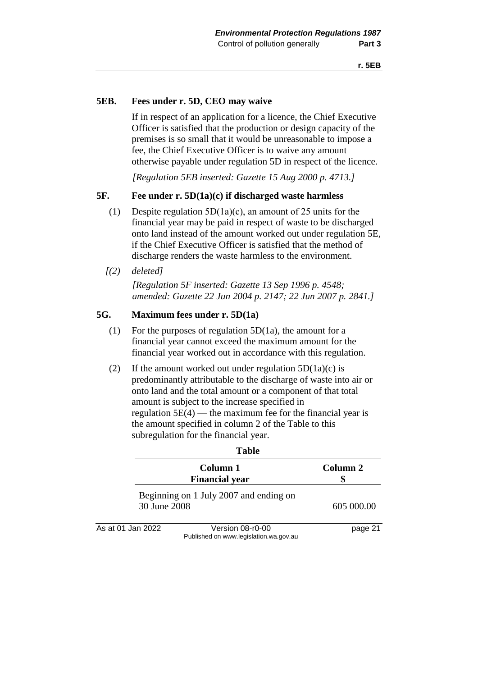#### **5EB. Fees under r. 5D, CEO may waive**

If in respect of an application for a licence, the Chief Executive Officer is satisfied that the production or design capacity of the premises is so small that it would be unreasonable to impose a fee, the Chief Executive Officer is to waive any amount otherwise payable under regulation 5D in respect of the licence.

*[Regulation 5EB inserted: Gazette 15 Aug 2000 p. 4713.]*

#### **5F. Fee under r. 5D(1a)(c) if discharged waste harmless**

- (1) Despite regulation 5D(1a)(c), an amount of 25 units for the financial year may be paid in respect of waste to be discharged onto land instead of the amount worked out under regulation 5E, if the Chief Executive Officer is satisfied that the method of discharge renders the waste harmless to the environment.
- *[(2) deleted]*

*[Regulation 5F inserted: Gazette 13 Sep 1996 p. 4548; amended: Gazette 22 Jun 2004 p. 2147; 22 Jun 2007 p. 2841.]*

#### **5G. Maximum fees under r. 5D(1a)**

- (1) For the purposes of regulation 5D(1a), the amount for a financial year cannot exceed the maximum amount for the financial year worked out in accordance with this regulation.
- (2) If the amount worked out under regulation  $5D(1a)(c)$  is predominantly attributable to the discharge of waste into air or onto land and the total amount or a component of that total amount is subject to the increase specified in regulation  $5E(4)$  — the maximum fee for the financial year is the amount specified in column 2 of the Table to this subregulation for the financial year.

| ravic                                                  |                                                            |            |
|--------------------------------------------------------|------------------------------------------------------------|------------|
|                                                        | Column 1<br><b>Financial year</b>                          | Column 2   |
| Beginning on 1 July 2007 and ending on<br>30 June 2008 |                                                            | 605 000.00 |
| As at 01 Jan 2022                                      | Version 08-r0-00<br>Published on www.legislation.wa.gov.au | page 21    |

#### **Table**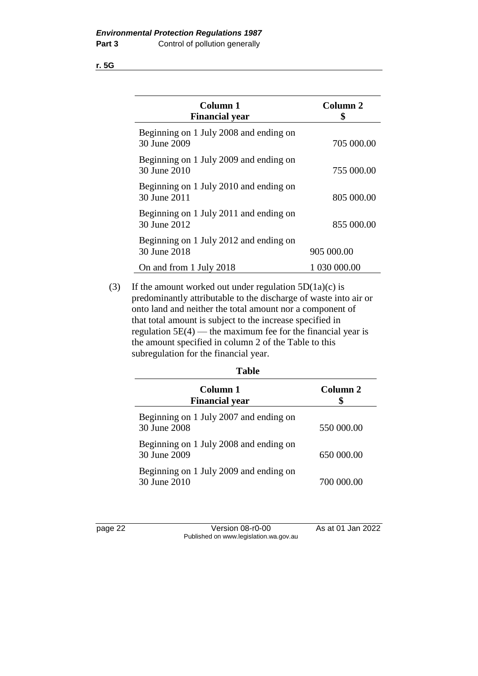**r. 5G**

| Column 1<br><b>Financial year</b>                      | Column 2     |
|--------------------------------------------------------|--------------|
| Beginning on 1 July 2008 and ending on<br>30 June 2009 | 705 000.00   |
| Beginning on 1 July 2009 and ending on<br>30 June 2010 | 755 000.00   |
| Beginning on 1 July 2010 and ending on<br>30 June 2011 | 805 000.00   |
| Beginning on 1 July 2011 and ending on<br>30 June 2012 | 855 000.00   |
| Beginning on 1 July 2012 and ending on<br>30 June 2018 | 905 000.00   |
| On and from 1 July 2018                                | 1 030 000.00 |

(3) If the amount worked out under regulation  $5D(1a)(c)$  is predominantly attributable to the discharge of waste into air or onto land and neither the total amount nor a component of that total amount is subject to the increase specified in regulation 5E(4) — the maximum fee for the financial year is the amount specified in column 2 of the Table to this subregulation for the financial year.

| Table                                                  |                          |  |  |
|--------------------------------------------------------|--------------------------|--|--|
| Column 1<br><b>Financial year</b>                      | Column <sub>2</sub><br>S |  |  |
| Beginning on 1 July 2007 and ending on<br>30 June 2008 | 550 000.00               |  |  |
| Beginning on 1 July 2008 and ending on<br>30 June 2009 | 650 000.00               |  |  |
| Beginning on 1 July 2009 and ending on<br>30 June 2010 | 700 000.00               |  |  |

page 22 Version 08-r0-00 As at 01 Jan 2022 Published on www.legislation.wa.gov.au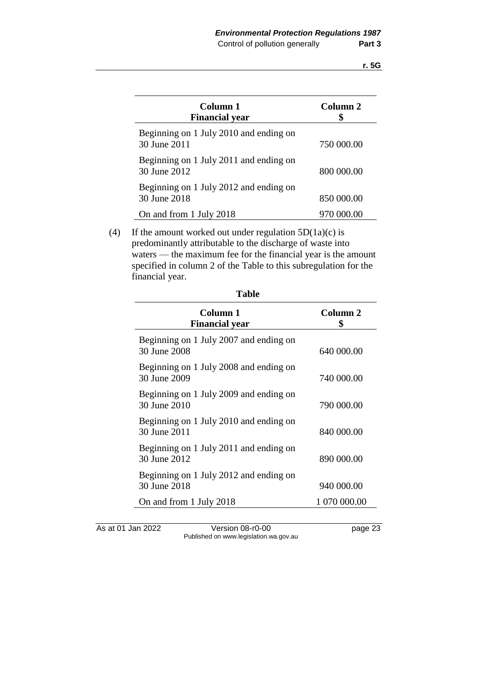| Column 1<br><b>Financial year</b>                      | Column <sub>2</sub> |
|--------------------------------------------------------|---------------------|
| Beginning on 1 July 2010 and ending on<br>30 June 2011 | 750 000.00          |
| Beginning on 1 July 2011 and ending on<br>30 June 2012 | 800 000.00          |
| Beginning on 1 July 2012 and ending on<br>30 June 2018 | 850 000.00          |
| On and from 1 July 2018                                | 970 000.00          |

(4) If the amount worked out under regulation  $5D(1a)(c)$  is predominantly attributable to the discharge of waste into waters — the maximum fee for the financial year is the amount specified in column 2 of the Table to this subregulation for the financial year.

| Column 1<br><b>Financial year</b>                      | Column 2<br>\$ |
|--------------------------------------------------------|----------------|
| Beginning on 1 July 2007 and ending on<br>30 June 2008 | 640 000.00     |
| Beginning on 1 July 2008 and ending on<br>30 June 2009 | 740 000.00     |
| Beginning on 1 July 2009 and ending on<br>30 June 2010 | 790 000.00     |
| Beginning on 1 July 2010 and ending on<br>30 June 2011 | 840 000.00     |
| Beginning on 1 July 2011 and ending on<br>30 June 2012 | 890 000.00     |
| Beginning on 1 July 2012 and ending on<br>30 June 2018 | 940 000.00     |
| On and from 1 July 2018                                | 1 070 000.00   |

**Table**

As at 01 Jan 2022 Version 08-r0-00 page 23 Published on www.legislation.wa.gov.au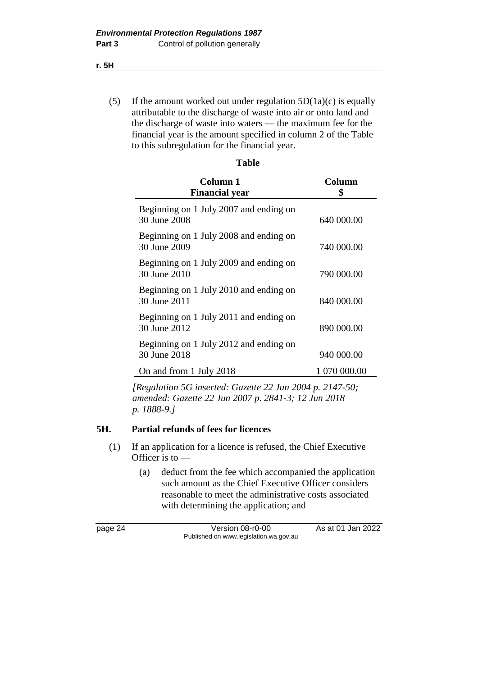(5) If the amount worked out under regulation  $5D(1a)(c)$  is equally attributable to the discharge of waste into air or onto land and the discharge of waste into waters — the maximum fee for the financial year is the amount specified in column 2 of the Table to this subregulation for the financial year.

**Table**

| Column 1<br><b>Financial year</b>                      | Column<br>\$ |
|--------------------------------------------------------|--------------|
| Beginning on 1 July 2007 and ending on<br>30 June 2008 | 640 000.00   |
| Beginning on 1 July 2008 and ending on<br>30 June 2009 | 740 000.00   |
| Beginning on 1 July 2009 and ending on<br>30 June 2010 | 790 000.00   |
| Beginning on 1 July 2010 and ending on<br>30 June 2011 | 840 000.00   |
| Beginning on 1 July 2011 and ending on<br>30 June 2012 | 890 000.00   |
| Beginning on 1 July 2012 and ending on<br>30 June 2018 | 940 000.00   |
| On and from 1 July 2018                                | 1 070 000.00 |

*[Regulation 5G inserted: Gazette 22 Jun 2004 p. 2147-50; amended: Gazette 22 Jun 2007 p. 2841-3; 12 Jun 2018 p. 1888-9.]*

#### **5H. Partial refunds of fees for licences**

- (1) If an application for a licence is refused, the Chief Executive Officer is to —
	- (a) deduct from the fee which accompanied the application such amount as the Chief Executive Officer considers reasonable to meet the administrative costs associated with determining the application; and

page 24 Version 08-r0-00 As at 01 Jan 2022 Published on www.legislation.wa.gov.au

**r. 5H**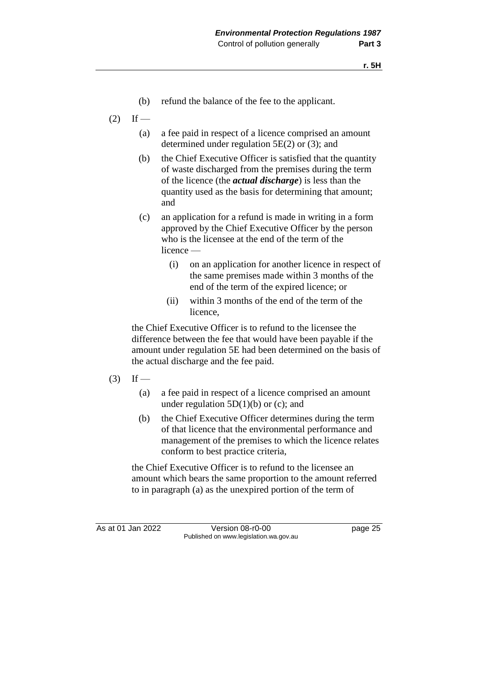- (b) refund the balance of the fee to the applicant.
- $(2)$  If
	- (a) a fee paid in respect of a licence comprised an amount determined under regulation 5E(2) or (3); and
	- (b) the Chief Executive Officer is satisfied that the quantity of waste discharged from the premises during the term of the licence (the *actual discharge*) is less than the quantity used as the basis for determining that amount; and
	- (c) an application for a refund is made in writing in a form approved by the Chief Executive Officer by the person who is the licensee at the end of the term of the licence —
		- (i) on an application for another licence in respect of the same premises made within 3 months of the end of the term of the expired licence; or
		- (ii) within 3 months of the end of the term of the licence,

the Chief Executive Officer is to refund to the licensee the difference between the fee that would have been payable if the amount under regulation 5E had been determined on the basis of the actual discharge and the fee paid.

- $(3)$  If
	- (a) a fee paid in respect of a licence comprised an amount under regulation  $5D(1)(b)$  or (c); and
	- (b) the Chief Executive Officer determines during the term of that licence that the environmental performance and management of the premises to which the licence relates conform to best practice criteria,

the Chief Executive Officer is to refund to the licensee an amount which bears the same proportion to the amount referred to in paragraph (a) as the unexpired portion of the term of

As at 01 Jan 2022 Version 08-r0-00 Page 25 Published on www.legislation.wa.gov.au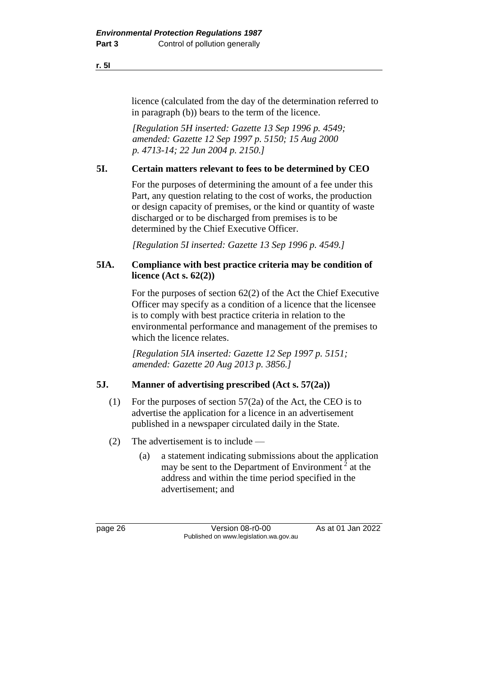licence (calculated from the day of the determination referred to in paragraph (b)) bears to the term of the licence.

*[Regulation 5H inserted: Gazette 13 Sep 1996 p. 4549; amended: Gazette 12 Sep 1997 p. 5150; 15 Aug 2000 p. 4713-14; 22 Jun 2004 p. 2150.]*

#### **5I. Certain matters relevant to fees to be determined by CEO**

For the purposes of determining the amount of a fee under this Part, any question relating to the cost of works, the production or design capacity of premises, or the kind or quantity of waste discharged or to be discharged from premises is to be determined by the Chief Executive Officer.

*[Regulation 5I inserted: Gazette 13 Sep 1996 p. 4549.]*

#### **5IA. Compliance with best practice criteria may be condition of licence (Act s. 62(2))**

For the purposes of section 62(2) of the Act the Chief Executive Officer may specify as a condition of a licence that the licensee is to comply with best practice criteria in relation to the environmental performance and management of the premises to which the licence relates.

*[Regulation 5IA inserted: Gazette 12 Sep 1997 p. 5151; amended: Gazette 20 Aug 2013 p. 3856.]*

#### **5J. Manner of advertising prescribed (Act s. 57(2a))**

- (1) For the purposes of section 57(2a) of the Act, the CEO is to advertise the application for a licence in an advertisement published in a newspaper circulated daily in the State.
- (2) The advertisement is to include
	- (a) a statement indicating submissions about the application may be sent to the Department of Environment<sup>2</sup> at the address and within the time period specified in the advertisement; and

page 26 **Version 08-r0-00** As at 01 Jan 2022 Published on www.legislation.wa.gov.au

**r. 5I**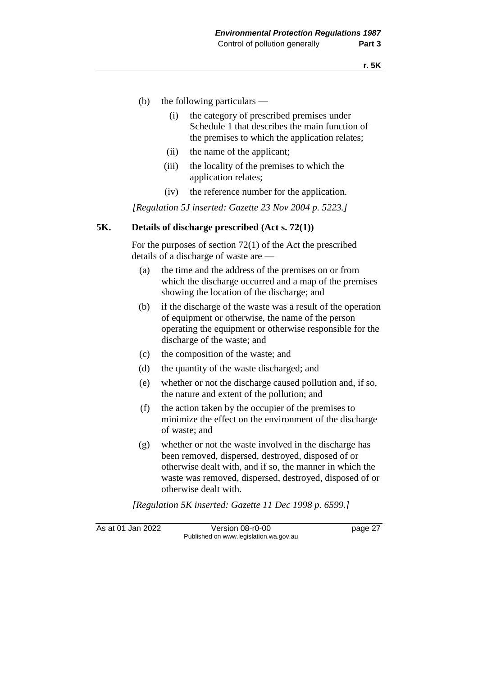- (b) the following particulars
	- (i) the category of prescribed premises under Schedule 1 that describes the main function of the premises to which the application relates;
	- (ii) the name of the applicant;
	- (iii) the locality of the premises to which the application relates;
	- (iv) the reference number for the application.

*[Regulation 5J inserted: Gazette 23 Nov 2004 p. 5223.]*

#### **5K. Details of discharge prescribed (Act s. 72(1))**

For the purposes of section 72(1) of the Act the prescribed details of a discharge of waste are —

- (a) the time and the address of the premises on or from which the discharge occurred and a map of the premises showing the location of the discharge; and
- (b) if the discharge of the waste was a result of the operation of equipment or otherwise, the name of the person operating the equipment or otherwise responsible for the discharge of the waste; and
- (c) the composition of the waste; and
- (d) the quantity of the waste discharged; and
- (e) whether or not the discharge caused pollution and, if so, the nature and extent of the pollution; and
- (f) the action taken by the occupier of the premises to minimize the effect on the environment of the discharge of waste; and
- (g) whether or not the waste involved in the discharge has been removed, dispersed, destroyed, disposed of or otherwise dealt with, and if so, the manner in which the waste was removed, dispersed, destroyed, disposed of or otherwise dealt with.

*[Regulation 5K inserted: Gazette 11 Dec 1998 p. 6599.]*

As at 01 Jan 2022 Version 08-r0-00 page 27 Published on www.legislation.wa.gov.au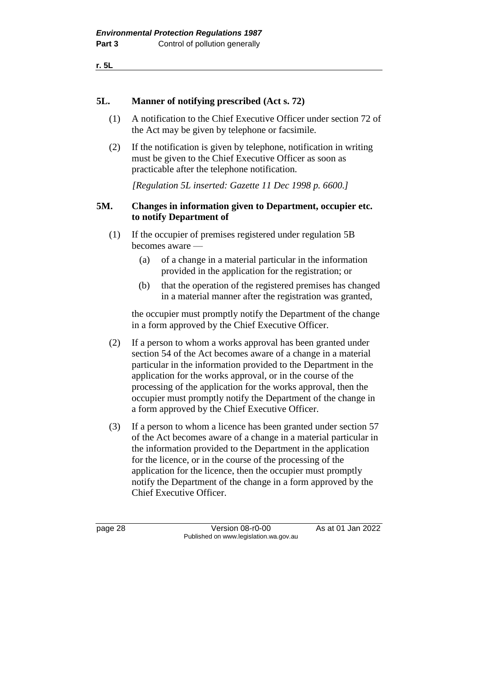**r. 5L**

#### **5L. Manner of notifying prescribed (Act s. 72)**

- (1) A notification to the Chief Executive Officer under section 72 of the Act may be given by telephone or facsimile.
- (2) If the notification is given by telephone, notification in writing must be given to the Chief Executive Officer as soon as practicable after the telephone notification.

*[Regulation 5L inserted: Gazette 11 Dec 1998 p. 6600.]*

#### **5M. Changes in information given to Department, occupier etc. to notify Department of**

- (1) If the occupier of premises registered under regulation 5B becomes aware —
	- (a) of a change in a material particular in the information provided in the application for the registration; or
	- (b) that the operation of the registered premises has changed in a material manner after the registration was granted,

the occupier must promptly notify the Department of the change in a form approved by the Chief Executive Officer.

- (2) If a person to whom a works approval has been granted under section 54 of the Act becomes aware of a change in a material particular in the information provided to the Department in the application for the works approval, or in the course of the processing of the application for the works approval, then the occupier must promptly notify the Department of the change in a form approved by the Chief Executive Officer.
- (3) If a person to whom a licence has been granted under section 57 of the Act becomes aware of a change in a material particular in the information provided to the Department in the application for the licence, or in the course of the processing of the application for the licence, then the occupier must promptly notify the Department of the change in a form approved by the Chief Executive Officer.

page 28 Version 08-r0-00 As at 01 Jan 2022 Published on www.legislation.wa.gov.au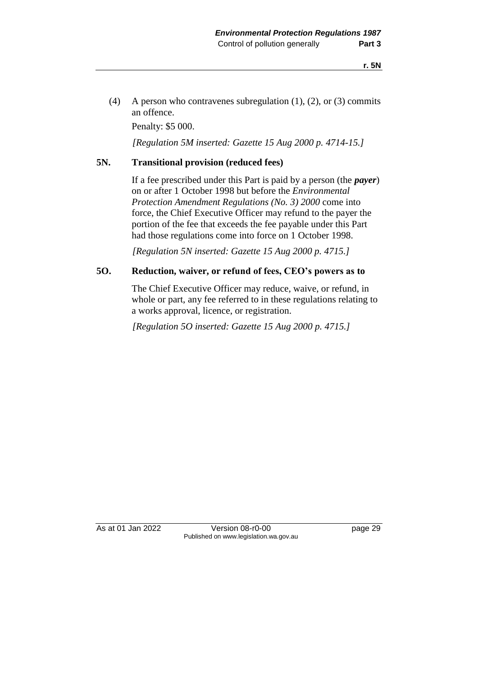(4) A person who contravenes subregulation (1), (2), or (3) commits an offence.

Penalty: \$5 000.

*[Regulation 5M inserted: Gazette 15 Aug 2000 p. 4714-15.]*

#### **5N. Transitional provision (reduced fees)**

If a fee prescribed under this Part is paid by a person (the *payer*) on or after 1 October 1998 but before the *Environmental Protection Amendment Regulations (No. 3) 2000* come into force, the Chief Executive Officer may refund to the payer the portion of the fee that exceeds the fee payable under this Part had those regulations come into force on 1 October 1998.

*[Regulation 5N inserted: Gazette 15 Aug 2000 p. 4715.]*

### **5O. Reduction, waiver, or refund of fees, CEO's powers as to**

The Chief Executive Officer may reduce, waive, or refund, in whole or part, any fee referred to in these regulations relating to a works approval, licence, or registration.

*[Regulation 5O inserted: Gazette 15 Aug 2000 p. 4715.]*

As at 01 Jan 2022 Version 08-r0-00 page 29 Published on www.legislation.wa.gov.au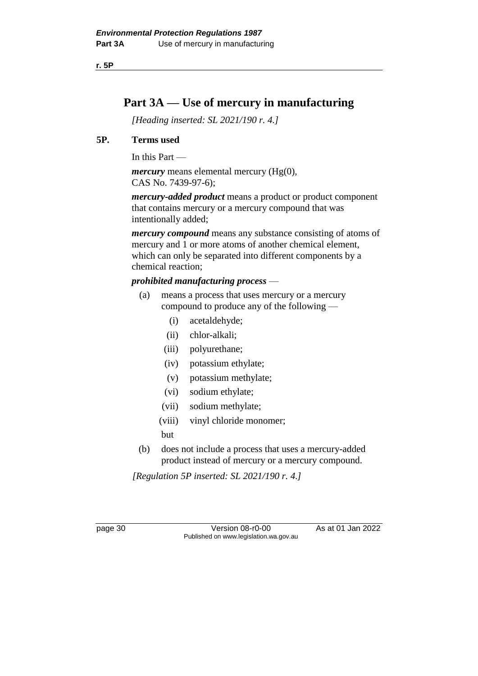**r. 5P**

# **Part 3A — Use of mercury in manufacturing**

*[Heading inserted: SL 2021/190 r. 4.]*

## **5P. Terms used**

In this Part —

*mercury* means elemental mercury (Hg(0), CAS No. 7439-97-6);

*mercury-added product* means a product or product component that contains mercury or a mercury compound that was intentionally added;

*mercury compound* means any substance consisting of atoms of mercury and 1 or more atoms of another chemical element, which can only be separated into different components by a chemical reaction;

### *prohibited manufacturing process* —

- (a) means a process that uses mercury or a mercury compound to produce any of the following —
	- (i) acetaldehyde;
	- (ii) chlor-alkali;
	- (iii) polyurethane;
	- (iv) potassium ethylate;
	- (v) potassium methylate;
	- (vi) sodium ethylate;
	- (vii) sodium methylate;
	- (viii) vinyl chloride monomer;
	- but
- (b) does not include a process that uses a mercury-added product instead of mercury or a mercury compound.

*[Regulation 5P inserted: SL 2021/190 r. 4.]*

page 30 Version 08-r0-00 As at 01 Jan 2022 Published on www.legislation.wa.gov.au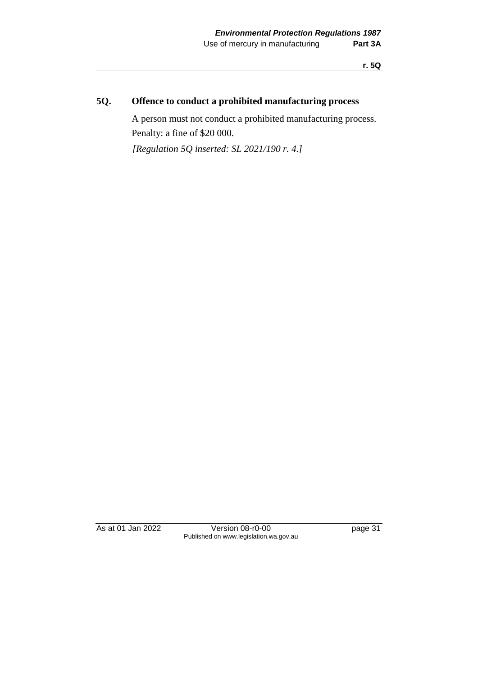**r. 5Q**

# **5Q. Offence to conduct a prohibited manufacturing process**

A person must not conduct a prohibited manufacturing process. Penalty: a fine of \$20 000.

*[Regulation 5Q inserted: SL 2021/190 r. 4.]*

As at 01 Jan 2022 Version 08-r0-00 Page 31 Published on www.legislation.wa.gov.au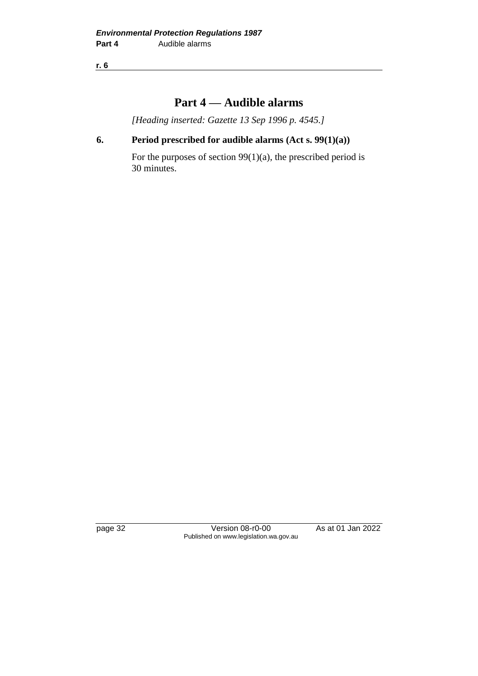**r. 6**

# **Part 4 — Audible alarms**

*[Heading inserted: Gazette 13 Sep 1996 p. 4545.]*

# **6. Period prescribed for audible alarms (Act s. 99(1)(a))**

For the purposes of section  $99(1)(a)$ , the prescribed period is 30 minutes.

page 32 Version 08-r0-00 As at 01 Jan 2022 Published on www.legislation.wa.gov.au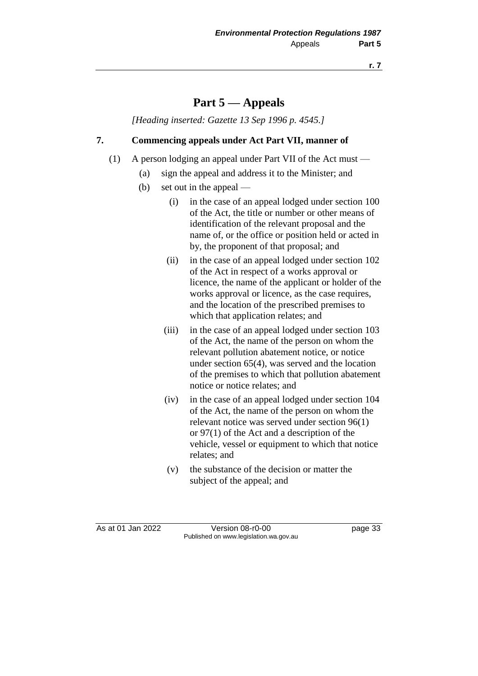# **Part 5 — Appeals**

*[Heading inserted: Gazette 13 Sep 1996 p. 4545.]*

## **7. Commencing appeals under Act Part VII, manner of**

- (1) A person lodging an appeal under Part VII of the Act must
	- (a) sign the appeal and address it to the Minister; and
	- (b) set out in the appeal
		- (i) in the case of an appeal lodged under section 100 of the Act, the title or number or other means of identification of the relevant proposal and the name of, or the office or position held or acted in by, the proponent of that proposal; and
		- (ii) in the case of an appeal lodged under section 102 of the Act in respect of a works approval or licence, the name of the applicant or holder of the works approval or licence, as the case requires, and the location of the prescribed premises to which that application relates; and
		- (iii) in the case of an appeal lodged under section 103 of the Act, the name of the person on whom the relevant pollution abatement notice, or notice under section 65(4), was served and the location of the premises to which that pollution abatement notice or notice relates; and
		- (iv) in the case of an appeal lodged under section 104 of the Act, the name of the person on whom the relevant notice was served under section 96(1) or 97(1) of the Act and a description of the vehicle, vessel or equipment to which that notice relates; and
		- (v) the substance of the decision or matter the subject of the appeal; and

As at 01 Jan 2022 Version 08-r0-00 page 33 Published on www.legislation.wa.gov.au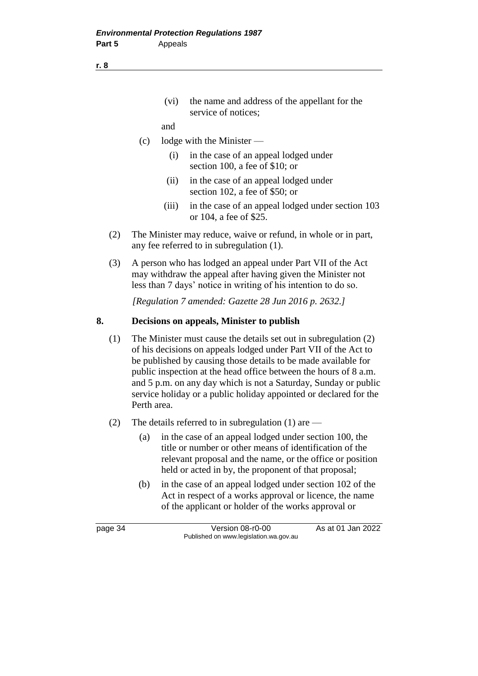(vi) the name and address of the appellant for the service of notices;

#### and

- (c) lodge with the Minister
	- (i) in the case of an appeal lodged under section 100, a fee of \$10; or
	- (ii) in the case of an appeal lodged under section 102, a fee of \$50; or
	- (iii) in the case of an appeal lodged under section 103 or 104, a fee of \$25.
- (2) The Minister may reduce, waive or refund, in whole or in part, any fee referred to in subregulation (1).
- (3) A person who has lodged an appeal under Part VII of the Act may withdraw the appeal after having given the Minister not less than 7 days' notice in writing of his intention to do so.

*[Regulation 7 amended: Gazette 28 Jun 2016 p. 2632.]*

#### **8. Decisions on appeals, Minister to publish**

- (1) The Minister must cause the details set out in subregulation (2) of his decisions on appeals lodged under Part VII of the Act to be published by causing those details to be made available for public inspection at the head office between the hours of 8 a.m. and 5 p.m. on any day which is not a Saturday, Sunday or public service holiday or a public holiday appointed or declared for the Perth area.
- (2) The details referred to in subregulation (1) are
	- (a) in the case of an appeal lodged under section 100, the title or number or other means of identification of the relevant proposal and the name, or the office or position held or acted in by, the proponent of that proposal;
	- (b) in the case of an appeal lodged under section 102 of the Act in respect of a works approval or licence, the name of the applicant or holder of the works approval or

page 34 Version 08-r0-00 As at 01 Jan 2022 Published on www.legislation.wa.gov.au

#### **r. 8**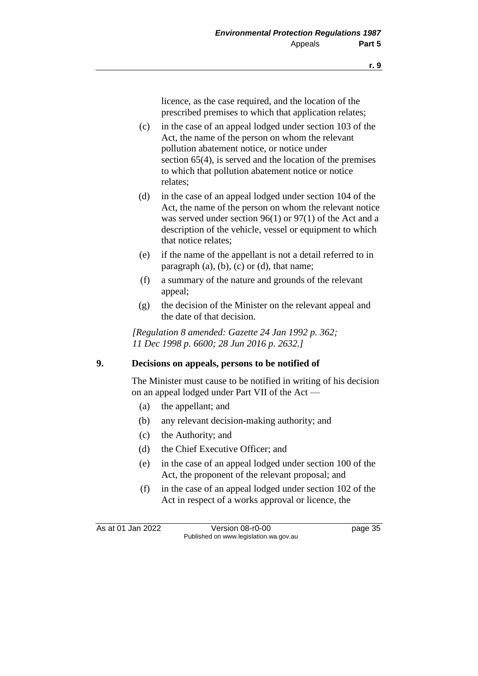licence, as the case required, and the location of the prescribed premises to which that application relates;

- (c) in the case of an appeal lodged under section 103 of the Act, the name of the person on whom the relevant pollution abatement notice, or notice under section 65(4), is served and the location of the premises to which that pollution abatement notice or notice relates;
- (d) in the case of an appeal lodged under section 104 of the Act, the name of the person on whom the relevant notice was served under section 96(1) or 97(1) of the Act and a description of the vehicle, vessel or equipment to which that notice relates;
- (e) if the name of the appellant is not a detail referred to in paragraph  $(a)$ ,  $(b)$ ,  $(c)$  or  $(d)$ , that name;
- (f) a summary of the nature and grounds of the relevant appeal;
- (g) the decision of the Minister on the relevant appeal and the date of that decision.

*[Regulation 8 amended: Gazette 24 Jan 1992 p. 362; 11 Dec 1998 p. 6600; 28 Jun 2016 p. 2632.]*

#### **9. Decisions on appeals, persons to be notified of**

The Minister must cause to be notified in writing of his decision on an appeal lodged under Part VII of the Act —

- (a) the appellant; and
- (b) any relevant decision-making authority; and
- (c) the Authority; and
- (d) the Chief Executive Officer; and
- (e) in the case of an appeal lodged under section 100 of the Act, the proponent of the relevant proposal; and
- (f) in the case of an appeal lodged under section 102 of the Act in respect of a works approval or licence, the

As at 01 Jan 2022 Version 08-r0-00 page 35 Published on www.legislation.wa.gov.au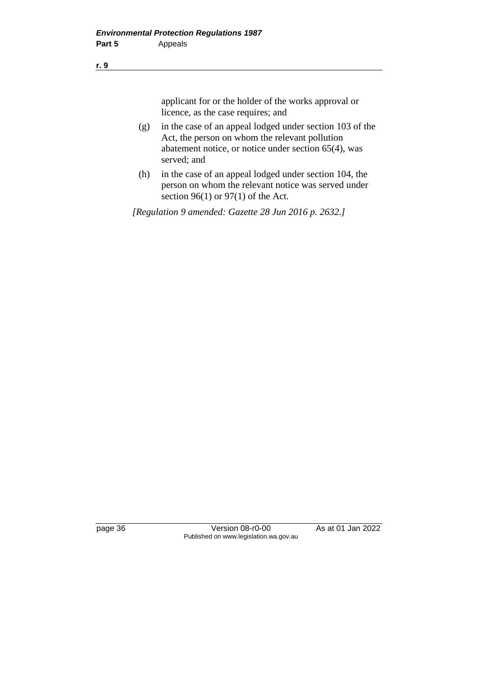#### **r. 9**

applicant for or the holder of the works approval or licence, as the case requires; and

- (g) in the case of an appeal lodged under section 103 of the Act, the person on whom the relevant pollution abatement notice, or notice under section 65(4), was served; and
- (h) in the case of an appeal lodged under section 104, the person on whom the relevant notice was served under section  $96(1)$  or  $97(1)$  of the Act.

*[Regulation 9 amended: Gazette 28 Jun 2016 p. 2632.]*

page 36 Version 08-r0-00 As at 01 Jan 2022 Published on www.legislation.wa.gov.au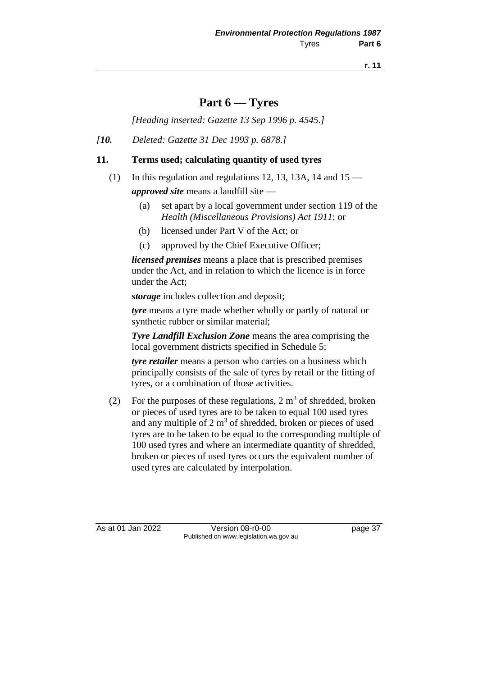**r. 11**

# **Part 6 — Tyres**

*[Heading inserted: Gazette 13 Sep 1996 p. 4545.]*

*[10. Deleted: Gazette 31 Dec 1993 p. 6878.]*

#### **11. Terms used; calculating quantity of used tyres**

- (1) In this regulation and regulations 12, 13, 13A, 14 and  $15$ *approved site* means a landfill site —
	- (a) set apart by a local government under section 119 of the *Health (Miscellaneous Provisions) Act 1911*; or
	- (b) licensed under Part V of the Act; or
	- (c) approved by the Chief Executive Officer;

*licensed premises* means a place that is prescribed premises under the Act, and in relation to which the licence is in force under the Act;

*storage* includes collection and deposit;

*tyre* means a tyre made whether wholly or partly of natural or synthetic rubber or similar material;

*Tyre Landfill Exclusion Zone* means the area comprising the local government districts specified in Schedule 5;

*tyre retailer* means a person who carries on a business which principally consists of the sale of tyres by retail or the fitting of tyres, or a combination of those activities.

(2) For the purposes of these regulations,  $2 \text{ m}^3$  of shredded, broken or pieces of used tyres are to be taken to equal 100 used tyres and any multiple of  $2 \text{ m}^3$  of shredded, broken or pieces of used tyres are to be taken to be equal to the corresponding multiple of 100 used tyres and where an intermediate quantity of shredded, broken or pieces of used tyres occurs the equivalent number of used tyres are calculated by interpolation.

As at 01 Jan 2022 Version 08-r0-00 page 37 Published on www.legislation.wa.gov.au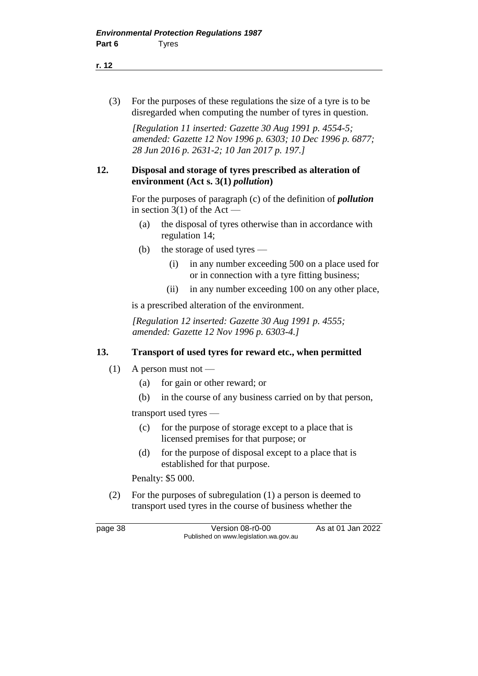(3) For the purposes of these regulations the size of a tyre is to be disregarded when computing the number of tyres in question.

*[Regulation 11 inserted: Gazette 30 Aug 1991 p. 4554-5; amended: Gazette 12 Nov 1996 p. 6303; 10 Dec 1996 p. 6877; 28 Jun 2016 p. 2631-2; 10 Jan 2017 p. 197.]*

### **12. Disposal and storage of tyres prescribed as alteration of environment (Act s. 3(1)** *pollution***)**

For the purposes of paragraph (c) of the definition of *pollution* in section  $3(1)$  of the Act —

- (a) the disposal of tyres otherwise than in accordance with regulation 14;
- (b) the storage of used tyres
	- (i) in any number exceeding 500 on a place used for or in connection with a tyre fitting business;
	- (ii) in any number exceeding 100 on any other place,

is a prescribed alteration of the environment.

*[Regulation 12 inserted: Gazette 30 Aug 1991 p. 4555; amended: Gazette 12 Nov 1996 p. 6303-4.]*

#### **13. Transport of used tyres for reward etc., when permitted**

- $(1)$  A person must not
	- (a) for gain or other reward; or
	- (b) in the course of any business carried on by that person,

transport used tyres —

- (c) for the purpose of storage except to a place that is licensed premises for that purpose; or
- (d) for the purpose of disposal except to a place that is established for that purpose.

Penalty: \$5 000.

(2) For the purposes of subregulation (1) a person is deemed to transport used tyres in the course of business whether the

page 38 Version 08-r0-00 As at 01 Jan 2022 Published on www.legislation.wa.gov.au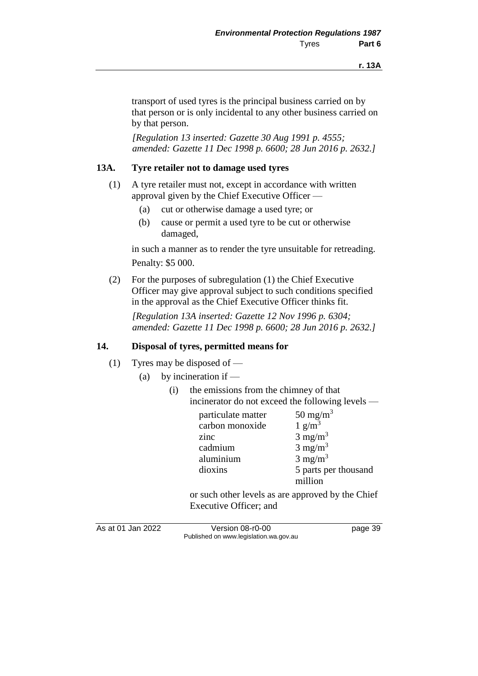transport of used tyres is the principal business carried on by that person or is only incidental to any other business carried on by that person.

*[Regulation 13 inserted: Gazette 30 Aug 1991 p. 4555; amended: Gazette 11 Dec 1998 p. 6600; 28 Jun 2016 p. 2632.]*

#### **13A. Tyre retailer not to damage used tyres**

- (1) A tyre retailer must not, except in accordance with written approval given by the Chief Executive Officer —
	- (a) cut or otherwise damage a used tyre; or
	- (b) cause or permit a used tyre to be cut or otherwise damaged,

in such a manner as to render the tyre unsuitable for retreading. Penalty: \$5 000.

(2) For the purposes of subregulation (1) the Chief Executive Officer may give approval subject to such conditions specified in the approval as the Chief Executive Officer thinks fit.

*[Regulation 13A inserted: Gazette 12 Nov 1996 p. 6304; amended: Gazette 11 Dec 1998 p. 6600; 28 Jun 2016 p. 2632.]*

#### **14. Disposal of tyres, permitted means for**

- (1) Tyres may be disposed of
	- (a) by incineration if  $-$ 
		- (i) the emissions from the chimney of that incinerator do not exceed the following levels —

| particulate matter | $50 \text{ mg/m}^3$   |
|--------------------|-----------------------|
| carbon monoxide    | $1 \text{ g/m}^3$     |
| zinc               | $3$ mg/m <sup>3</sup> |
| cadmium            | $3 \text{ mg/m}^3$    |
| aluminium          | $3 \text{ mg/m}^3$    |
| dioxins            | 5 parts per thousand  |
|                    | million               |

or such other levels as are approved by the Chief Executive Officer; and

As at 01 Jan 2022 Version 08-r0-00 page 39 Published on www.legislation.wa.gov.au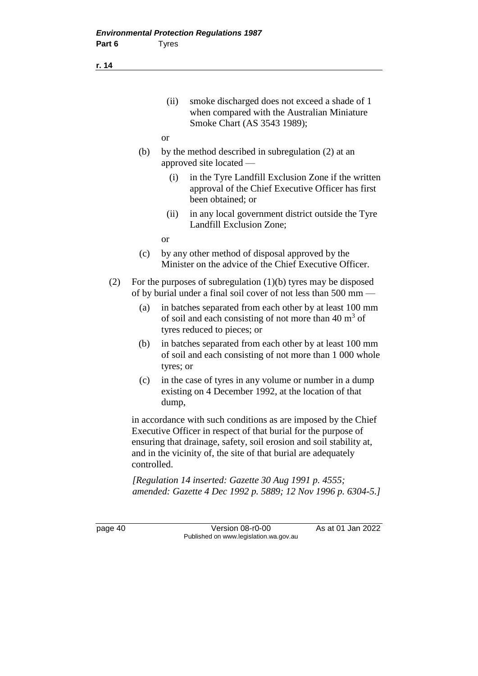(ii) smoke discharged does not exceed a shade of 1 when compared with the Australian Miniature Smoke Chart (AS 3543 1989);

- or
- (b) by the method described in subregulation (2) at an approved site located —
	- (i) in the Tyre Landfill Exclusion Zone if the written approval of the Chief Executive Officer has first been obtained; or
	- (ii) in any local government district outside the Tyre Landfill Exclusion Zone;
	- or
- (c) by any other method of disposal approved by the Minister on the advice of the Chief Executive Officer.
- (2) For the purposes of subregulation (1)(b) tyres may be disposed of by burial under a final soil cover of not less than 500 mm —
	- (a) in batches separated from each other by at least 100 mm of soil and each consisting of not more than  $40 \text{ m}^3$  of tyres reduced to pieces; or
	- (b) in batches separated from each other by at least 100 mm of soil and each consisting of not more than 1 000 whole tyres; or
	- (c) in the case of tyres in any volume or number in a dump existing on 4 December 1992, at the location of that dump,

in accordance with such conditions as are imposed by the Chief Executive Officer in respect of that burial for the purpose of ensuring that drainage, safety, soil erosion and soil stability at, and in the vicinity of, the site of that burial are adequately controlled.

*[Regulation 14 inserted: Gazette 30 Aug 1991 p. 4555; amended: Gazette 4 Dec 1992 p. 5889; 12 Nov 1996 p. 6304-5.]*

page 40 **Version 08-r0-00** As at 01 Jan 2022 Published on www.legislation.wa.gov.au

**r. 14**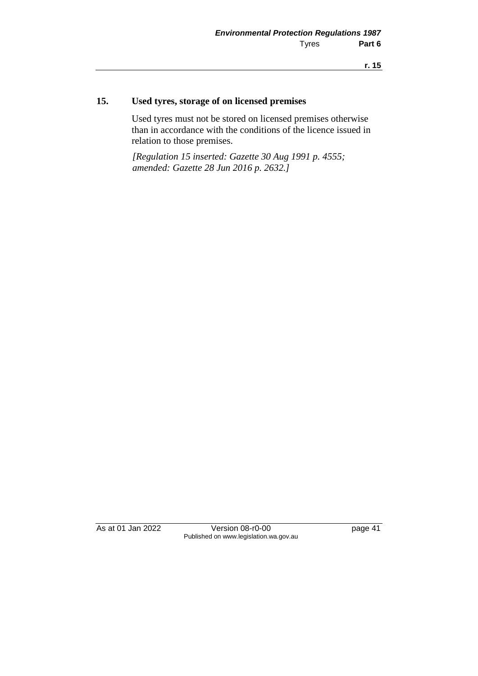## **15. Used tyres, storage of on licensed premises**

Used tyres must not be stored on licensed premises otherwise than in accordance with the conditions of the licence issued in relation to those premises.

*[Regulation 15 inserted: Gazette 30 Aug 1991 p. 4555; amended: Gazette 28 Jun 2016 p. 2632.]*

As at 01 Jan 2022 Version 08-r0-00 page 41 Published on www.legislation.wa.gov.au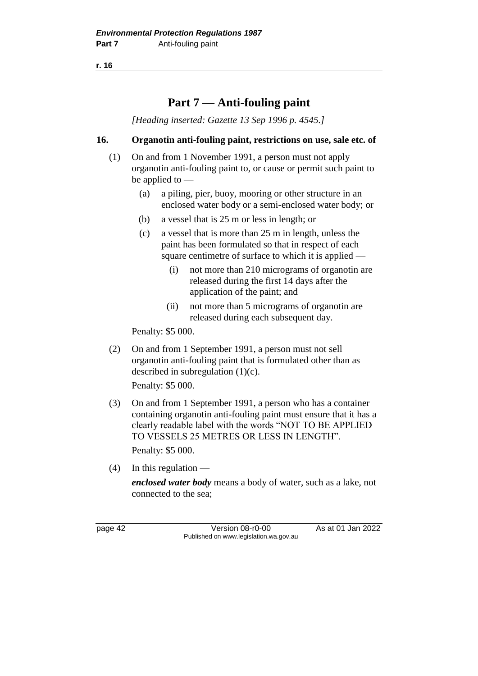**r. 16**

# **Part 7 — Anti-fouling paint**

*[Heading inserted: Gazette 13 Sep 1996 p. 4545.]*

## **16. Organotin anti-fouling paint, restrictions on use, sale etc. of**

- (1) On and from 1 November 1991, a person must not apply organotin anti-fouling paint to, or cause or permit such paint to be applied to —
	- (a) a piling, pier, buoy, mooring or other structure in an enclosed water body or a semi-enclosed water body; or
	- (b) a vessel that is 25 m or less in length; or
	- (c) a vessel that is more than 25 m in length, unless the paint has been formulated so that in respect of each square centimetre of surface to which it is applied —
		- (i) not more than 210 micrograms of organotin are released during the first 14 days after the application of the paint; and
		- (ii) not more than 5 micrograms of organotin are released during each subsequent day.

Penalty: \$5 000.

(2) On and from 1 September 1991, a person must not sell organotin anti-fouling paint that is formulated other than as described in subregulation (1)(c).

Penalty: \$5 000.

(3) On and from 1 September 1991, a person who has a container containing organotin anti-fouling paint must ensure that it has a clearly readable label with the words "NOT TO BE APPLIED TO VESSELS 25 METRES OR LESS IN LENGTH".

Penalty: \$5 000.

 $(4)$  In this regulation —

*enclosed water body* means a body of water, such as a lake, not connected to the sea;

page 42 Version 08-r0-00 As at 01 Jan 2022 Published on www.legislation.wa.gov.au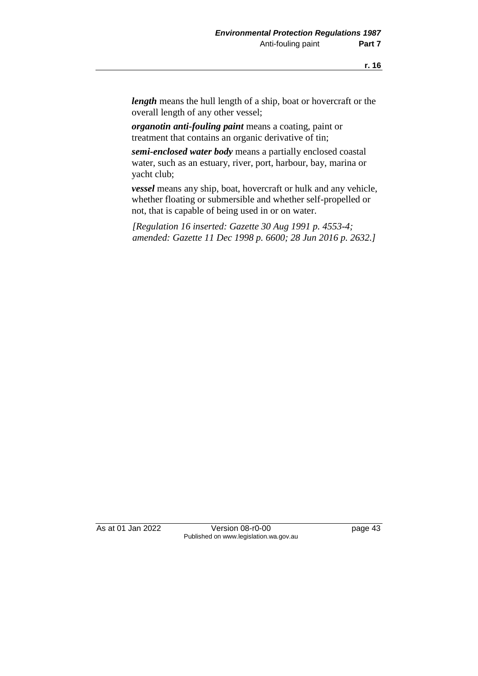*length* means the hull length of a ship, boat or hovercraft or the overall length of any other vessel;

*organotin anti-fouling paint* means a coating, paint or treatment that contains an organic derivative of tin;

*semi-enclosed water body* means a partially enclosed coastal water, such as an estuary, river, port, harbour, bay, marina or yacht club;

*vessel* means any ship, boat, hovercraft or hulk and any vehicle, whether floating or submersible and whether self-propelled or not, that is capable of being used in or on water.

*[Regulation 16 inserted: Gazette 30 Aug 1991 p. 4553-4; amended: Gazette 11 Dec 1998 p. 6600; 28 Jun 2016 p. 2632.]*

As at 01 Jan 2022 Version 08-r0-00 page 43 Published on www.legislation.wa.gov.au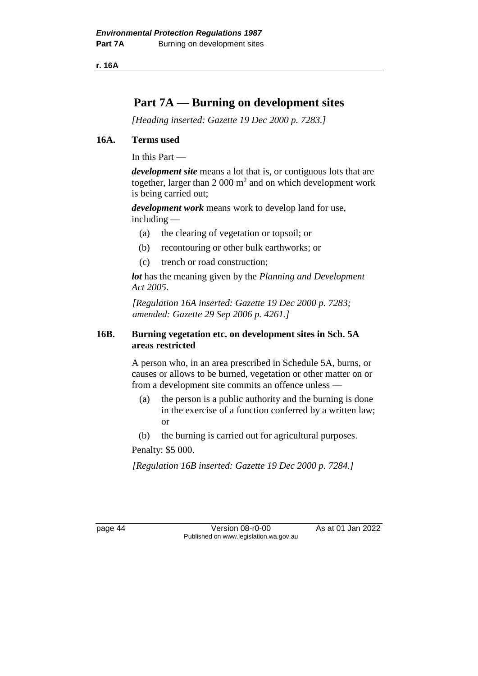**r. 16A**

# **Part 7A — Burning on development sites**

*[Heading inserted: Gazette 19 Dec 2000 p. 7283.]*

### **16A. Terms used**

In this Part —

*development site* means a lot that is, or contiguous lots that are together, larger than  $2000 \text{ m}^2$  and on which development work is being carried out;

*development work* means work to develop land for use, including —

- (a) the clearing of vegetation or topsoil; or
- (b) recontouring or other bulk earthworks; or
- (c) trench or road construction;

*lot* has the meaning given by the *Planning and Development Act 2005*.

*[Regulation 16A inserted: Gazette 19 Dec 2000 p. 7283; amended: Gazette 29 Sep 2006 p. 4261.]*

### **16B. Burning vegetation etc. on development sites in Sch. 5A areas restricted**

A person who, in an area prescribed in Schedule 5A, burns, or causes or allows to be burned, vegetation or other matter on or from a development site commits an offence unless —

- (a) the person is a public authority and the burning is done in the exercise of a function conferred by a written law; or
- (b) the burning is carried out for agricultural purposes.

Penalty: \$5 000.

*[Regulation 16B inserted: Gazette 19 Dec 2000 p. 7284.]*

page 44 Version 08-r0-00 As at 01 Jan 2022 Published on www.legislation.wa.gov.au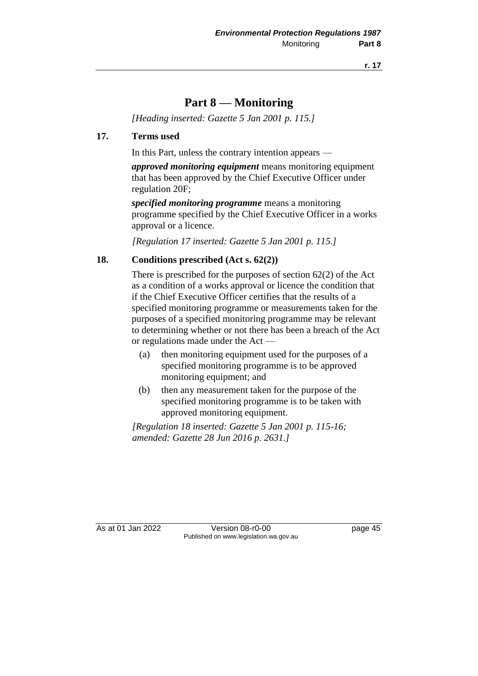**r. 17**

# **Part 8 — Monitoring**

*[Heading inserted: Gazette 5 Jan 2001 p. 115.]*

#### **17. Terms used**

In this Part, unless the contrary intention appears —

*approved monitoring equipment* means monitoring equipment that has been approved by the Chief Executive Officer under regulation 20F;

*specified monitoring programme* means a monitoring programme specified by the Chief Executive Officer in a works approval or a licence.

*[Regulation 17 inserted: Gazette 5 Jan 2001 p. 115.]*

### **18. Conditions prescribed (Act s. 62(2))**

There is prescribed for the purposes of section 62(2) of the Act as a condition of a works approval or licence the condition that if the Chief Executive Officer certifies that the results of a specified monitoring programme or measurements taken for the purposes of a specified monitoring programme may be relevant to determining whether or not there has been a breach of the Act or regulations made under the Act —

- (a) then monitoring equipment used for the purposes of a specified monitoring programme is to be approved monitoring equipment; and
- (b) then any measurement taken for the purpose of the specified monitoring programme is to be taken with approved monitoring equipment.

*[Regulation 18 inserted: Gazette 5 Jan 2001 p. 115-16; amended: Gazette 28 Jun 2016 p. 2631.]*

As at 01 Jan 2022 Version 08-r0-00 page 45 Published on www.legislation.wa.gov.au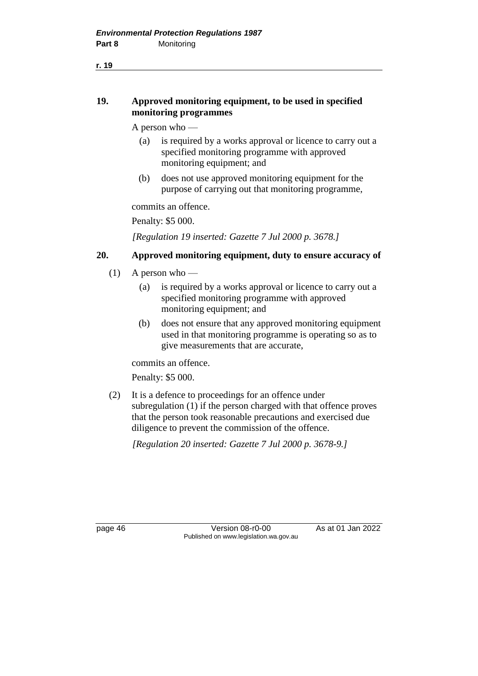**r. 19**

### **19. Approved monitoring equipment, to be used in specified monitoring programmes**

A person who —

- (a) is required by a works approval or licence to carry out a specified monitoring programme with approved monitoring equipment; and
- (b) does not use approved monitoring equipment for the purpose of carrying out that monitoring programme,

commits an offence.

Penalty: \$5 000.

*[Regulation 19 inserted: Gazette 7 Jul 2000 p. 3678.]*

### **20. Approved monitoring equipment, duty to ensure accuracy of**

- (1) A person who
	- (a) is required by a works approval or licence to carry out a specified monitoring programme with approved monitoring equipment; and
	- (b) does not ensure that any approved monitoring equipment used in that monitoring programme is operating so as to give measurements that are accurate,

commits an offence.

Penalty: \$5 000.

(2) It is a defence to proceedings for an offence under subregulation (1) if the person charged with that offence proves that the person took reasonable precautions and exercised due diligence to prevent the commission of the offence.

*[Regulation 20 inserted: Gazette 7 Jul 2000 p. 3678-9.]*

page 46 Version 08-r0-00 As at 01 Jan 2022 Published on www.legislation.wa.gov.au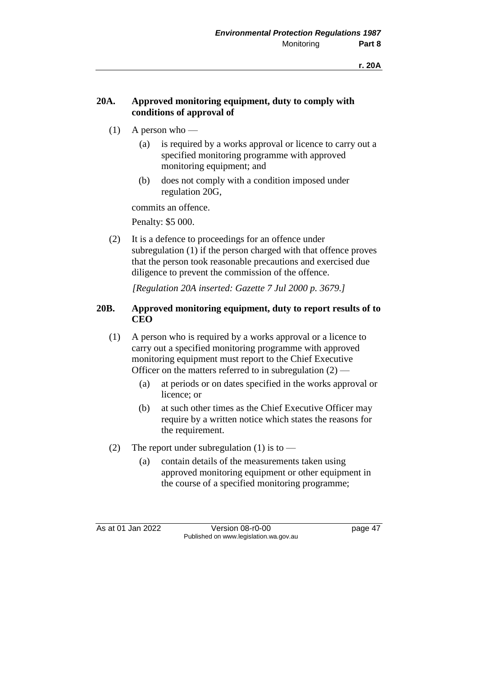### **20A. Approved monitoring equipment, duty to comply with conditions of approval of**

- (1) A person who
	- (a) is required by a works approval or licence to carry out a specified monitoring programme with approved monitoring equipment; and
	- (b) does not comply with a condition imposed under regulation 20G,

commits an offence.

Penalty: \$5 000.

(2) It is a defence to proceedings for an offence under subregulation (1) if the person charged with that offence proves that the person took reasonable precautions and exercised due diligence to prevent the commission of the offence.

*[Regulation 20A inserted: Gazette 7 Jul 2000 p. 3679.]*

### **20B. Approved monitoring equipment, duty to report results of to CEO**

- (1) A person who is required by a works approval or a licence to carry out a specified monitoring programme with approved monitoring equipment must report to the Chief Executive Officer on the matters referred to in subregulation (2) —
	- (a) at periods or on dates specified in the works approval or licence; or
	- (b) at such other times as the Chief Executive Officer may require by a written notice which states the reasons for the requirement.
- (2) The report under subregulation (1) is to  $-$ 
	- (a) contain details of the measurements taken using approved monitoring equipment or other equipment in the course of a specified monitoring programme;

As at 01 Jan 2022 Version 08-r0-00 page 47 Published on www.legislation.wa.gov.au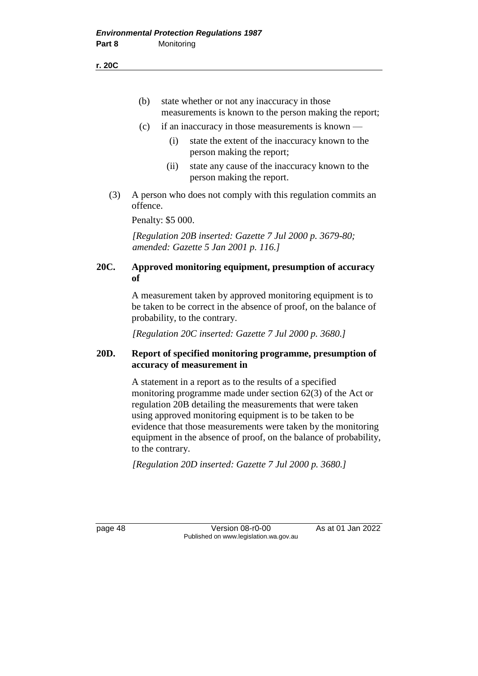**r. 20C**

- (b) state whether or not any inaccuracy in those measurements is known to the person making the report;
- (c) if an inaccuracy in those measurements is known
	- (i) state the extent of the inaccuracy known to the person making the report;
	- (ii) state any cause of the inaccuracy known to the person making the report.
- (3) A person who does not comply with this regulation commits an offence.

Penalty: \$5 000.

*[Regulation 20B inserted: Gazette 7 Jul 2000 p. 3679-80; amended: Gazette 5 Jan 2001 p. 116.]*

## **20C. Approved monitoring equipment, presumption of accuracy of**

A measurement taken by approved monitoring equipment is to be taken to be correct in the absence of proof, on the balance of probability, to the contrary.

*[Regulation 20C inserted: Gazette 7 Jul 2000 p. 3680.]*

## **20D. Report of specified monitoring programme, presumption of accuracy of measurement in**

A statement in a report as to the results of a specified monitoring programme made under section 62(3) of the Act or regulation 20B detailing the measurements that were taken using approved monitoring equipment is to be taken to be evidence that those measurements were taken by the monitoring equipment in the absence of proof, on the balance of probability, to the contrary.

*[Regulation 20D inserted: Gazette 7 Jul 2000 p. 3680.]*

page 48 Version 08-r0-00 As at 01 Jan 2022 Published on www.legislation.wa.gov.au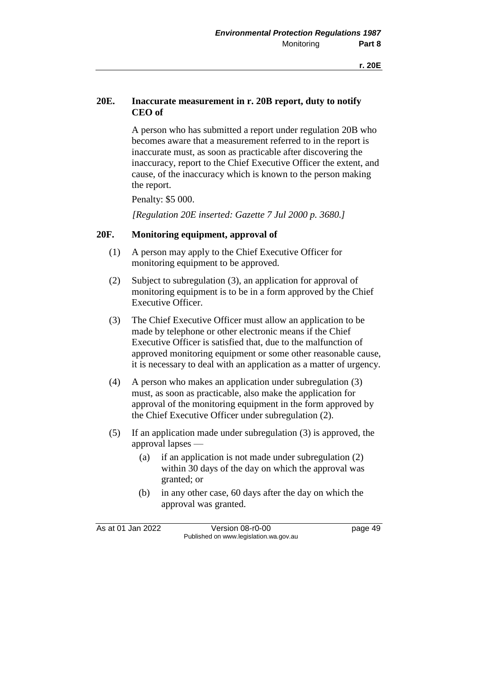### **20E. Inaccurate measurement in r. 20B report, duty to notify CEO of**

A person who has submitted a report under regulation 20B who becomes aware that a measurement referred to in the report is inaccurate must, as soon as practicable after discovering the inaccuracy, report to the Chief Executive Officer the extent, and cause, of the inaccuracy which is known to the person making the report.

Penalty: \$5 000.

*[Regulation 20E inserted: Gazette 7 Jul 2000 p. 3680.]*

#### **20F. Monitoring equipment, approval of**

- (1) A person may apply to the Chief Executive Officer for monitoring equipment to be approved.
- (2) Subject to subregulation (3), an application for approval of monitoring equipment is to be in a form approved by the Chief Executive Officer.
- (3) The Chief Executive Officer must allow an application to be made by telephone or other electronic means if the Chief Executive Officer is satisfied that, due to the malfunction of approved monitoring equipment or some other reasonable cause, it is necessary to deal with an application as a matter of urgency.
- (4) A person who makes an application under subregulation (3) must, as soon as practicable, also make the application for approval of the monitoring equipment in the form approved by the Chief Executive Officer under subregulation (2).
- (5) If an application made under subregulation (3) is approved, the approval lapses —
	- (a) if an application is not made under subregulation (2) within 30 days of the day on which the approval was granted; or
	- (b) in any other case, 60 days after the day on which the approval was granted.

As at 01 Jan 2022 Version 08-r0-00 page 49 Published on www.legislation.wa.gov.au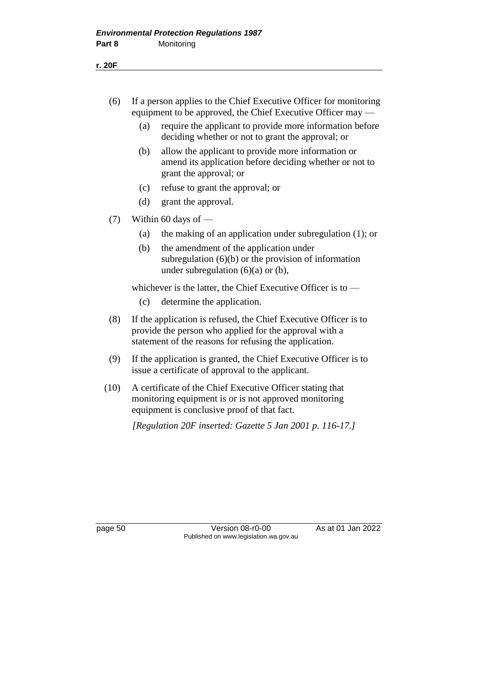- (6) If a person applies to the Chief Executive Officer for monitoring equipment to be approved, the Chief Executive Officer may —
	- (a) require the applicant to provide more information before deciding whether or not to grant the approval; or
	- (b) allow the applicant to provide more information or amend its application before deciding whether or not to grant the approval; or
	- (c) refuse to grant the approval; or
	- (d) grant the approval.
- (7) Within 60 days of
	- (a) the making of an application under subregulation (1); or
	- (b) the amendment of the application under subregulation (6)(b) or the provision of information under subregulation  $(6)(a)$  or  $(b)$ ,

whichever is the latter, the Chief Executive Officer is to —

- (c) determine the application.
- (8) If the application is refused, the Chief Executive Officer is to provide the person who applied for the approval with a statement of the reasons for refusing the application.
- (9) If the application is granted, the Chief Executive Officer is to issue a certificate of approval to the applicant.
- (10) A certificate of the Chief Executive Officer stating that monitoring equipment is or is not approved monitoring equipment is conclusive proof of that fact.

*[Regulation 20F inserted: Gazette 5 Jan 2001 p. 116-17.]*

page 50 Version 08-r0-00 As at 01 Jan 2022 Published on www.legislation.wa.gov.au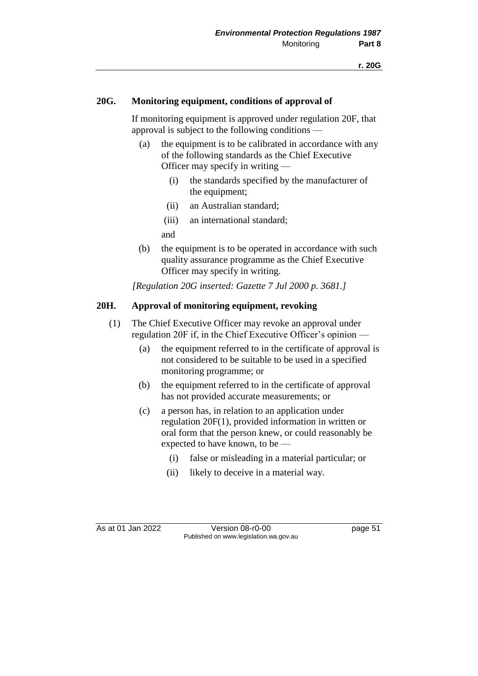#### **20G. Monitoring equipment, conditions of approval of**

If monitoring equipment is approved under regulation 20F, that approval is subject to the following conditions —

- (a) the equipment is to be calibrated in accordance with any of the following standards as the Chief Executive Officer may specify in writing —
	- (i) the standards specified by the manufacturer of the equipment;
	- (ii) an Australian standard;
	- (iii) an international standard;

and

(b) the equipment is to be operated in accordance with such quality assurance programme as the Chief Executive Officer may specify in writing.

*[Regulation 20G inserted: Gazette 7 Jul 2000 p. 3681.]*

### **20H. Approval of monitoring equipment, revoking**

- (1) The Chief Executive Officer may revoke an approval under regulation 20F if, in the Chief Executive Officer's opinion —
	- (a) the equipment referred to in the certificate of approval is not considered to be suitable to be used in a specified monitoring programme; or
	- (b) the equipment referred to in the certificate of approval has not provided accurate measurements; or
	- (c) a person has, in relation to an application under regulation 20F(1), provided information in written or oral form that the person knew, or could reasonably be expected to have known, to be —
		- (i) false or misleading in a material particular; or
		- (ii) likely to deceive in a material way.

As at 01 Jan 2022 Version 08-r0-00 page 51 Published on www.legislation.wa.gov.au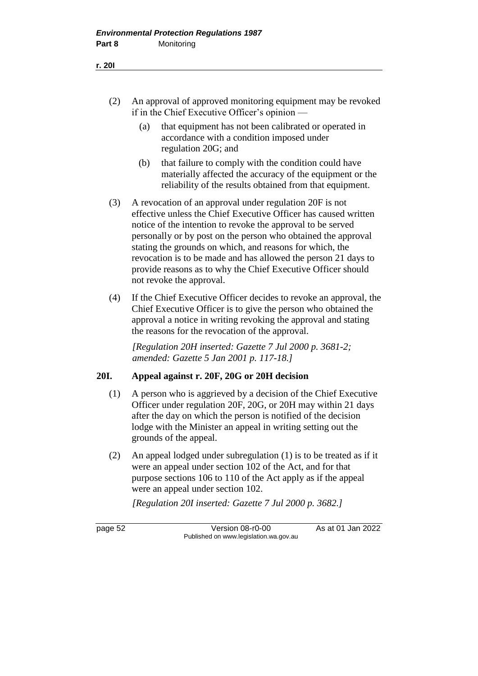- (2) An approval of approved monitoring equipment may be revoked if in the Chief Executive Officer's opinion —
	- (a) that equipment has not been calibrated or operated in accordance with a condition imposed under regulation 20G; and
	- (b) that failure to comply with the condition could have materially affected the accuracy of the equipment or the reliability of the results obtained from that equipment.
- (3) A revocation of an approval under regulation 20F is not effective unless the Chief Executive Officer has caused written notice of the intention to revoke the approval to be served personally or by post on the person who obtained the approval stating the grounds on which, and reasons for which, the revocation is to be made and has allowed the person 21 days to provide reasons as to why the Chief Executive Officer should not revoke the approval.
- (4) If the Chief Executive Officer decides to revoke an approval, the Chief Executive Officer is to give the person who obtained the approval a notice in writing revoking the approval and stating the reasons for the revocation of the approval.

*[Regulation 20H inserted: Gazette 7 Jul 2000 p. 3681-2; amended: Gazette 5 Jan 2001 p. 117-18.]*

## **20I. Appeal against r. 20F, 20G or 20H decision**

- (1) A person who is aggrieved by a decision of the Chief Executive Officer under regulation 20F, 20G, or 20H may within 21 days after the day on which the person is notified of the decision lodge with the Minister an appeal in writing setting out the grounds of the appeal.
- (2) An appeal lodged under subregulation (1) is to be treated as if it were an appeal under section 102 of the Act, and for that purpose sections 106 to 110 of the Act apply as if the appeal were an appeal under section 102.

*[Regulation 20I inserted: Gazette 7 Jul 2000 p. 3682.]*

page 52 Version 08-r0-00 As at 01 Jan 2022 Published on www.legislation.wa.gov.au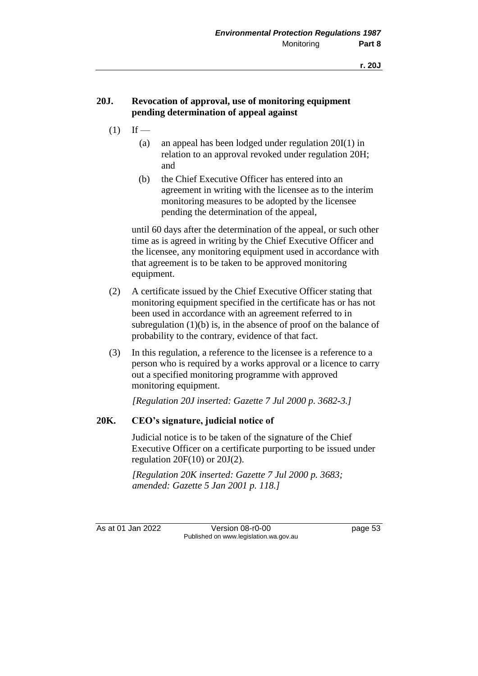### **20J. Revocation of approval, use of monitoring equipment pending determination of appeal against**

- $(1)$  If
	- (a) an appeal has been lodged under regulation 20I(1) in relation to an approval revoked under regulation 20H; and
	- (b) the Chief Executive Officer has entered into an agreement in writing with the licensee as to the interim monitoring measures to be adopted by the licensee pending the determination of the appeal,

until 60 days after the determination of the appeal, or such other time as is agreed in writing by the Chief Executive Officer and the licensee, any monitoring equipment used in accordance with that agreement is to be taken to be approved monitoring equipment.

- (2) A certificate issued by the Chief Executive Officer stating that monitoring equipment specified in the certificate has or has not been used in accordance with an agreement referred to in subregulation  $(1)(b)$  is, in the absence of proof on the balance of probability to the contrary, evidence of that fact.
- (3) In this regulation, a reference to the licensee is a reference to a person who is required by a works approval or a licence to carry out a specified monitoring programme with approved monitoring equipment.

*[Regulation 20J inserted: Gazette 7 Jul 2000 p. 3682-3.]*

#### **20K. CEO's signature, judicial notice of**

Judicial notice is to be taken of the signature of the Chief Executive Officer on a certificate purporting to be issued under regulation  $20F(10)$  or  $20J(2)$ .

*[Regulation 20K inserted: Gazette 7 Jul 2000 p. 3683; amended: Gazette 5 Jan 2001 p. 118.]*

As at 01 Jan 2022 Version 08-r0-00 page 53 Published on www.legislation.wa.gov.au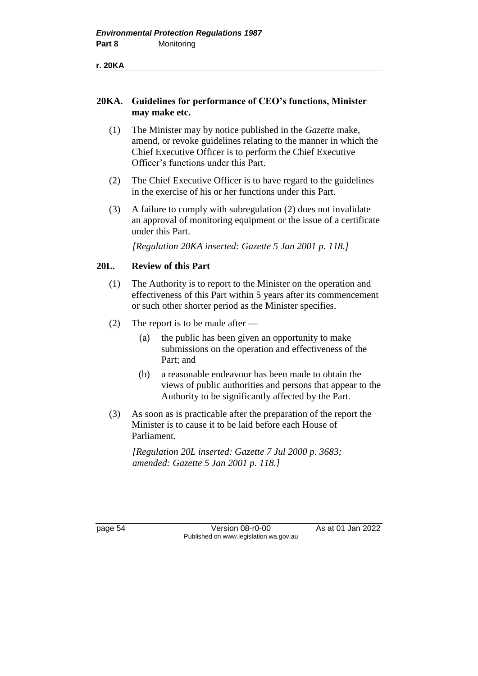### **20KA. Guidelines for performance of CEO's functions, Minister may make etc.**

- (1) The Minister may by notice published in the *Gazette* make, amend, or revoke guidelines relating to the manner in which the Chief Executive Officer is to perform the Chief Executive Officer's functions under this Part.
- (2) The Chief Executive Officer is to have regard to the guidelines in the exercise of his or her functions under this Part.
- (3) A failure to comply with subregulation (2) does not invalidate an approval of monitoring equipment or the issue of a certificate under this Part.

*[Regulation 20KA inserted: Gazette 5 Jan 2001 p. 118.]*

## **20L. Review of this Part**

- (1) The Authority is to report to the Minister on the operation and effectiveness of this Part within 5 years after its commencement or such other shorter period as the Minister specifies.
- (2) The report is to be made after
	- (a) the public has been given an opportunity to make submissions on the operation and effectiveness of the Part; and
	- (b) a reasonable endeavour has been made to obtain the views of public authorities and persons that appear to the Authority to be significantly affected by the Part.
- (3) As soon as is practicable after the preparation of the report the Minister is to cause it to be laid before each House of Parliament.

*[Regulation 20L inserted: Gazette 7 Jul 2000 p. 3683; amended: Gazette 5 Jan 2001 p. 118.]*

page 54 Version 08-r0-00 As at 01 Jan 2022 Published on www.legislation.wa.gov.au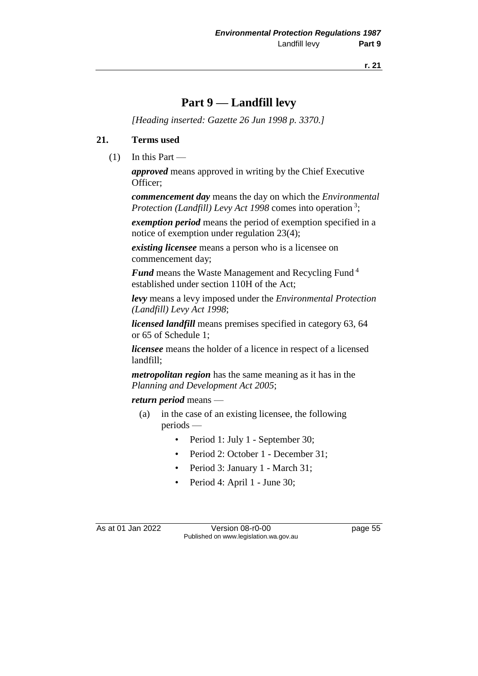# **Part 9 — Landfill levy**

*[Heading inserted: Gazette 26 Jun 1998 p. 3370.]*

#### **21. Terms used**

 $(1)$  In this Part —

*approved* means approved in writing by the Chief Executive Officer;

*commencement day* means the day on which the *Environmental*  Protection (Landfill) Levy Act 1998 comes into operation<sup>3</sup>;

*exemption period* means the period of exemption specified in a notice of exemption under regulation 23(4);

*existing licensee* means a person who is a licensee on commencement day;

*Fund* means the Waste Management and Recycling Fund <sup>4</sup> established under section 110H of the Act;

*levy* means a levy imposed under the *Environmental Protection (Landfill) Levy Act 1998*;

*licensed landfill* means premises specified in category 63, 64 or 65 of Schedule 1;

*licensee* means the holder of a licence in respect of a licensed landfill;

*metropolitan region* has the same meaning as it has in the *Planning and Development Act 2005*;

*return period* means —

- (a) in the case of an existing licensee, the following periods —
	- Period 1: July 1 September 30;
	- Period 2: October 1 December 31;
	- Period 3: January 1 March 31;
	- Period 4: April 1 June 30;

As at 01 Jan 2022 Version 08-r0-00 page 55 Published on www.legislation.wa.gov.au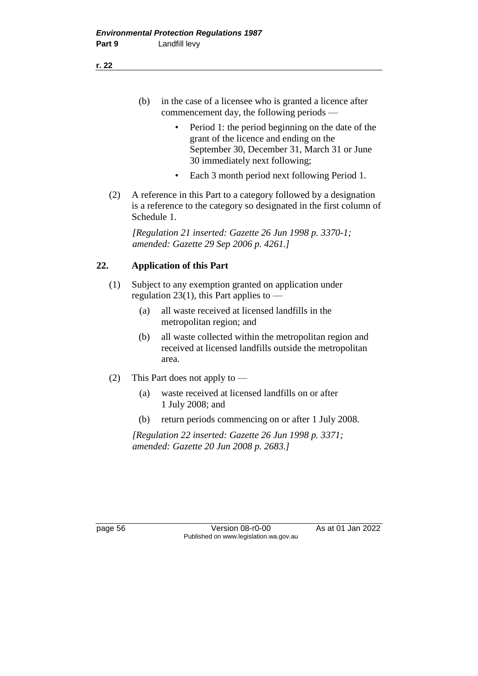(b) in the case of a licensee who is granted a licence after commencement day, the following periods —

- Period 1: the period beginning on the date of the grant of the licence and ending on the September 30, December 31, March 31 or June 30 immediately next following;
- Each 3 month period next following Period 1.
- (2) A reference in this Part to a category followed by a designation is a reference to the category so designated in the first column of Schedule 1.

*[Regulation 21 inserted: Gazette 26 Jun 1998 p. 3370-1; amended: Gazette 29 Sep 2006 p. 4261.]*

# **22. Application of this Part**

- (1) Subject to any exemption granted on application under regulation 23(1), this Part applies to  $-$ 
	- (a) all waste received at licensed landfills in the metropolitan region; and
	- (b) all waste collected within the metropolitan region and received at licensed landfills outside the metropolitan area.
- (2) This Part does not apply to
	- (a) waste received at licensed landfills on or after 1 July 2008; and
	- (b) return periods commencing on or after 1 July 2008.

*[Regulation 22 inserted: Gazette 26 Jun 1998 p. 3371; amended: Gazette 20 Jun 2008 p. 2683.]*

page 56 Version 08-r0-00 As at 01 Jan 2022 Published on www.legislation.wa.gov.au

**r. 22**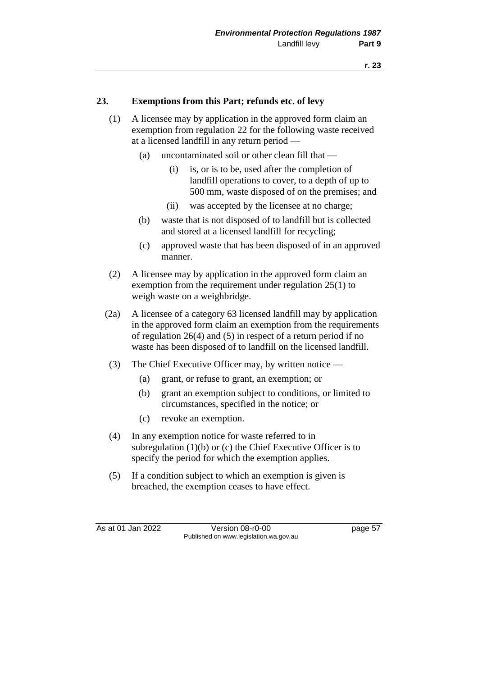#### **23. Exemptions from this Part; refunds etc. of levy**

- (1) A licensee may by application in the approved form claim an exemption from regulation 22 for the following waste received at a licensed landfill in any return period —
	- (a) uncontaminated soil or other clean fill that
		- (i) is, or is to be, used after the completion of landfill operations to cover, to a depth of up to 500 mm, waste disposed of on the premises; and
		- (ii) was accepted by the licensee at no charge;
	- (b) waste that is not disposed of to landfill but is collected and stored at a licensed landfill for recycling;
	- (c) approved waste that has been disposed of in an approved manner.
- (2) A licensee may by application in the approved form claim an exemption from the requirement under regulation 25(1) to weigh waste on a weighbridge.
- (2a) A licensee of a category 63 licensed landfill may by application in the approved form claim an exemption from the requirements of regulation 26(4) and (5) in respect of a return period if no waste has been disposed of to landfill on the licensed landfill.
- (3) The Chief Executive Officer may, by written notice
	- (a) grant, or refuse to grant, an exemption; or
	- (b) grant an exemption subject to conditions, or limited to circumstances, specified in the notice; or
	- (c) revoke an exemption.
- (4) In any exemption notice for waste referred to in subregulation (1)(b) or (c) the Chief Executive Officer is to specify the period for which the exemption applies.
- (5) If a condition subject to which an exemption is given is breached, the exemption ceases to have effect.

As at 01 Jan 2022 Version 08-r0-00 page 57 Published on www.legislation.wa.gov.au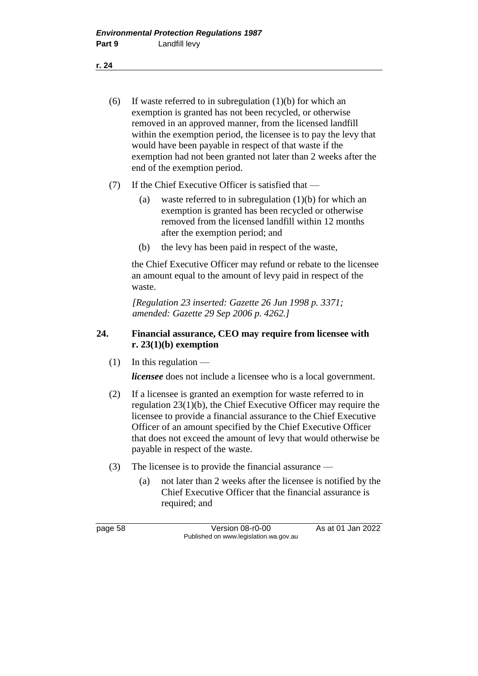(6) If waste referred to in subregulation (1)(b) for which an exemption is granted has not been recycled, or otherwise removed in an approved manner, from the licensed landfill within the exemption period, the licensee is to pay the levy that would have been payable in respect of that waste if the exemption had not been granted not later than 2 weeks after the end of the exemption period.

- (7) If the Chief Executive Officer is satisfied that
	- (a) waste referred to in subregulation  $(1)(b)$  for which an exemption is granted has been recycled or otherwise removed from the licensed landfill within 12 months after the exemption period; and
	- (b) the levy has been paid in respect of the waste,

the Chief Executive Officer may refund or rebate to the licensee an amount equal to the amount of levy paid in respect of the waste.

*[Regulation 23 inserted: Gazette 26 Jun 1998 p. 3371; amended: Gazette 29 Sep 2006 p. 4262.]*

### **24. Financial assurance, CEO may require from licensee with r. 23(1)(b) exemption**

 $(1)$  In this regulation —

*licensee* does not include a licensee who is a local government.

- (2) If a licensee is granted an exemption for waste referred to in regulation 23(1)(b), the Chief Executive Officer may require the licensee to provide a financial assurance to the Chief Executive Officer of an amount specified by the Chief Executive Officer that does not exceed the amount of levy that would otherwise be payable in respect of the waste.
- (3) The licensee is to provide the financial assurance
	- (a) not later than 2 weeks after the licensee is notified by the Chief Executive Officer that the financial assurance is required; and

page 58 Version 08-r0-00 As at 01 Jan 2022 Published on www.legislation.wa.gov.au

**r. 24**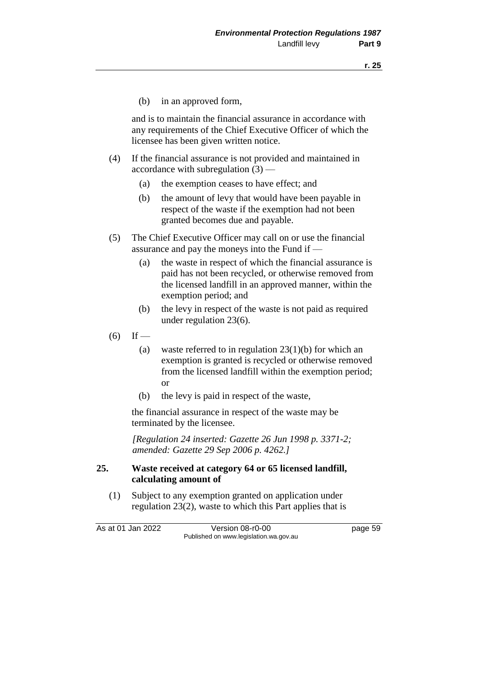(b) in an approved form,

and is to maintain the financial assurance in accordance with any requirements of the Chief Executive Officer of which the licensee has been given written notice.

- (4) If the financial assurance is not provided and maintained in accordance with subregulation  $(3)$  —
	- (a) the exemption ceases to have effect; and
	- (b) the amount of levy that would have been payable in respect of the waste if the exemption had not been granted becomes due and payable.
- (5) The Chief Executive Officer may call on or use the financial assurance and pay the moneys into the Fund if —
	- (a) the waste in respect of which the financial assurance is paid has not been recycled, or otherwise removed from the licensed landfill in an approved manner, within the exemption period; and
	- (b) the levy in respect of the waste is not paid as required under regulation 23(6).
- $(6)$  If
	- (a) waste referred to in regulation  $23(1)(b)$  for which an exemption is granted is recycled or otherwise removed from the licensed landfill within the exemption period; or
	- (b) the levy is paid in respect of the waste,

the financial assurance in respect of the waste may be terminated by the licensee.

*[Regulation 24 inserted: Gazette 26 Jun 1998 p. 3371-2; amended: Gazette 29 Sep 2006 p. 4262.]*

#### **25. Waste received at category 64 or 65 licensed landfill, calculating amount of**

(1) Subject to any exemption granted on application under regulation 23(2), waste to which this Part applies that is

As at 01 Jan 2022 Version 08-r0-00 page 59 Published on www.legislation.wa.gov.au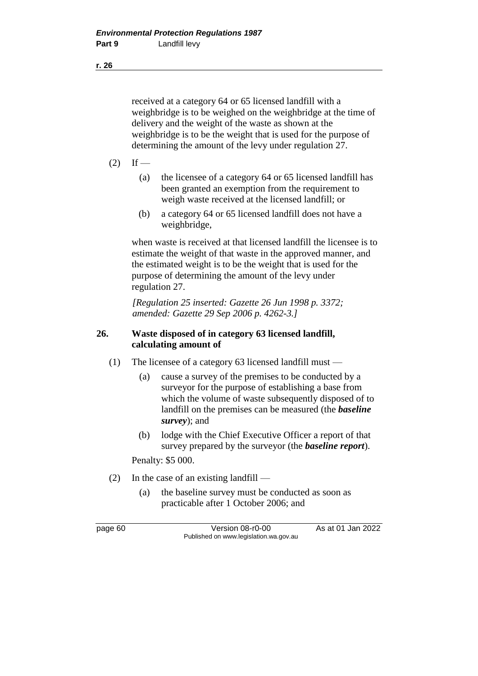received at a category 64 or 65 licensed landfill with a weighbridge is to be weighed on the weighbridge at the time of delivery and the weight of the waste as shown at the weighbridge is to be the weight that is used for the purpose of determining the amount of the levy under regulation 27.

- $(2)$  If
	- (a) the licensee of a category 64 or 65 licensed landfill has been granted an exemption from the requirement to weigh waste received at the licensed landfill; or
	- (b) a category 64 or 65 licensed landfill does not have a weighbridge,

when waste is received at that licensed landfill the licensee is to estimate the weight of that waste in the approved manner, and the estimated weight is to be the weight that is used for the purpose of determining the amount of the levy under regulation 27.

*[Regulation 25 inserted: Gazette 26 Jun 1998 p. 3372; amended: Gazette 29 Sep 2006 p. 4262-3.]*

#### **26. Waste disposed of in category 63 licensed landfill, calculating amount of**

- (1) The licensee of a category 63 licensed landfill must
	- (a) cause a survey of the premises to be conducted by a surveyor for the purpose of establishing a base from which the volume of waste subsequently disposed of to landfill on the premises can be measured (the *baseline survey*); and
	- (b) lodge with the Chief Executive Officer a report of that survey prepared by the surveyor (the *baseline report*).

Penalty: \$5 000.

- (2) In the case of an existing landfill
	- (a) the baseline survey must be conducted as soon as practicable after 1 October 2006; and

page 60 **Version 08-r0-00** As at 01 Jan 2022 Published on www.legislation.wa.gov.au

**r. 26**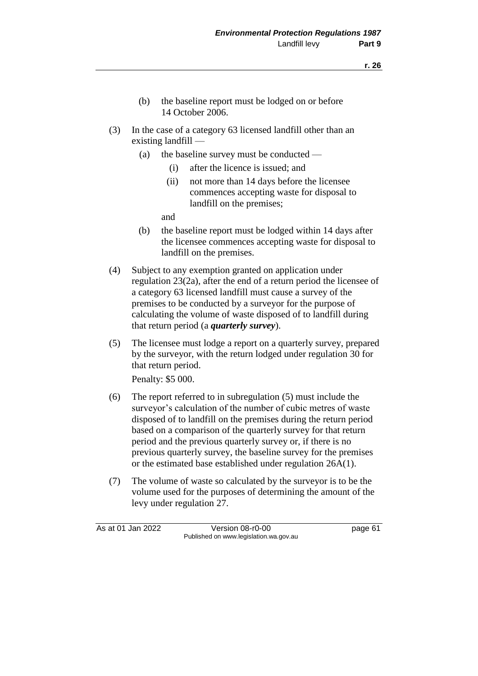- (b) the baseline report must be lodged on or before 14 October 2006.
- (3) In the case of a category 63 licensed landfill other than an existing landfill —
	- (a) the baseline survey must be conducted
		- (i) after the licence is issued; and
		- (ii) not more than 14 days before the licensee commences accepting waste for disposal to landfill on the premises;

and

- (b) the baseline report must be lodged within 14 days after the licensee commences accepting waste for disposal to landfill on the premises.
- (4) Subject to any exemption granted on application under regulation 23(2a), after the end of a return period the licensee of a category 63 licensed landfill must cause a survey of the premises to be conducted by a surveyor for the purpose of calculating the volume of waste disposed of to landfill during that return period (a *quarterly survey*).
- (5) The licensee must lodge a report on a quarterly survey, prepared by the surveyor, with the return lodged under regulation 30 for that return period.

Penalty: \$5 000.

- (6) The report referred to in subregulation (5) must include the surveyor's calculation of the number of cubic metres of waste disposed of to landfill on the premises during the return period based on a comparison of the quarterly survey for that return period and the previous quarterly survey or, if there is no previous quarterly survey, the baseline survey for the premises or the estimated base established under regulation 26A(1).
- (7) The volume of waste so calculated by the surveyor is to be the volume used for the purposes of determining the amount of the levy under regulation 27.

As at 01 Jan 2022 Version 08-r0-00 page 61 Published on www.legislation.wa.gov.au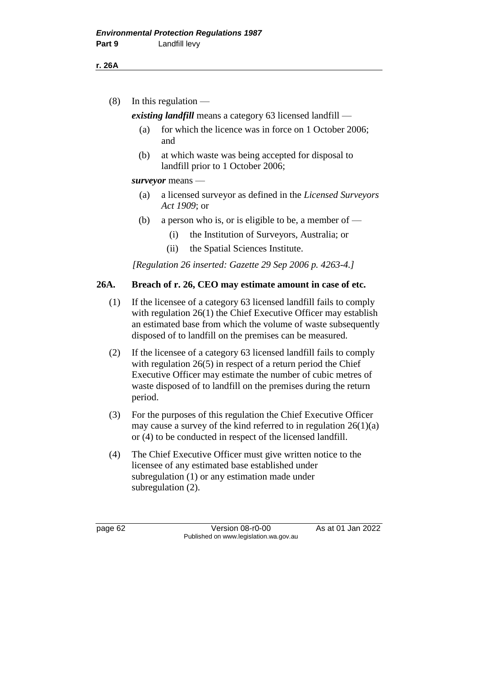#### **r. 26A**

 $(8)$  In this regulation —

*existing landfill* means a category 63 licensed landfill —

- (a) for which the licence was in force on 1 October 2006; and
- (b) at which waste was being accepted for disposal to landfill prior to 1 October 2006;

### *surveyor* means —

- (a) a licensed surveyor as defined in the *Licensed Surveyors Act 1909*; or
- (b) a person who is, or is eligible to be, a member of  $-$ 
	- (i) the Institution of Surveyors, Australia; or
	- (ii) the Spatial Sciences Institute.

*[Regulation 26 inserted: Gazette 29 Sep 2006 p. 4263-4.]*

### **26A. Breach of r. 26, CEO may estimate amount in case of etc.**

- (1) If the licensee of a category 63 licensed landfill fails to comply with regulation 26(1) the Chief Executive Officer may establish an estimated base from which the volume of waste subsequently disposed of to landfill on the premises can be measured.
- (2) If the licensee of a category 63 licensed landfill fails to comply with regulation 26(5) in respect of a return period the Chief Executive Officer may estimate the number of cubic metres of waste disposed of to landfill on the premises during the return period.
- (3) For the purposes of this regulation the Chief Executive Officer may cause a survey of the kind referred to in regulation  $26(1)(a)$ or (4) to be conducted in respect of the licensed landfill.
- (4) The Chief Executive Officer must give written notice to the licensee of any estimated base established under subregulation (1) or any estimation made under subregulation (2).

page 62 Version 08-r0-00 As at 01 Jan 2022 Published on www.legislation.wa.gov.au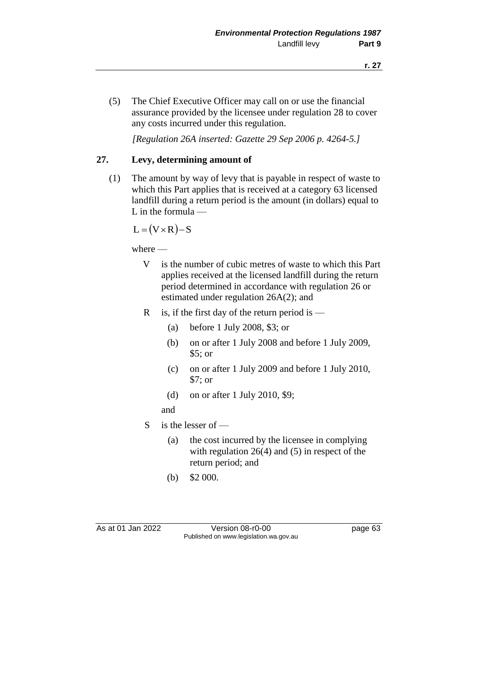(5) The Chief Executive Officer may call on or use the financial assurance provided by the licensee under regulation 28 to cover any costs incurred under this regulation.

*[Regulation 26A inserted: Gazette 29 Sep 2006 p. 4264-5.]*

# **27. Levy, determining amount of**

(1) The amount by way of levy that is payable in respect of waste to which this Part applies that is received at a category 63 licensed landfill during a return period is the amount (in dollars) equal to L in the formula —

 $L = (V \times R) - S$ 

where —

- V is the number of cubic metres of waste to which this Part applies received at the licensed landfill during the return period determined in accordance with regulation 26 or estimated under regulation 26A(2); and
- R is, if the first day of the return period is  $-$ 
	- (a) before 1 July 2008, \$3; or
	- (b) on or after 1 July 2008 and before 1 July 2009, \$5; or
	- (c) on or after 1 July 2009 and before 1 July 2010, \$7; or
	- (d) on or after 1 July 2010, \$9;

and

- S is the lesser of
	- (a) the cost incurred by the licensee in complying with regulation 26(4) and (5) in respect of the return period; and
	- (b) \$2 000.

As at 01 Jan 2022 Version 08-r0-00 page 63 Published on www.legislation.wa.gov.au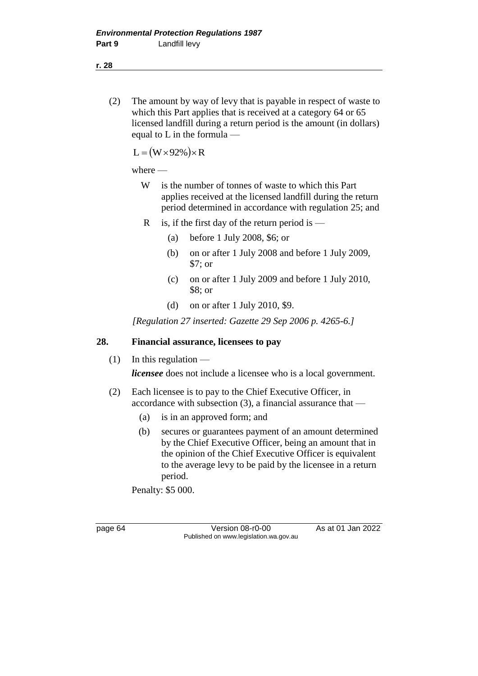(2) The amount by way of levy that is payable in respect of waste to which this Part applies that is received at a category 64 or 65 licensed landfill during a return period is the amount (in dollars) equal to L in the formula —

$$
L = (W \times 92\%) \times R
$$

### where —

- W is the number of tonnes of waste to which this Part applies received at the licensed landfill during the return period determined in accordance with regulation 25; and
- R is, if the first day of the return period is  $-$ 
	- (a) before 1 July 2008, \$6; or
	- (b) on or after 1 July 2008 and before 1 July 2009, \$7; or
	- (c) on or after 1 July 2009 and before 1 July 2010, \$8; or
	- (d) on or after 1 July 2010, \$9.

*[Regulation 27 inserted: Gazette 29 Sep 2006 p. 4265-6.]*

#### **28. Financial assurance, licensees to pay**

 $(1)$  In this regulation —

*licensee* does not include a licensee who is a local government.

- (2) Each licensee is to pay to the Chief Executive Officer, in accordance with subsection (3), a financial assurance that —
	- (a) is in an approved form; and
	- (b) secures or guarantees payment of an amount determined by the Chief Executive Officer, being an amount that in the opinion of the Chief Executive Officer is equivalent to the average levy to be paid by the licensee in a return period.

Penalty: \$5 000.

page 64 Version 08-r0-00 As at 01 Jan 2022 Published on www.legislation.wa.gov.au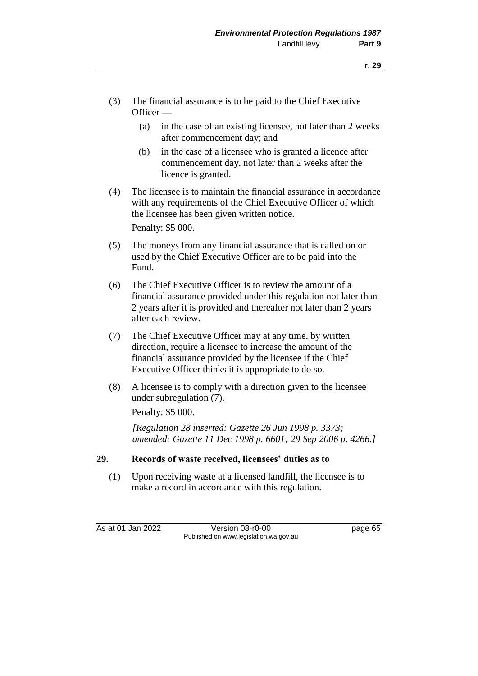- (3) The financial assurance is to be paid to the Chief Executive Officer —
	- (a) in the case of an existing licensee, not later than 2 weeks after commencement day; and
	- (b) in the case of a licensee who is granted a licence after commencement day, not later than 2 weeks after the licence is granted.
- (4) The licensee is to maintain the financial assurance in accordance with any requirements of the Chief Executive Officer of which the licensee has been given written notice.

Penalty: \$5 000.

- (5) The moneys from any financial assurance that is called on or used by the Chief Executive Officer are to be paid into the Fund.
- (6) The Chief Executive Officer is to review the amount of a financial assurance provided under this regulation not later than 2 years after it is provided and thereafter not later than 2 years after each review.
- (7) The Chief Executive Officer may at any time, by written direction, require a licensee to increase the amount of the financial assurance provided by the licensee if the Chief Executive Officer thinks it is appropriate to do so.
- (8) A licensee is to comply with a direction given to the licensee under subregulation (7).

Penalty: \$5 000.

*[Regulation 28 inserted: Gazette 26 Jun 1998 p. 3373; amended: Gazette 11 Dec 1998 p. 6601; 29 Sep 2006 p. 4266.]*

#### **29. Records of waste received, licensees' duties as to**

(1) Upon receiving waste at a licensed landfill, the licensee is to make a record in accordance with this regulation.

As at 01 Jan 2022 Version 08-r0-00 page 65 Published on www.legislation.wa.gov.au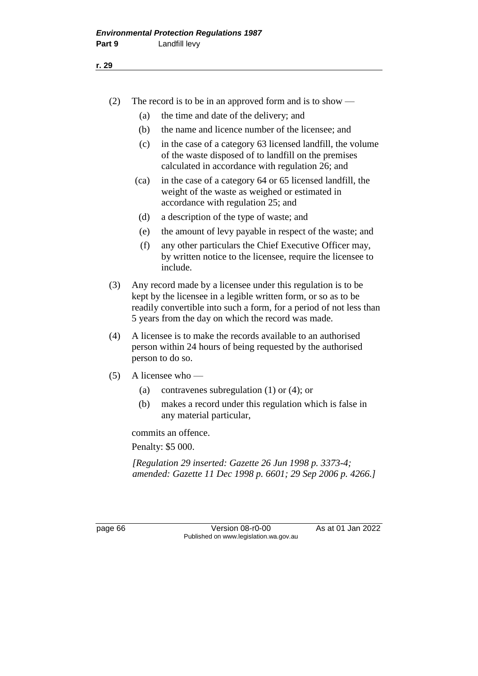- (2) The record is to be in an approved form and is to show
	- (a) the time and date of the delivery; and
	- (b) the name and licence number of the licensee; and
	- (c) in the case of a category 63 licensed landfill, the volume of the waste disposed of to landfill on the premises calculated in accordance with regulation 26; and
	- (ca) in the case of a category 64 or 65 licensed landfill, the weight of the waste as weighed or estimated in accordance with regulation 25; and
	- (d) a description of the type of waste; and
	- (e) the amount of levy payable in respect of the waste; and
	- (f) any other particulars the Chief Executive Officer may, by written notice to the licensee, require the licensee to include.
- (3) Any record made by a licensee under this regulation is to be kept by the licensee in a legible written form, or so as to be readily convertible into such a form, for a period of not less than 5 years from the day on which the record was made.
- (4) A licensee is to make the records available to an authorised person within 24 hours of being requested by the authorised person to do so.
- (5) A licensee who
	- (a) contravenes subregulation (1) or (4); or
	- (b) makes a record under this regulation which is false in any material particular,

commits an offence.

Penalty: \$5 000.

*[Regulation 29 inserted: Gazette 26 Jun 1998 p. 3373-4; amended: Gazette 11 Dec 1998 p. 6601; 29 Sep 2006 p. 4266.]*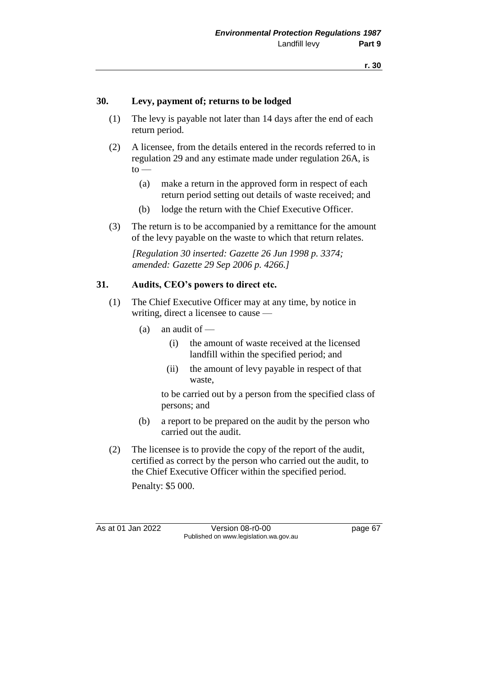### **30. Levy, payment of; returns to be lodged**

- (1) The levy is payable not later than 14 days after the end of each return period.
- (2) A licensee, from the details entered in the records referred to in regulation 29 and any estimate made under regulation 26A, is  $to -$ 
	- (a) make a return in the approved form in respect of each return period setting out details of waste received; and
	- (b) lodge the return with the Chief Executive Officer.
- (3) The return is to be accompanied by a remittance for the amount of the levy payable on the waste to which that return relates.

*[Regulation 30 inserted: Gazette 26 Jun 1998 p. 3374; amended: Gazette 29 Sep 2006 p. 4266.]*

#### **31. Audits, CEO's powers to direct etc.**

- (1) The Chief Executive Officer may at any time, by notice in writing, direct a licensee to cause —
	- (a) an audit of  $-$ 
		- (i) the amount of waste received at the licensed landfill within the specified period; and
		- (ii) the amount of levy payable in respect of that waste,

to be carried out by a person from the specified class of persons; and

- (b) a report to be prepared on the audit by the person who carried out the audit.
- (2) The licensee is to provide the copy of the report of the audit, certified as correct by the person who carried out the audit, to the Chief Executive Officer within the specified period.

Penalty: \$5 000.

As at 01 Jan 2022 Version 08-r0-00 page 67 Published on www.legislation.wa.gov.au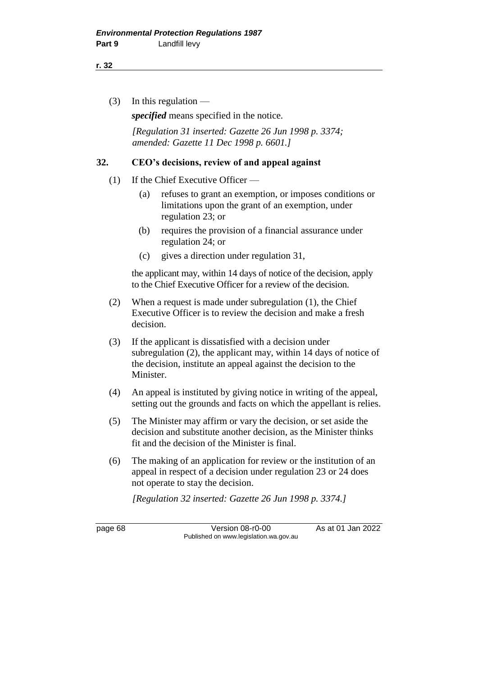#### **r. 32**

(3) In this regulation —

*specified* means specified in the notice.

*[Regulation 31 inserted: Gazette 26 Jun 1998 p. 3374; amended: Gazette 11 Dec 1998 p. 6601.]*

### **32. CEO's decisions, review of and appeal against**

- (1) If the Chief Executive Officer
	- (a) refuses to grant an exemption, or imposes conditions or limitations upon the grant of an exemption, under regulation 23; or
	- (b) requires the provision of a financial assurance under regulation 24; or
	- (c) gives a direction under regulation 31,

the applicant may, within 14 days of notice of the decision, apply to the Chief Executive Officer for a review of the decision.

- (2) When a request is made under subregulation (1), the Chief Executive Officer is to review the decision and make a fresh decision.
- (3) If the applicant is dissatisfied with a decision under subregulation (2), the applicant may, within 14 days of notice of the decision, institute an appeal against the decision to the Minister.
- (4) An appeal is instituted by giving notice in writing of the appeal, setting out the grounds and facts on which the appellant is relies.
- (5) The Minister may affirm or vary the decision, or set aside the decision and substitute another decision, as the Minister thinks fit and the decision of the Minister is final.
- (6) The making of an application for review or the institution of an appeal in respect of a decision under regulation 23 or 24 does not operate to stay the decision.

*[Regulation 32 inserted: Gazette 26 Jun 1998 p. 3374.]*

page 68 Version 08-r0-00 As at 01 Jan 2022 Published on www.legislation.wa.gov.au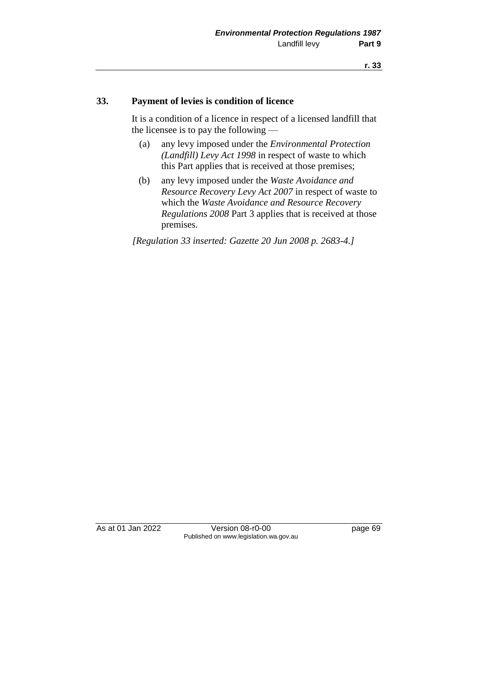#### **33. Payment of levies is condition of licence**

It is a condition of a licence in respect of a licensed landfill that the licensee is to pay the following —

- (a) any levy imposed under the *Environmental Protection (Landfill) Levy Act 1998* in respect of waste to which this Part applies that is received at those premises;
- (b) any levy imposed under the *Waste Avoidance and Resource Recovery Levy Act 2007* in respect of waste to which the *Waste Avoidance and Resource Recovery Regulations 2008* Part 3 applies that is received at those premises.

*[Regulation 33 inserted: Gazette 20 Jun 2008 p. 2683-4.]*

As at 01 Jan 2022 Version 08-r0-00 Page 69 Published on www.legislation.wa.gov.au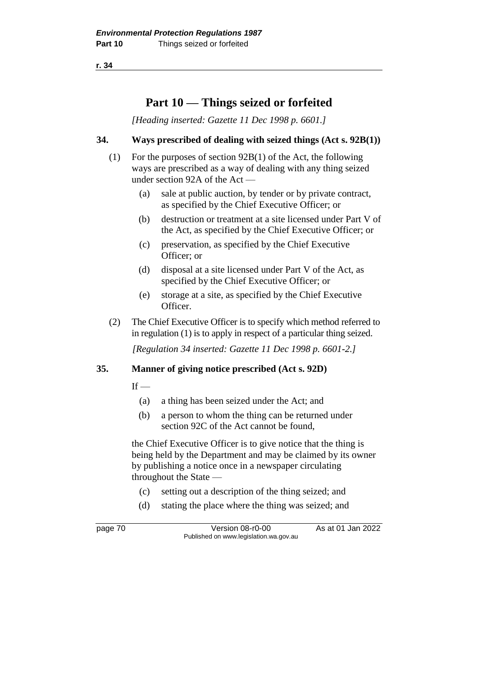**r. 34**

# **Part 10 — Things seized or forfeited**

*[Heading inserted: Gazette 11 Dec 1998 p. 6601.]*

### **34. Ways prescribed of dealing with seized things (Act s. 92B(1))**

- (1) For the purposes of section 92B(1) of the Act, the following ways are prescribed as a way of dealing with any thing seized under section 92A of the Act —
	- (a) sale at public auction, by tender or by private contract, as specified by the Chief Executive Officer; or
	- (b) destruction or treatment at a site licensed under Part V of the Act, as specified by the Chief Executive Officer; or
	- (c) preservation, as specified by the Chief Executive Officer; or
	- (d) disposal at a site licensed under Part V of the Act, as specified by the Chief Executive Officer; or
	- (e) storage at a site, as specified by the Chief Executive Officer.
- (2) The Chief Executive Officer is to specify which method referred to in regulation (1) is to apply in respect of a particular thing seized.

*[Regulation 34 inserted: Gazette 11 Dec 1998 p. 6601-2.]*

### **35. Manner of giving notice prescribed (Act s. 92D)**

 $If -$ 

- (a) a thing has been seized under the Act; and
- (b) a person to whom the thing can be returned under section 92C of the Act cannot be found,

the Chief Executive Officer is to give notice that the thing is being held by the Department and may be claimed by its owner by publishing a notice once in a newspaper circulating throughout the State —

- (c) setting out a description of the thing seized; and
- (d) stating the place where the thing was seized; and

page 70 **Version 08-r0-00** As at 01 Jan 2022 Published on www.legislation.wa.gov.au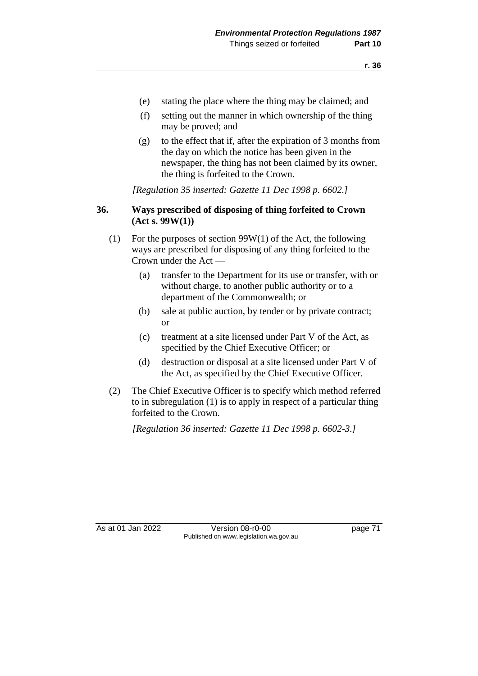- (e) stating the place where the thing may be claimed; and
- (f) setting out the manner in which ownership of the thing may be proved; and
- (g) to the effect that if, after the expiration of 3 months from the day on which the notice has been given in the newspaper, the thing has not been claimed by its owner, the thing is forfeited to the Crown.

*[Regulation 35 inserted: Gazette 11 Dec 1998 p. 6602.]*

### **36. Ways prescribed of disposing of thing forfeited to Crown (Act s. 99W(1))**

- (1) For the purposes of section 99W(1) of the Act, the following ways are prescribed for disposing of any thing forfeited to the Crown under the Act —
	- (a) transfer to the Department for its use or transfer, with or without charge, to another public authority or to a department of the Commonwealth; or
	- (b) sale at public auction, by tender or by private contract; or
	- (c) treatment at a site licensed under Part V of the Act, as specified by the Chief Executive Officer; or
	- (d) destruction or disposal at a site licensed under Part V of the Act, as specified by the Chief Executive Officer.
- (2) The Chief Executive Officer is to specify which method referred to in subregulation (1) is to apply in respect of a particular thing forfeited to the Crown.

*[Regulation 36 inserted: Gazette 11 Dec 1998 p. 6602-3.]*

As at 01 Jan 2022 Version 08-r0-00 page 71 Published on www.legislation.wa.gov.au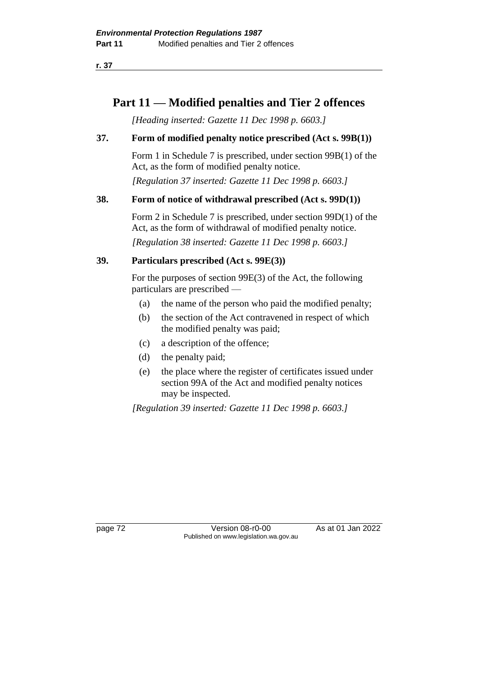**r. 37**

# **Part 11 — Modified penalties and Tier 2 offences**

*[Heading inserted: Gazette 11 Dec 1998 p. 6603.]*

### **37. Form of modified penalty notice prescribed (Act s. 99B(1))**

Form 1 in Schedule 7 is prescribed, under section 99B(1) of the Act, as the form of modified penalty notice.

*[Regulation 37 inserted: Gazette 11 Dec 1998 p. 6603.]*

### **38. Form of notice of withdrawal prescribed (Act s. 99D(1))**

Form 2 in Schedule 7 is prescribed, under section 99D(1) of the Act, as the form of withdrawal of modified penalty notice.

*[Regulation 38 inserted: Gazette 11 Dec 1998 p. 6603.]*

### **39. Particulars prescribed (Act s. 99E(3))**

For the purposes of section 99E(3) of the Act, the following particulars are prescribed —

- (a) the name of the person who paid the modified penalty;
- (b) the section of the Act contravened in respect of which the modified penalty was paid;
- (c) a description of the offence;
- (d) the penalty paid;
- (e) the place where the register of certificates issued under section 99A of the Act and modified penalty notices may be inspected.

*[Regulation 39 inserted: Gazette 11 Dec 1998 p. 6603.]*

page 72 Version 08-r0-00 As at 01 Jan 2022 Published on www.legislation.wa.gov.au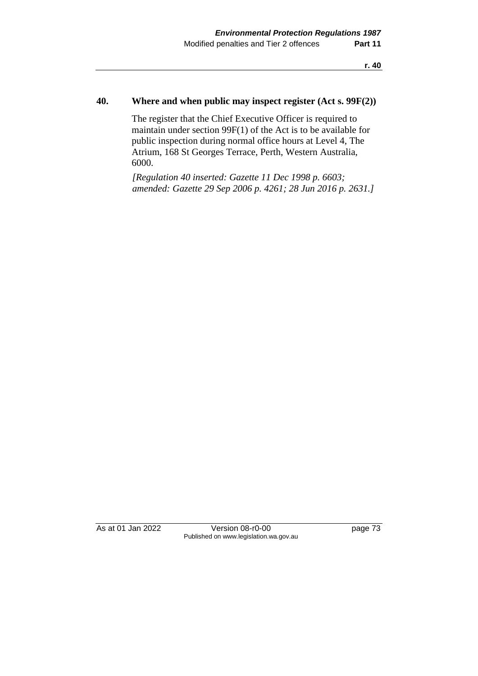#### **40. Where and when public may inspect register (Act s. 99F(2))**

The register that the Chief Executive Officer is required to maintain under section 99F(1) of the Act is to be available for public inspection during normal office hours at Level 4, The Atrium, 168 St Georges Terrace, Perth, Western Australia, 6000.

*[Regulation 40 inserted: Gazette 11 Dec 1998 p. 6603; amended: Gazette 29 Sep 2006 p. 4261; 28 Jun 2016 p. 2631.]*

As at 01 Jan 2022 Version 08-r0-00 Page 73 Published on www.legislation.wa.gov.au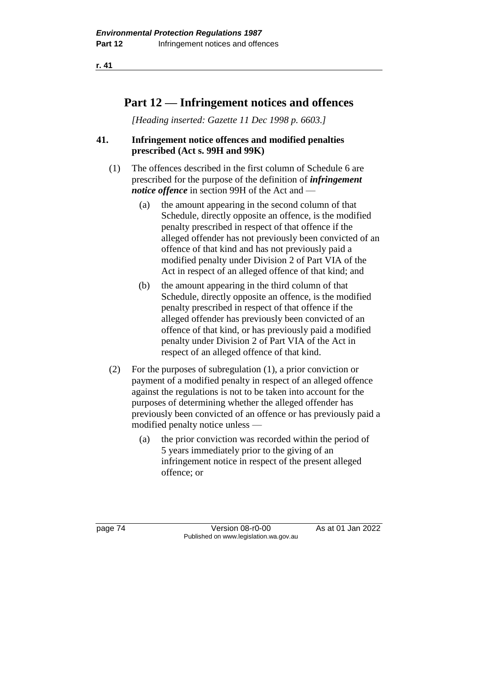**r. 41**

### **Part 12 — Infringement notices and offences**

*[Heading inserted: Gazette 11 Dec 1998 p. 6603.]*

### **41. Infringement notice offences and modified penalties prescribed (Act s. 99H and 99K)**

- (1) The offences described in the first column of Schedule 6 are prescribed for the purpose of the definition of *infringement notice offence* in section 99H of the Act and —
	- (a) the amount appearing in the second column of that Schedule, directly opposite an offence, is the modified penalty prescribed in respect of that offence if the alleged offender has not previously been convicted of an offence of that kind and has not previously paid a modified penalty under Division 2 of Part VIA of the Act in respect of an alleged offence of that kind; and
	- (b) the amount appearing in the third column of that Schedule, directly opposite an offence, is the modified penalty prescribed in respect of that offence if the alleged offender has previously been convicted of an offence of that kind, or has previously paid a modified penalty under Division 2 of Part VIA of the Act in respect of an alleged offence of that kind.
- (2) For the purposes of subregulation (1), a prior conviction or payment of a modified penalty in respect of an alleged offence against the regulations is not to be taken into account for the purposes of determining whether the alleged offender has previously been convicted of an offence or has previously paid a modified penalty notice unless —
	- (a) the prior conviction was recorded within the period of 5 years immediately prior to the giving of an infringement notice in respect of the present alleged offence; or

page 74 Version 08-r0-00 As at 01 Jan 2022 Published on www.legislation.wa.gov.au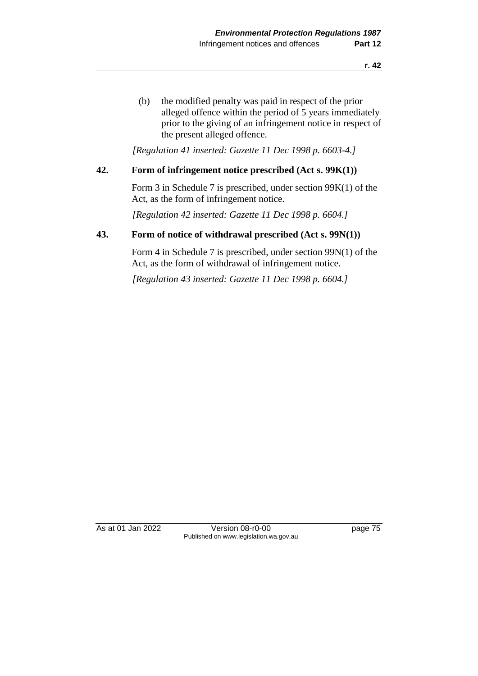(b) the modified penalty was paid in respect of the prior alleged offence within the period of 5 years immediately prior to the giving of an infringement notice in respect of the present alleged offence.

*[Regulation 41 inserted: Gazette 11 Dec 1998 p. 6603-4.]*

### **42. Form of infringement notice prescribed (Act s. 99K(1))**

Form 3 in Schedule 7 is prescribed, under section 99K(1) of the Act, as the form of infringement notice.

*[Regulation 42 inserted: Gazette 11 Dec 1998 p. 6604.]*

### **43. Form of notice of withdrawal prescribed (Act s. 99N(1))**

Form 4 in Schedule 7 is prescribed, under section 99N(1) of the Act, as the form of withdrawal of infringement notice.

*[Regulation 43 inserted: Gazette 11 Dec 1998 p. 6604.]*

As at 01 Jan 2022 Version 08-r0-00 Page 75 Published on www.legislation.wa.gov.au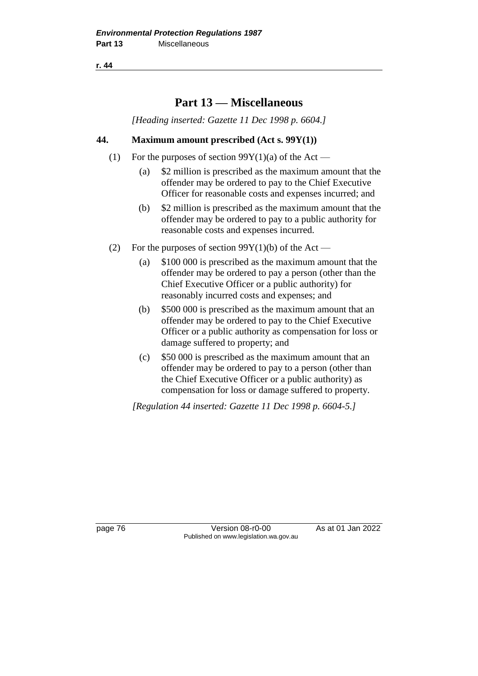**r. 44**

# **Part 13 — Miscellaneous**

*[Heading inserted: Gazette 11 Dec 1998 p. 6604.]*

### **44. Maximum amount prescribed (Act s. 99Y(1))**

- (1) For the purposes of section  $99Y(1)(a)$  of the Act
	- (a) \$2 million is prescribed as the maximum amount that the offender may be ordered to pay to the Chief Executive Officer for reasonable costs and expenses incurred; and
	- (b) \$2 million is prescribed as the maximum amount that the offender may be ordered to pay to a public authority for reasonable costs and expenses incurred.
- (2) For the purposes of section  $99Y(1)(b)$  of the Act
	- (a) \$100 000 is prescribed as the maximum amount that the offender may be ordered to pay a person (other than the Chief Executive Officer or a public authority) for reasonably incurred costs and expenses; and
	- (b) \$500 000 is prescribed as the maximum amount that an offender may be ordered to pay to the Chief Executive Officer or a public authority as compensation for loss or damage suffered to property; and
	- (c) \$50 000 is prescribed as the maximum amount that an offender may be ordered to pay to a person (other than the Chief Executive Officer or a public authority) as compensation for loss or damage suffered to property.

*[Regulation 44 inserted: Gazette 11 Dec 1998 p. 6604-5.]*

page 76 Version 08-r0-00 As at 01 Jan 2022 Published on www.legislation.wa.gov.au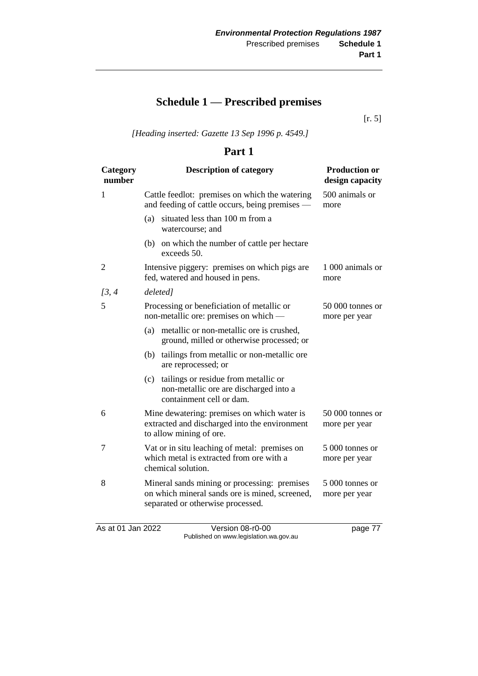# **Schedule 1 — Prescribed premises**

[r. 5]

*[Heading inserted: Gazette 13 Sep 1996 p. 4549.]*

### **Part 1**

| Category<br>number |     | <b>Description of category</b>                                                                                                      | <b>Production or</b><br>design capacity |
|--------------------|-----|-------------------------------------------------------------------------------------------------------------------------------------|-----------------------------------------|
| $\mathbf{1}$       |     | Cattle feedlot: premises on which the watering<br>and feeding of cattle occurs, being premises —                                    | 500 animals or<br>more                  |
|                    | (a) | situated less than 100 m from a<br>watercourse; and                                                                                 |                                         |
|                    | (b) | on which the number of cattle per hectare<br>exceeds 50.                                                                            |                                         |
| 2                  |     | Intensive piggery: premises on which pigs are<br>fed, watered and housed in pens.                                                   | 1 000 animals or<br>more                |
| [3, 4]             |     | deleted]                                                                                                                            |                                         |
| 5                  |     | Processing or beneficiation of metallic or<br>non-metallic ore: premises on which —                                                 | $50000$ tonnes or<br>more per year      |
|                    | (a) | metallic or non-metallic ore is crushed,<br>ground, milled or otherwise processed; or                                               |                                         |
|                    | (b) | tailings from metallic or non-metallic ore<br>are reprocessed; or                                                                   |                                         |
|                    | (c) | tailings or residue from metallic or<br>non-metallic ore are discharged into a<br>containment cell or dam.                          |                                         |
| 6                  |     | Mine dewatering: premises on which water is<br>extracted and discharged into the environment<br>to allow mining of ore.             | 50 000 tonnes or<br>more per year       |
| 7                  |     | Vat or in situ leaching of metal: premises on<br>which metal is extracted from ore with a<br>chemical solution.                     | 5 000 tonnes or<br>more per year        |
| 8                  |     | Mineral sands mining or processing: premises<br>on which mineral sands ore is mined, screened,<br>separated or otherwise processed. | 5 000 tonnes or<br>more per year        |

As at 01 Jan 2022 Version 08-r0-00 page 77 Published on www.legislation.wa.gov.au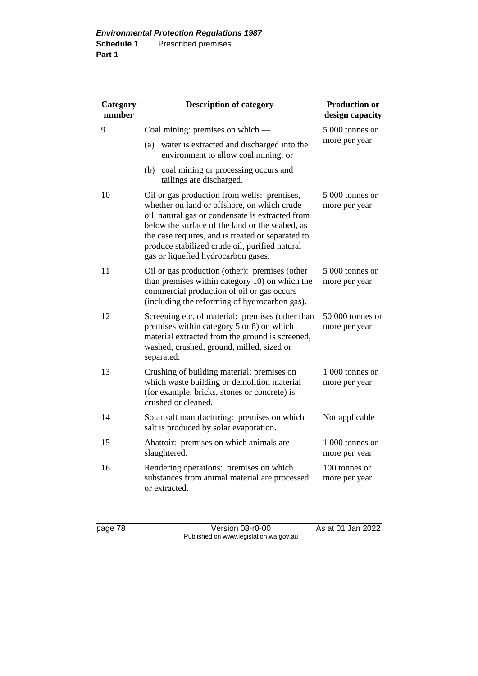| Category<br>number | <b>Description of category</b>                                                                                                                                                                                                                                                                                                                  | <b>Production or</b><br>design capacity |
|--------------------|-------------------------------------------------------------------------------------------------------------------------------------------------------------------------------------------------------------------------------------------------------------------------------------------------------------------------------------------------|-----------------------------------------|
| 9                  | Coal mining: premises on which $-$                                                                                                                                                                                                                                                                                                              | 5 000 tonnes or                         |
|                    | water is extracted and discharged into the<br>(a)<br>environment to allow coal mining; or                                                                                                                                                                                                                                                       | more per year                           |
|                    | (b) coal mining or processing occurs and<br>tailings are discharged.                                                                                                                                                                                                                                                                            |                                         |
| 10                 | Oil or gas production from wells: premises,<br>whether on land or offshore, on which crude<br>oil, natural gas or condensate is extracted from<br>below the surface of the land or the seabed, as<br>the case requires, and is treated or separated to<br>produce stabilized crude oil, purified natural<br>gas or liquefied hydrocarbon gases. | 5 000 tonnes or<br>more per year        |
| 11                 | Oil or gas production (other): premises (other<br>than premises within category 10) on which the<br>commercial production of oil or gas occurs<br>(including the reforming of hydrocarbon gas).                                                                                                                                                 | 5 000 tonnes or<br>more per year        |
| 12                 | Screening etc. of material: premises (other than<br>premises within category 5 or 8) on which<br>material extracted from the ground is screened,<br>washed, crushed, ground, milled, sized or<br>separated.                                                                                                                                     | $50\,000$ tonnes or<br>more per year    |
| 13                 | Crushing of building material: premises on<br>which waste building or demolition material<br>(for example, bricks, stones or concrete) is<br>crushed or cleaned.                                                                                                                                                                                | 1 000 tonnes or<br>more per year        |
| 14                 | Solar salt manufacturing: premises on which<br>salt is produced by solar evaporation.                                                                                                                                                                                                                                                           | Not applicable                          |
| 15                 | Abattoir: premises on which animals are<br>slaughtered.                                                                                                                                                                                                                                                                                         | 1 000 tonnes or<br>more per year        |
| 16                 | Rendering operations: premises on which<br>substances from animal material are processed<br>or extracted.                                                                                                                                                                                                                                       | 100 tonnes or<br>more per year          |

page 78 Version 08-r0-00 As at 01 Jan 2022 Published on www.legislation.wa.gov.au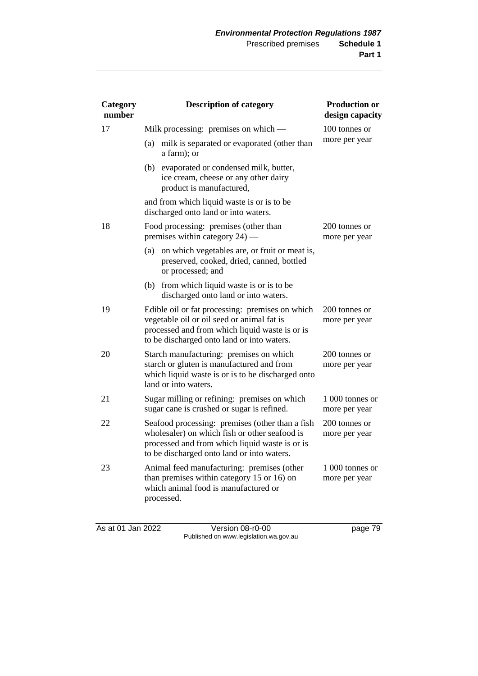| Category<br>number | <b>Description of category</b>                                                                                                                                                                   | <b>Production or</b><br>design capacity |
|--------------------|--------------------------------------------------------------------------------------------------------------------------------------------------------------------------------------------------|-----------------------------------------|
| 17                 | Milk processing: premises on which —                                                                                                                                                             | 100 tonnes or                           |
|                    | milk is separated or evaporated (other than<br>(a)<br>a farm); or                                                                                                                                | more per year                           |
|                    | evaporated or condensed milk, butter,<br>(b)<br>ice cream, cheese or any other dairy<br>product is manufactured,                                                                                 |                                         |
|                    | and from which liquid waste is or is to be<br>discharged onto land or into waters.                                                                                                               |                                         |
| 18                 | Food processing: premises (other than<br>premises within category $24$ ) —                                                                                                                       | 200 tonnes or<br>more per year          |
|                    | on which vegetables are, or fruit or meat is,<br>(a)<br>preserved, cooked, dried, canned, bottled<br>or processed; and                                                                           |                                         |
|                    | from which liquid waste is or is to be<br>(b)<br>discharged onto land or into waters.                                                                                                            |                                         |
| 19                 | Edible oil or fat processing: premises on which<br>vegetable oil or oil seed or animal fat is<br>processed and from which liquid waste is or is<br>to be discharged onto land or into waters.    | 200 tonnes or<br>more per year          |
| 20                 | Starch manufacturing: premises on which<br>starch or gluten is manufactured and from<br>which liquid waste is or is to be discharged onto<br>land or into waters.                                | 200 tonnes or<br>more per year          |
| 21                 | Sugar milling or refining: premises on which<br>sugar cane is crushed or sugar is refined.                                                                                                       | 1 000 tonnes or<br>more per year        |
| 22                 | Seafood processing: premises (other than a fish<br>wholesaler) on which fish or other seafood is<br>processed and from which liquid waste is or is<br>to be discharged onto land or into waters. | 200 tonnes or<br>more per year          |
| 23                 | Animal feed manufacturing: premises (other<br>than premises within category 15 or 16) on<br>which animal food is manufactured or<br>processed.                                                   | 1 000 tonnes or<br>more per year        |

As at 01 Jan 2022 Version 08-r0-00 page 79 Published on www.legislation.wa.gov.au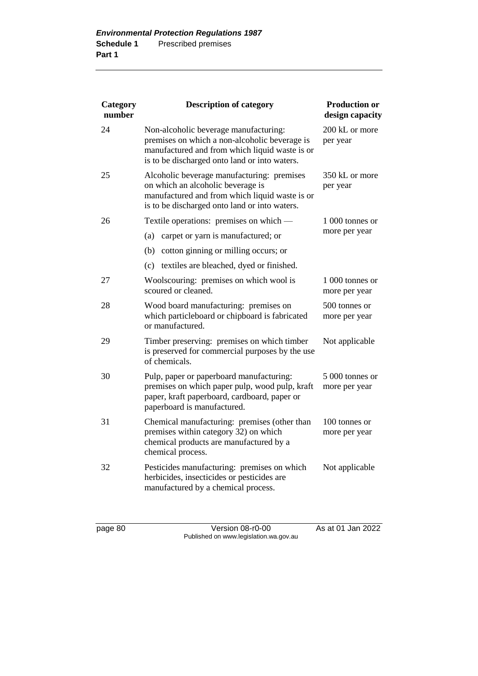| Category<br>number | <b>Description of category</b>                                                                                                                                                            | <b>Production or</b><br>design capacity |
|--------------------|-------------------------------------------------------------------------------------------------------------------------------------------------------------------------------------------|-----------------------------------------|
| 24                 | Non-alcoholic beverage manufacturing:<br>premises on which a non-alcoholic beverage is<br>manufactured and from which liquid waste is or<br>is to be discharged onto land or into waters. | 200 kL or more<br>per year              |
| 25                 | Alcoholic beverage manufacturing: premises<br>on which an alcoholic beverage is<br>manufactured and from which liquid waste is or<br>is to be discharged onto land or into waters.        | 350 kL or more<br>per year              |
| 26                 | Textile operations: premises on which —                                                                                                                                                   | 1 000 tonnes or                         |
|                    | carpet or yarn is manufactured; or<br>(a)                                                                                                                                                 | more per year                           |
|                    | cotton ginning or milling occurs; or<br>(b)                                                                                                                                               |                                         |
|                    | textiles are bleached, dyed or finished.<br>(c)                                                                                                                                           |                                         |
| 27                 | Woolscouring: premises on which wool is<br>scoured or cleaned.                                                                                                                            | 1 000 tonnes or<br>more per year        |
| 28                 | Wood board manufacturing: premises on<br>which particleboard or chipboard is fabricated<br>or manufactured.                                                                               | 500 tonnes or<br>more per year          |
| 29                 | Timber preserving: premises on which timber<br>is preserved for commercial purposes by the use<br>of chemicals.                                                                           | Not applicable                          |
| 30                 | Pulp, paper or paperboard manufacturing:<br>premises on which paper pulp, wood pulp, kraft<br>paper, kraft paperboard, cardboard, paper or<br>paperboard is manufactured.                 | 5 000 tonnes or<br>more per year        |
| 31                 | Chemical manufacturing: premises (other than<br>premises within category 32) on which<br>chemical products are manufactured by a<br>chemical process.                                     | 100 tonnes or<br>more per year          |
| 32                 | Pesticides manufacturing: premises on which<br>herbicides, insecticides or pesticides are<br>manufactured by a chemical process.                                                          | Not applicable                          |

page 80 Version 08-r0-00 As at 01 Jan 2022 Published on www.legislation.wa.gov.au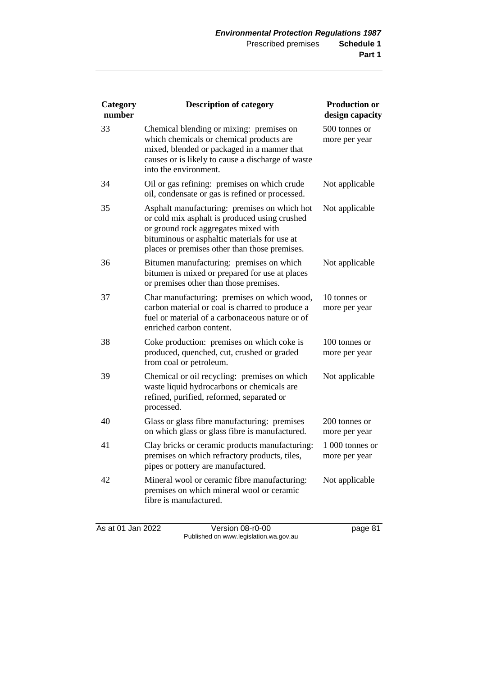| Category<br>number | <b>Description of category</b>                                                                                                                                                                                                         | <b>Production or</b><br>design capacity |
|--------------------|----------------------------------------------------------------------------------------------------------------------------------------------------------------------------------------------------------------------------------------|-----------------------------------------|
| 33                 | Chemical blending or mixing: premises on<br>which chemicals or chemical products are<br>mixed, blended or packaged in a manner that<br>causes or is likely to cause a discharge of waste<br>into the environment.                      | 500 tonnes or<br>more per year          |
| 34                 | Oil or gas refining: premises on which crude<br>oil, condensate or gas is refined or processed.                                                                                                                                        | Not applicable                          |
| 35                 | Asphalt manufacturing: premises on which hot<br>or cold mix asphalt is produced using crushed<br>or ground rock aggregates mixed with<br>bituminous or asphaltic materials for use at<br>places or premises other than those premises. | Not applicable                          |
| 36                 | Bitumen manufacturing: premises on which<br>bitumen is mixed or prepared for use at places<br>or premises other than those premises.                                                                                                   | Not applicable                          |
| 37                 | Char manufacturing: premises on which wood,<br>carbon material or coal is charred to produce a<br>fuel or material of a carbonaceous nature or of<br>enriched carbon content.                                                          | 10 tonnes or<br>more per year           |
| 38                 | Coke production: premises on which coke is<br>produced, quenched, cut, crushed or graded<br>from coal or petroleum.                                                                                                                    | 100 tonnes or<br>more per year          |
| 39                 | Chemical or oil recycling: premises on which<br>waste liquid hydrocarbons or chemicals are<br>refined, purified, reformed, separated or<br>processed.                                                                                  | Not applicable                          |
| 40                 | Glass or glass fibre manufacturing: premises<br>on which glass or glass fibre is manufactured.                                                                                                                                         | 200 tonnes or<br>more per year          |
| 41                 | Clay bricks or ceramic products manufacturing:<br>premises on which refractory products, tiles,<br>pipes or pottery are manufactured.                                                                                                  | 1 000 tonnes or<br>more per year        |
| 42                 | Mineral wool or ceramic fibre manufacturing:<br>premises on which mineral wool or ceramic<br>fibre is manufactured.                                                                                                                    | Not applicable                          |

As at 01 Jan 2022 Version 08-r0-00 page 81 Published on www.legislation.wa.gov.au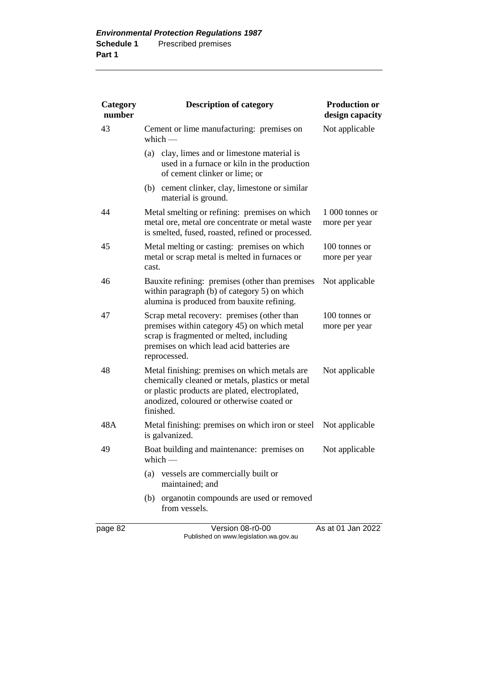| Category<br>number | <b>Description of category</b>                                                                                                                                                                               | <b>Production or</b><br>design capacity |
|--------------------|--------------------------------------------------------------------------------------------------------------------------------------------------------------------------------------------------------------|-----------------------------------------|
| 43                 | Cement or lime manufacturing: premises on<br>which $-$                                                                                                                                                       | Not applicable                          |
|                    | clay, limes and or limestone material is<br>(a)<br>used in a furnace or kiln in the production<br>of cement clinker or lime; or                                                                              |                                         |
|                    | (b)<br>cement clinker, clay, limestone or similar<br>material is ground.                                                                                                                                     |                                         |
| 44                 | Metal smelting or refining: premises on which<br>metal ore, metal ore concentrate or metal waste<br>is smelted, fused, roasted, refined or processed.                                                        | 1 000 tonnes or<br>more per year        |
| 45                 | Metal melting or casting: premises on which<br>metal or scrap metal is melted in furnaces or<br>cast.                                                                                                        | 100 tonnes or<br>more per year          |
| 46                 | Bauxite refining: premises (other than premises<br>within paragraph (b) of category 5) on which<br>alumina is produced from bauxite refining.                                                                | Not applicable                          |
| 47                 | Scrap metal recovery: premises (other than<br>premises within category 45) on which metal<br>scrap is fragmented or melted, including<br>premises on which lead acid batteries are<br>reprocessed.           | 100 tonnes or<br>more per year          |
| 48                 | Metal finishing: premises on which metals are<br>chemically cleaned or metals, plastics or metal<br>or plastic products are plated, electroplated,<br>anodized, coloured or otherwise coated or<br>finished. | Not applicable                          |
| 48A                | Metal finishing: premises on which iron or steel<br>is galvanized.                                                                                                                                           | Not applicable                          |
| 49                 | Boat building and maintenance: premises on<br>which $-$                                                                                                                                                      | Not applicable                          |
|                    | vessels are commercially built or<br>(a)<br>maintained; and                                                                                                                                                  |                                         |
|                    | (b) organotin compounds are used or removed<br>from vessels.                                                                                                                                                 |                                         |
| page 82            | Version 08-r0-00                                                                                                                                                                                             | As at 01 Jan 2022                       |

Published on www.legislation.wa.gov.au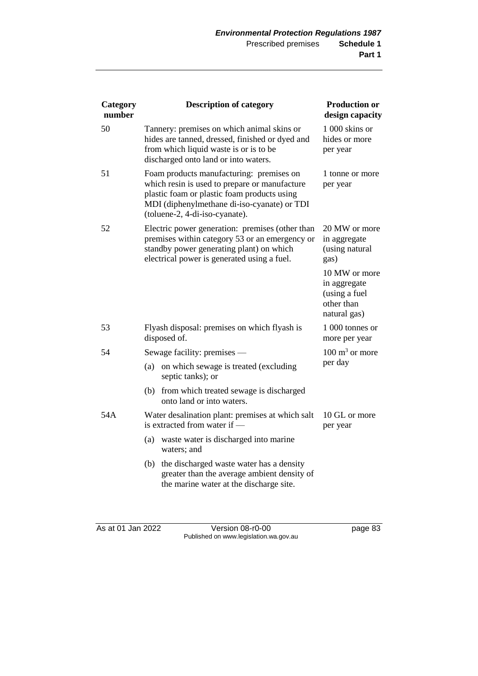| Category<br>number | <b>Description of category</b>                                                                                                                                                                                            | <b>Production or</b><br>design capacity                                  |
|--------------------|---------------------------------------------------------------------------------------------------------------------------------------------------------------------------------------------------------------------------|--------------------------------------------------------------------------|
| 50                 | Tannery: premises on which animal skins or<br>hides are tanned, dressed, finished or dyed and<br>from which liquid waste is or is to be<br>discharged onto land or into waters.                                           | 1 000 skins or<br>hides or more<br>per year                              |
| 51                 | Foam products manufacturing: premises on<br>which resin is used to prepare or manufacture<br>plastic foam or plastic foam products using<br>MDI (diphenylmethane di-iso-cyanate) or TDI<br>(toluene-2, 4-di-iso-cyanate). | 1 tonne or more<br>per year                                              |
| 52                 | Electric power generation: premises (other than<br>premises within category 53 or an emergency or<br>standby power generating plant) on which<br>electrical power is generated using a fuel.                              | 20 MW or more<br>in aggregate<br>(using natural<br>gas)<br>10 MW or more |
|                    |                                                                                                                                                                                                                           | in aggregate<br>(using a fuel<br>other than<br>natural gas)              |
| 53                 | Flyash disposal: premises on which flyash is<br>disposed of.                                                                                                                                                              | 1 000 tonnes or<br>more per year                                         |
| 54                 | Sewage facility: premises —                                                                                                                                                                                               | $100 \text{ m}^3$ or more                                                |
|                    | on which sewage is treated (excluding<br>(a)<br>septic tanks); or                                                                                                                                                         | per day                                                                  |
|                    | from which treated sewage is discharged<br>(b)<br>onto land or into waters.                                                                                                                                               |                                                                          |
| 54A                | Water desalination plant: premises at which salt<br>is extracted from water if —                                                                                                                                          | 10 GL or more<br>per year                                                |
|                    | (a)<br>waste water is discharged into marine<br>waters; and                                                                                                                                                               |                                                                          |
|                    | the discharged waste water has a density<br>(b)<br>greater than the average ambient density of<br>the marine water at the discharge site.                                                                                 |                                                                          |

As at 01 Jan 2022 Version 08-r0-00 page 83 Published on www.legislation.wa.gov.au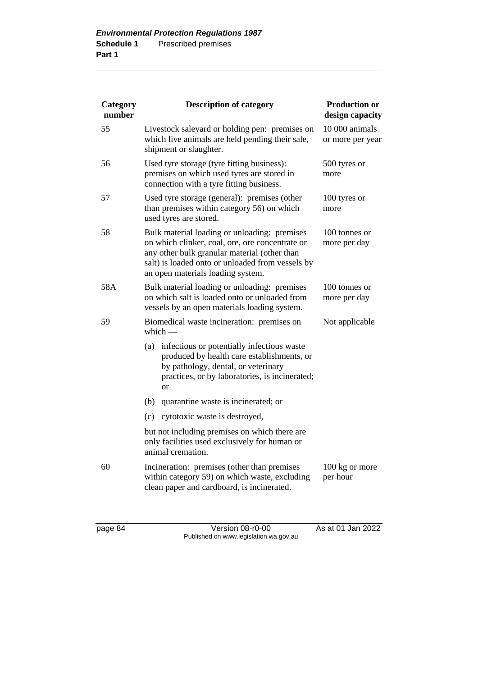| Category<br>number | <b>Description of category</b>                                                                                                                                                                                                           | <b>Production or</b><br>design capacity |
|--------------------|------------------------------------------------------------------------------------------------------------------------------------------------------------------------------------------------------------------------------------------|-----------------------------------------|
| 55                 | Livestock saleyard or holding pen: premises on<br>which live animals are held pending their sale,<br>shipment or slaughter.                                                                                                              | 10 000 animals<br>or more per year      |
| 56                 | Used tyre storage (tyre fitting business):<br>premises on which used tyres are stored in<br>connection with a tyre fitting business.                                                                                                     | 500 tyres or<br>more                    |
| 57                 | Used tyre storage (general): premises (other<br>than premises within category 56) on which<br>used tyres are stored.                                                                                                                     | 100 tyres or<br>more                    |
| 58                 | Bulk material loading or unloading: premises<br>on which clinker, coal, ore, ore concentrate or<br>any other bulk granular material (other than<br>salt) is loaded onto or unloaded from vessels by<br>an open materials loading system. | 100 tonnes or<br>more per day           |
| 58A                | Bulk material loading or unloading: premises<br>on which salt is loaded onto or unloaded from<br>vessels by an open materials loading system.                                                                                            | 100 tonnes or<br>more per day           |
| 59                 | Biomedical waste incineration: premises on<br>which $-$                                                                                                                                                                                  | Not applicable                          |
|                    | (a)<br>infectious or potentially infectious waste<br>produced by health care establishments, or<br>by pathology, dental, or veterinary<br>practices, or by laboratories, is incinerated;<br><b>or</b>                                    |                                         |
|                    | (b)<br>quarantine waste is incinerated; or                                                                                                                                                                                               |                                         |
|                    | (c)<br>cytotoxic waste is destroyed,                                                                                                                                                                                                     |                                         |
|                    | but not including premises on which there are<br>only facilities used exclusively for human or<br>animal cremation.                                                                                                                      |                                         |
| 60                 | Incineration: premises (other than premises<br>within category 59) on which waste, excluding<br>clean paper and cardboard, is incinerated.                                                                                               | 100 kg or more<br>per hour              |

page 84 Version 08-r0-00 As at 01 Jan 2022 Published on www.legislation.wa.gov.au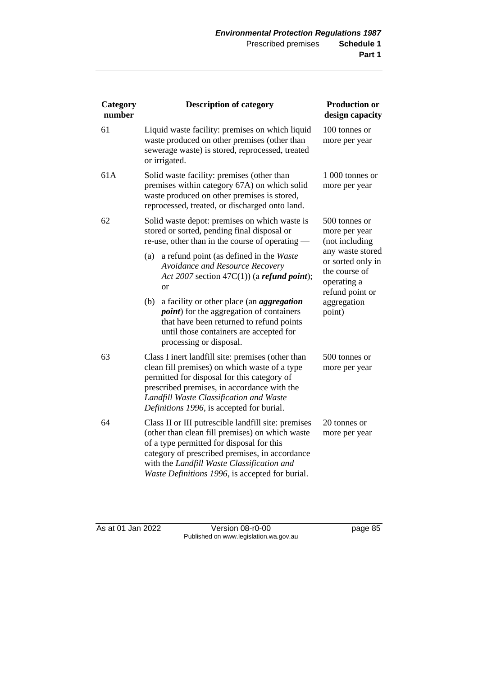| Category<br>number | <b>Description of category</b>                                                                                                                                                                                                                                                                         | <b>Production or</b><br>design capacity                                                  |
|--------------------|--------------------------------------------------------------------------------------------------------------------------------------------------------------------------------------------------------------------------------------------------------------------------------------------------------|------------------------------------------------------------------------------------------|
| 61                 | Liquid waste facility: premises on which liquid<br>waste produced on other premises (other than<br>sewerage waste) is stored, reprocessed, treated<br>or irrigated.                                                                                                                                    | 100 tonnes or<br>more per year                                                           |
| 61A                | Solid waste facility: premises (other than<br>premises within category 67A) on which solid<br>waste produced on other premises is stored,<br>reprocessed, treated, or discharged onto land.                                                                                                            | 1 000 tonnes or<br>more per year                                                         |
| 62                 | Solid waste depot: premises on which waste is<br>stored or sorted, pending final disposal or<br>re-use, other than in the course of operating —                                                                                                                                                        | 500 tonnes or<br>more per year<br>(not including                                         |
|                    | a refund point (as defined in the Waster<br>(a)<br>Avoidance and Resource Recovery<br>Act 2007 section 47C(1)) (a refund point);<br>or                                                                                                                                                                 | any waste stored<br>or sorted only in<br>the course of<br>operating a<br>refund point or |
|                    | a facility or other place (an <i>aggregation</i><br>(b)<br><i>point</i> ) for the aggregation of containers<br>that have been returned to refund points<br>until those containers are accepted for<br>processing or disposal.                                                                          | aggregation<br>point)                                                                    |
| 63                 | Class I inert landfill site: premises (other than<br>clean fill premises) on which waste of a type<br>permitted for disposal for this category of<br>prescribed premises, in accordance with the<br>Landfill Waste Classification and Waste<br>Definitions 1996, is accepted for burial.               | 500 tonnes or<br>more per year                                                           |
| 64                 | Class II or III putrescible landfill site: premises<br>(other than clean fill premises) on which waste<br>of a type permitted for disposal for this<br>category of prescribed premises, in accordance<br>with the Landfill Waste Classification and<br>Waste Definitions 1996, is accepted for burial. | 20 tonnes or<br>more per year                                                            |

As at 01 Jan 2022 Version 08-r0-00 page 85 Published on www.legislation.wa.gov.au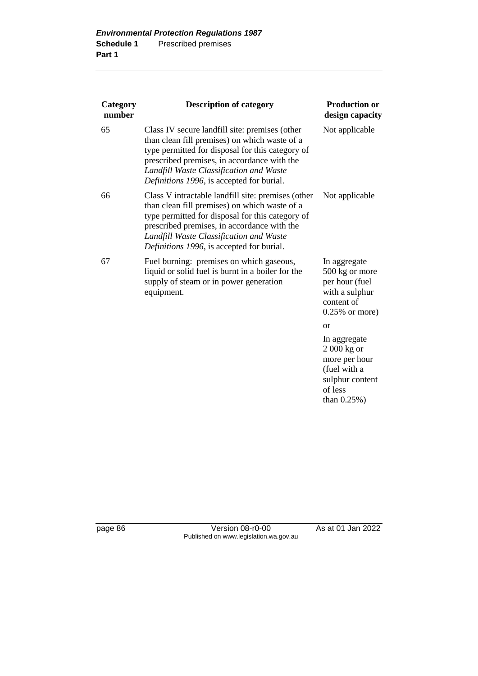| Category<br>number | <b>Description of category</b>                                                                                                                                                                                                                                                                 | <b>Production or</b><br>design capacity                                                                       |
|--------------------|------------------------------------------------------------------------------------------------------------------------------------------------------------------------------------------------------------------------------------------------------------------------------------------------|---------------------------------------------------------------------------------------------------------------|
| 65                 | Class IV secure landfill site: premises (other<br>than clean fill premises) on which waste of a<br>type permitted for disposal for this category of<br>prescribed premises, in accordance with the<br>Landfill Waste Classification and Waste<br>Definitions 1996, is accepted for burial.     | Not applicable                                                                                                |
| 66                 | Class V intractable landfill site: premises (other<br>than clean fill premises) on which waste of a<br>type permitted for disposal for this category of<br>prescribed premises, in accordance with the<br>Landfill Waste Classification and Waste<br>Definitions 1996, is accepted for burial. | Not applicable                                                                                                |
| 67                 | Fuel burning: premises on which gaseous,<br>liquid or solid fuel is burnt in a boiler for the<br>supply of steam or in power generation<br>equipment.                                                                                                                                          | In aggregate<br>500 kg or more<br>per hour (fuel<br>with a sulphur<br>content of<br>$0.25\%$ or more)         |
|                    |                                                                                                                                                                                                                                                                                                | <b>or</b>                                                                                                     |
|                    |                                                                                                                                                                                                                                                                                                | In aggregate<br>2 000 kg or<br>more per hour<br>(fuel with a<br>sulphur content<br>of less<br>than $0.25\%$ ) |

page 86 Version 08-r0-00 As at 01 Jan 2022 Published on www.legislation.wa.gov.au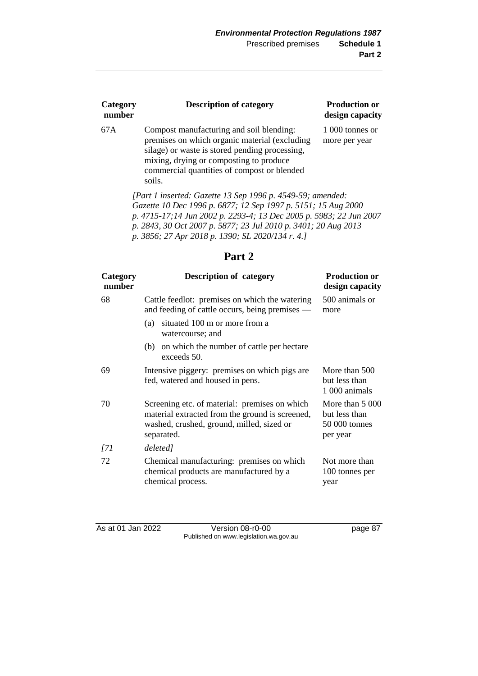| Category<br>number                                                                                                                                                                                                                                                                                                      | <b>Description of category</b>                                                                                                                                                                                                                  | <b>Production or</b><br>design capacity |
|-------------------------------------------------------------------------------------------------------------------------------------------------------------------------------------------------------------------------------------------------------------------------------------------------------------------------|-------------------------------------------------------------------------------------------------------------------------------------------------------------------------------------------------------------------------------------------------|-----------------------------------------|
| 67A                                                                                                                                                                                                                                                                                                                     | Compost manufacturing and soil blending:<br>premises on which organic material (excluding<br>silage) or waste is stored pending processing,<br>mixing, drying or composting to produce<br>commercial quantities of compost or blended<br>soils. | 1 000 tonnes or<br>more per year        |
| [Part 1 inserted: Gazette 13 Sep 1996 p. 4549-59; amended:<br>Gazette 10 Dec 1996 p. 6877; 12 Sep 1997 p. 5151; 15 Aug 2000<br>p. 4715-17;14 Jun 2002 p. 2293-4; 13 Dec 2005 p. 5983; 22 Jun 2007<br>p. 2843, 30 Oct 2007 p. 5877; 23 Jul 2010 p. 3401; 20 Aug 2013<br>p. 3856; 27 Apr 2018 p. 1390; SL 2020/134 r. 4.] |                                                                                                                                                                                                                                                 |                                         |

| ı<br>п |  |
|--------|--|
|--------|--|

| Category<br>number | <b>Description of category</b>                                                                                                                              | <b>Production or</b><br>design capacity                       |
|--------------------|-------------------------------------------------------------------------------------------------------------------------------------------------------------|---------------------------------------------------------------|
| 68                 | Cattle feedlot: premises on which the watering<br>and feeding of cattle occurs, being premises —                                                            | 500 animals or<br>more                                        |
|                    | situated 100 m or more from a<br>(a)<br>watercourse; and                                                                                                    |                                                               |
|                    | on which the number of cattle per hectare<br>(b)<br>exceeds 50.                                                                                             |                                                               |
| 69                 | Intensive piggery: premises on which pigs are<br>fed, watered and housed in pens.                                                                           | More than 500<br>but less than<br>1 000 animals               |
| 70                 | Screening etc. of material: premises on which<br>material extracted from the ground is screened,<br>washed, crushed, ground, milled, sized or<br>separated. | More than 5 000<br>but less than<br>50 000 tonnes<br>per year |
| [7]                | deleted]                                                                                                                                                    |                                                               |
| 72                 | Chemical manufacturing: premises on which<br>chemical products are manufactured by a<br>chemical process.                                                   | Not more than<br>100 tonnes per<br>year                       |

As at 01 Jan 2022 Version 08-r0-00 page 87 Published on www.legislation.wa.gov.au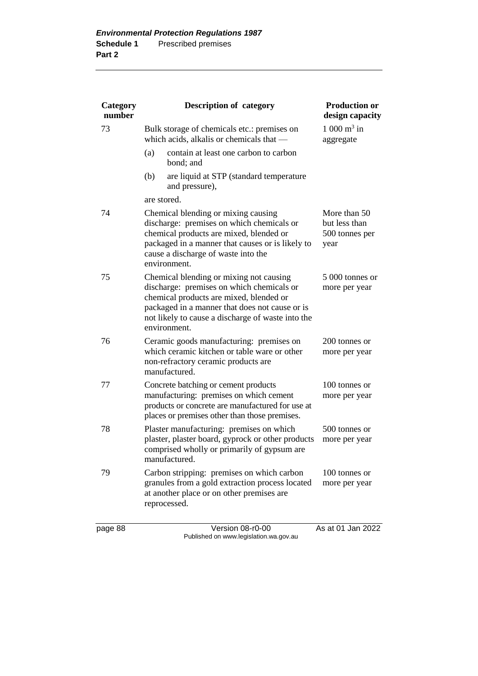| Category<br>number | <b>Description of category</b>                                                                                                                                                                                                                         | <b>Production or</b><br>design capacity                 |
|--------------------|--------------------------------------------------------------------------------------------------------------------------------------------------------------------------------------------------------------------------------------------------------|---------------------------------------------------------|
| 73                 | Bulk storage of chemicals etc.: premises on<br>which acids, alkalis or chemicals that —                                                                                                                                                                | 1 000 $m^3$ in<br>aggregate                             |
|                    | contain at least one carbon to carbon<br>(a)<br>bond; and                                                                                                                                                                                              |                                                         |
|                    | (b)<br>are liquid at STP (standard temperature<br>and pressure),                                                                                                                                                                                       |                                                         |
|                    | are stored.                                                                                                                                                                                                                                            |                                                         |
| 74                 | Chemical blending or mixing causing<br>discharge: premises on which chemicals or<br>chemical products are mixed, blended or<br>packaged in a manner that causes or is likely to<br>cause a discharge of waste into the<br>environment.                 | More than 50<br>but less than<br>500 tonnes per<br>year |
| 75                 | Chemical blending or mixing not causing<br>discharge: premises on which chemicals or<br>chemical products are mixed, blended or<br>packaged in a manner that does not cause or is<br>not likely to cause a discharge of waste into the<br>environment. | 5 000 tonnes or<br>more per year                        |
| 76                 | Ceramic goods manufacturing: premises on<br>which ceramic kitchen or table ware or other<br>non-refractory ceramic products are<br>manufactured.                                                                                                       | 200 tonnes or<br>more per year                          |
| 77                 | Concrete batching or cement products<br>manufacturing: premises on which cement<br>products or concrete are manufactured for use at<br>places or premises other than those premises.                                                                   | 100 tonnes or<br>more per year                          |
| 78                 | Plaster manufacturing: premises on which<br>plaster, plaster board, gyprock or other products<br>comprised wholly or primarily of gypsum are<br>manufactured.                                                                                          | 500 tonnes or<br>more per year                          |
| 79                 | Carbon stripping: premises on which carbon<br>granules from a gold extraction process located<br>at another place or on other premises are<br>reprocessed.                                                                                             | 100 tonnes or<br>more per year                          |

page 88 Version 08-r0-00 As at 01 Jan 2022 Published on www.legislation.wa.gov.au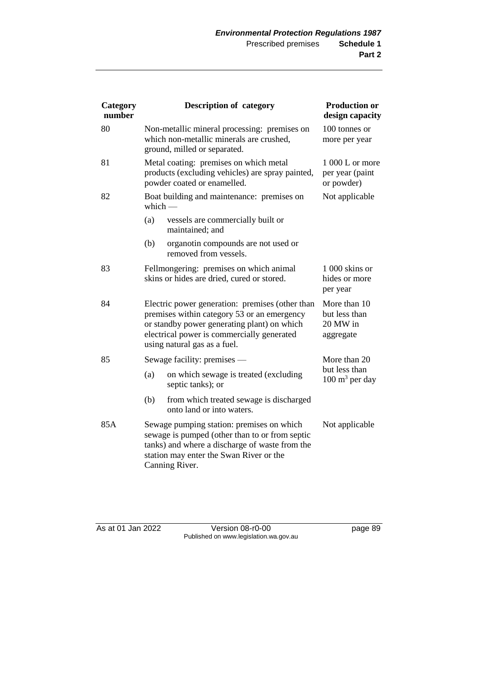| Category<br>number |           | <b>Description of category</b>                                                                                                                                                                                              | <b>Production or</b><br>design capacity                |
|--------------------|-----------|-----------------------------------------------------------------------------------------------------------------------------------------------------------------------------------------------------------------------------|--------------------------------------------------------|
| 80                 |           | Non-metallic mineral processing: premises on<br>which non-metallic minerals are crushed,<br>ground, milled or separated.                                                                                                    | 100 tonnes or<br>more per year                         |
| 81                 |           | Metal coating: premises on which metal<br>products (excluding vehicles) are spray painted,<br>powder coated or enamelled.                                                                                                   | $1000 L$ or more<br>per year (paint<br>or powder)      |
| 82                 | which $-$ | Boat building and maintenance: premises on                                                                                                                                                                                  | Not applicable                                         |
|                    | (a)       | vessels are commercially built or<br>maintained; and                                                                                                                                                                        |                                                        |
|                    | (b)       | organotin compounds are not used or<br>removed from vessels.                                                                                                                                                                |                                                        |
| 83                 |           | Fellmongering: premises on which animal<br>skins or hides are dried, cured or stored.                                                                                                                                       | 1 000 skins or<br>hides or more<br>per year            |
| 84                 |           | Electric power generation: premises (other than<br>premises within category 53 or an emergency<br>or standby power generating plant) on which<br>electrical power is commercially generated<br>using natural gas as a fuel. | More than 10<br>but less than<br>20 MW in<br>aggregate |
| 85                 |           | Sewage facility: premises —                                                                                                                                                                                                 | More than 20                                           |
|                    | (a)       | on which sewage is treated (excluding<br>septic tanks); or                                                                                                                                                                  | but less than<br>$100 \text{ m}^3$ per day             |
|                    | (b)       | from which treated sewage is discharged<br>onto land or into waters.                                                                                                                                                        |                                                        |
| 85A                |           | Sewage pumping station: premises on which<br>sewage is pumped (other than to or from septic<br>tanks) and where a discharge of waste from the<br>station may enter the Swan River or the<br>Canning River.                  | Not applicable                                         |

As at 01 Jan 2022 Version 08-r0-00 page 89 Published on www.legislation.wa.gov.au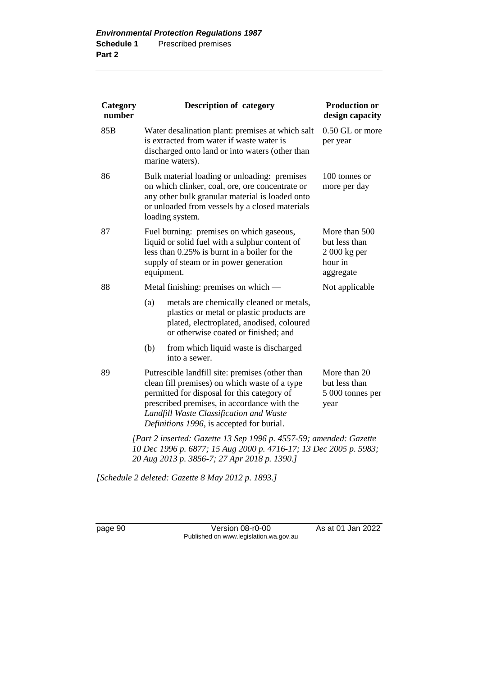| Category<br>number |            | <b>Description of category</b>                                                                                                                                                                                                                                                         | <b>Production or</b><br>design capacity                                |
|--------------------|------------|----------------------------------------------------------------------------------------------------------------------------------------------------------------------------------------------------------------------------------------------------------------------------------------|------------------------------------------------------------------------|
| 85 <sub>B</sub>    |            | Water desalination plant: premises at which salt<br>is extracted from water if waste water is<br>discharged onto land or into waters (other than<br>marine waters).                                                                                                                    | 0.50 GL or more<br>per year                                            |
| 86                 |            | Bulk material loading or unloading: premises<br>on which clinker, coal, ore, ore concentrate or<br>any other bulk granular material is loaded onto<br>or unloaded from vessels by a closed materials<br>loading system.                                                                | 100 tonnes or<br>more per day                                          |
| 87                 | equipment. | Fuel burning: premises on which gaseous,<br>liquid or solid fuel with a sulphur content of<br>less than 0.25% is burnt in a boiler for the<br>supply of steam or in power generation                                                                                                   | More than 500<br>but less than<br>2 000 kg per<br>hour in<br>aggregate |
| 88                 |            | Metal finishing: premises on which —                                                                                                                                                                                                                                                   | Not applicable                                                         |
|                    | (a)        | metals are chemically cleaned or metals,<br>plastics or metal or plastic products are<br>plated, electroplated, anodised, coloured<br>or otherwise coated or finished; and                                                                                                             |                                                                        |
|                    | (b)        | from which liquid waste is discharged<br>into a sewer.                                                                                                                                                                                                                                 |                                                                        |
| 89                 |            | Putrescible landfill site: premises (other than<br>clean fill premises) on which waste of a type<br>permitted for disposal for this category of<br>prescribed premises, in accordance with the<br>Landfill Waste Classification and Waste<br>Definitions 1996, is accepted for burial. | More than 20<br>but less than<br>5 000 tonnes per<br>year              |
|                    |            | [Part 2 inserted: Gazette 13 Sep 1996 p. 4557-59; amended: Gazette<br>10 Dec 1996 p. 6877; 15 Aug 2000 p. 4716-17; 13 Dec 2005 p. 5983;<br>20 Aug 2013 p. 3856-7; 27 Apr 2018 p. 1390.]                                                                                                |                                                                        |

*[Schedule 2 deleted: Gazette 8 May 2012 p. 1893.]*

page 90 Version 08-r0-00 As at 01 Jan 2022 Published on www.legislation.wa.gov.au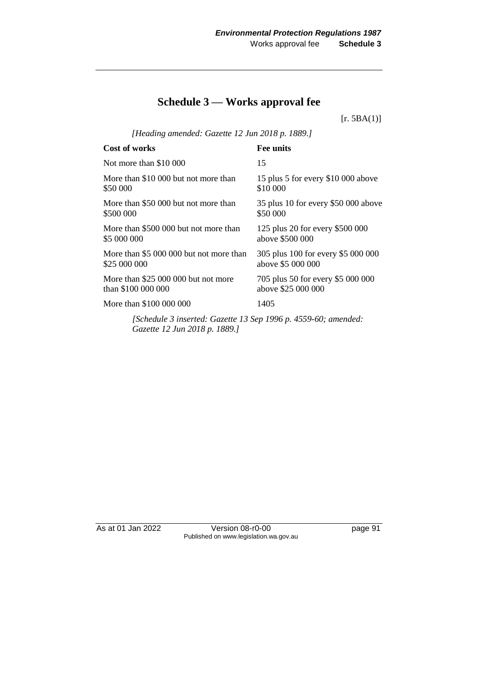# **Schedule 3 — Works approval fee**

 $[r. 5BA(1)]$ 

*[Heading amended: Gazette 12 Jun 2018 p. 1889.]*

| <b>Cost of works</b>                                                                                                                                                                                                                                                                                                                                                                                                                     | Fee units                           |
|------------------------------------------------------------------------------------------------------------------------------------------------------------------------------------------------------------------------------------------------------------------------------------------------------------------------------------------------------------------------------------------------------------------------------------------|-------------------------------------|
| Not more than \$10 000                                                                                                                                                                                                                                                                                                                                                                                                                   | 15                                  |
| More than \$10 000 but not more than                                                                                                                                                                                                                                                                                                                                                                                                     | 15 plus 5 for every \$10 000 above  |
| \$50 000                                                                                                                                                                                                                                                                                                                                                                                                                                 | \$10 000                            |
| More than \$50,000 but not more than                                                                                                                                                                                                                                                                                                                                                                                                     | 35 plus 10 for every \$50 000 above |
| \$500 000                                                                                                                                                                                                                                                                                                                                                                                                                                | \$50 000                            |
| More than \$500 000 but not more than                                                                                                                                                                                                                                                                                                                                                                                                    | 125 plus 20 for every \$500 000     |
| \$5 000 000                                                                                                                                                                                                                                                                                                                                                                                                                              | above \$500 000                     |
| More than \$5 000 000 but not more than                                                                                                                                                                                                                                                                                                                                                                                                  | 305 plus 100 for every \$5 000 000  |
| \$25 000 000                                                                                                                                                                                                                                                                                                                                                                                                                             | above \$5 000 000                   |
| More than \$25,000,000 but not more                                                                                                                                                                                                                                                                                                                                                                                                      | 705 plus 50 for every \$5 000 000   |
| than \$100 000 000                                                                                                                                                                                                                                                                                                                                                                                                                       | above \$25 000 000                  |
| More than \$100 000 000                                                                                                                                                                                                                                                                                                                                                                                                                  | 1405                                |
| $\lceil \mathcal{C}_{\alpha} \rceil$ ( $\lceil \mathcal{C}_{\alpha} \rceil$ is control. $\lceil \mathcal{C}_{\alpha} \rceil$ atta $\lceil 2 \rceil$ and $\lceil \mathcal{C}_{\alpha} \rceil$ ( $\lceil \mathcal{C}_{\alpha} \rceil$ ) $\lceil \mathcal{C}_{\alpha} \rceil$ ( $\lceil \mathcal{C}_{\alpha} \rceil$ ) $\lceil \mathcal{C}_{\alpha} \rceil$ ( $\lceil \mathcal{C}_{\alpha} \rceil$ ) $\lceil \mathcal{C}_{\alpha} \rceil$ ( |                                     |

*[Schedule 3 inserted: Gazette 13 Sep 1996 p. 4559-60; amended: Gazette 12 Jun 2018 p. 1889.]*

As at 01 Jan 2022 Version 08-r0-00 page 91 Published on www.legislation.wa.gov.au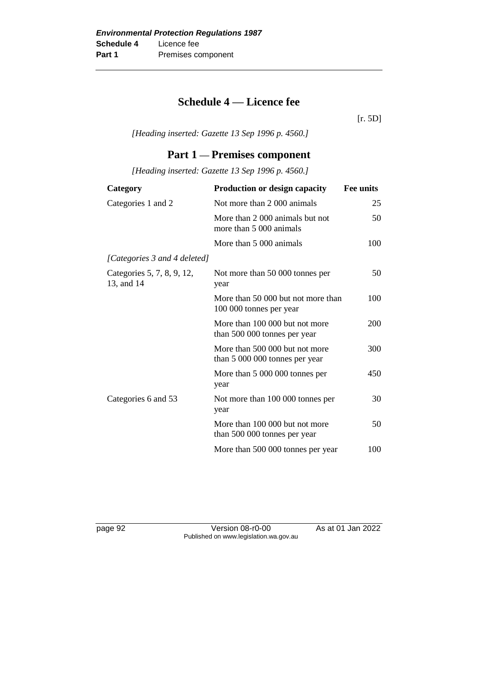# **Schedule 4 — Licence fee**

[r. 5D]

*[Heading inserted: Gazette 13 Sep 1996 p. 4560.]*

### **Part 1 — Premises component**

*[Heading inserted: Gazette 13 Sep 1996 p. 4560.]*

| Category                                 | <b>Production or design capacity</b>                             | Fee units |
|------------------------------------------|------------------------------------------------------------------|-----------|
| Categories 1 and 2                       | Not more than 2 000 animals                                      | 25        |
|                                          | More than 2 000 animals but not<br>more than 5 000 animals       | 50        |
|                                          | More than 5 000 animals                                          | 100       |
| [Categories 3 and 4 deleted]             |                                                                  |           |
| Categories 5, 7, 8, 9, 12,<br>13, and 14 | Not more than 50 000 tonnes per<br>year                          | 50        |
|                                          | More than 50 000 but not more than<br>100 000 tonnes per year    | 100       |
|                                          | More than 100 000 but not more<br>than 500 000 tonnes per year   | 200       |
|                                          | More than 500 000 but not more<br>than 5 000 000 tonnes per year | 300       |
|                                          | More than 5 000 000 tonnes per<br>year                           | 450       |
| Categories 6 and 53                      | Not more than 100 000 tonnes per<br>year                         | 30        |
|                                          | More than 100 000 but not more<br>than 500 000 tonnes per year   | 50        |
|                                          | More than 500 000 tonnes per year                                | 100       |

page 92 Version 08-r0-00 As at 01 Jan 2022 Published on www.legislation.wa.gov.au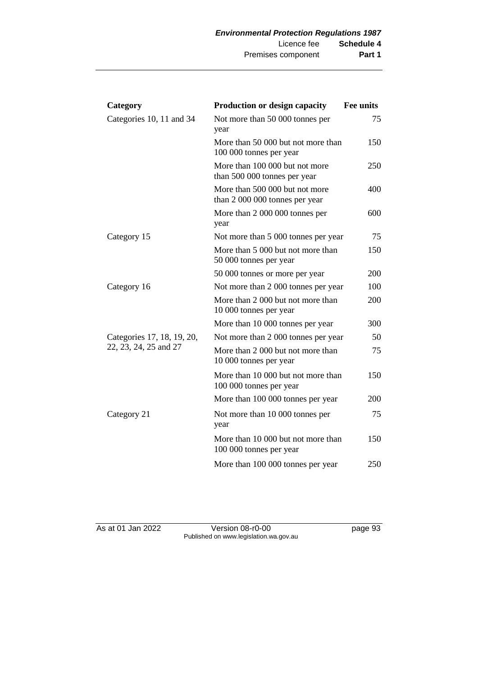| Category                   | <b>Production or design capacity</b>                             | Fee units |
|----------------------------|------------------------------------------------------------------|-----------|
| Categories 10, 11 and 34   | Not more than 50 000 tonnes per<br>year                          | 75        |
|                            | More than 50 000 but not more than<br>100 000 tonnes per year    | 150       |
|                            | More than 100 000 but not more<br>than 500 000 tonnes per year   | 250       |
|                            | More than 500 000 but not more<br>than 2 000 000 tonnes per year | 400       |
|                            | More than 2 000 000 tonnes per<br>year                           | 600       |
| Category 15                | Not more than 5 000 tonnes per year                              | 75        |
|                            | More than 5 000 but not more than<br>50 000 tonnes per year      | 150       |
|                            | 50 000 tonnes or more per year                                   | 200       |
| Category 16                | Not more than 2 000 tonnes per year                              | 100       |
|                            | More than 2 000 but not more than<br>10 000 tonnes per year      | 200       |
|                            | More than 10 000 tonnes per year                                 | 300       |
| Categories 17, 18, 19, 20, | Not more than 2 000 tonnes per year                              | 50        |
| 22, 23, 24, 25 and 27      | More than 2 000 but not more than<br>10 000 tonnes per year      | 75        |
|                            | More than 10 000 but not more than<br>100 000 tonnes per year    | 150       |
|                            | More than 100 000 tonnes per year                                | 200       |
| Category 21                | Not more than 10 000 tonnes per<br>year                          | 75        |
|                            | More than 10 000 but not more than<br>100 000 tonnes per year    | 150       |
|                            | More than 100 000 tonnes per year                                | 250       |

As at 01 Jan 2022 Version 08-r0-00 page 93 Published on www.legislation.wa.gov.au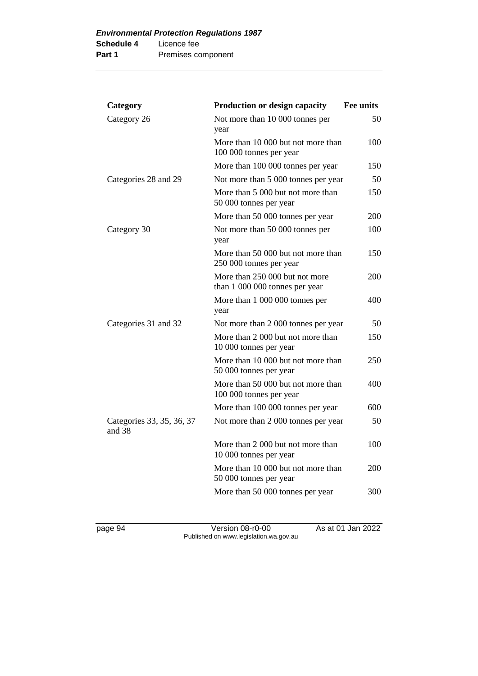| Category                            | <b>Production or design capacity</b>                             | Fee units |
|-------------------------------------|------------------------------------------------------------------|-----------|
| Category 26                         | Not more than 10 000 tonnes per<br>year                          | 50        |
|                                     | More than 10 000 but not more than<br>100 000 tonnes per year    | 100       |
|                                     | More than 100 000 tonnes per year                                | 150       |
| Categories 28 and 29                | Not more than 5 000 tonnes per year                              | 50        |
|                                     | More than 5 000 but not more than<br>50 000 tonnes per year      | 150       |
|                                     | More than 50 000 tonnes per year                                 | 200       |
| Category 30                         | Not more than 50 000 tonnes per<br>year                          | 100       |
|                                     | More than 50 000 but not more than<br>250 000 tonnes per year    | 150       |
|                                     | More than 250 000 but not more<br>than 1 000 000 tonnes per year | 200       |
|                                     | More than 1 000 000 tonnes per<br>year                           | 400       |
| Categories 31 and 32                | Not more than 2 000 tonnes per year                              | 50        |
|                                     | More than 2 000 but not more than<br>10 000 tonnes per year      | 150       |
|                                     | More than 10 000 but not more than<br>50 000 tonnes per year     | 250       |
|                                     | More than 50 000 but not more than<br>100 000 tonnes per year    | 400       |
|                                     | More than 100 000 tonnes per year                                | 600       |
| Categories 33, 35, 36, 37<br>and 38 | Not more than 2 000 tonnes per year                              | 50        |
|                                     | More than 2 000 but not more than<br>10 000 tonnes per year      | 100       |
|                                     | More than 10 000 but not more than<br>50 000 tonnes per year     | 200       |
|                                     | More than 50 000 tonnes per year                                 | 300       |

page 94 Version 08-r0-00 As at 01 Jan 2022 Published on www.legislation.wa.gov.au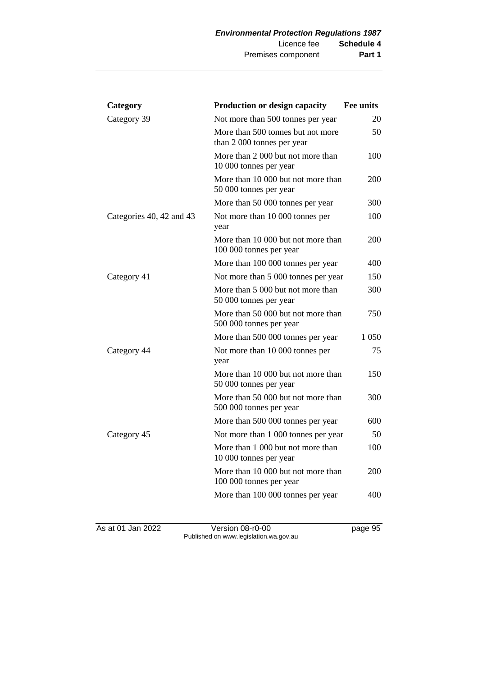| Category                 | Production or design capacity                                   | Fee units  |
|--------------------------|-----------------------------------------------------------------|------------|
| Category 39              | Not more than 500 tonnes per year                               | 20         |
|                          | More than 500 tonnes but not more<br>than 2 000 tonnes per year | 50         |
|                          | More than 2 000 but not more than<br>10 000 tonnes per year     | 100        |
|                          | More than 10 000 but not more than<br>50 000 tonnes per year    | 200        |
|                          | More than 50 000 tonnes per year                                | 300        |
| Categories 40, 42 and 43 | Not more than 10 000 tonnes per<br>year                         | 100        |
|                          | More than 10 000 but not more than<br>100 000 tonnes per year   | <b>200</b> |
|                          | More than 100 000 tonnes per year                               | 400        |
| Category 41              | Not more than 5 000 tonnes per year                             | 150        |
|                          | More than 5 000 but not more than<br>50 000 tonnes per year     | 300        |
|                          | More than 50 000 but not more than<br>500 000 tonnes per year   | 750        |
|                          | More than 500 000 tonnes per year                               | 1 0 5 0    |
| Category 44              | Not more than 10 000 tonnes per<br>year                         | 75         |
|                          | More than 10 000 but not more than<br>50 000 tonnes per year    | 150        |
|                          | More than 50 000 but not more than<br>500 000 tonnes per year   | 300        |
|                          | More than 500 000 tonnes per year                               | 600        |
| Category 45              | Not more than 1 000 tonnes per year                             | 50         |
|                          | More than 1 000 but not more than<br>10 000 tonnes per year     | 100        |
|                          | More than 10 000 but not more than<br>100 000 tonnes per year   | 200        |
|                          | More than 100 000 tonnes per year                               | 400        |
|                          |                                                                 |            |

As at 01 Jan 2022 Version 08-r0-00 page 95 Published on www.legislation.wa.gov.au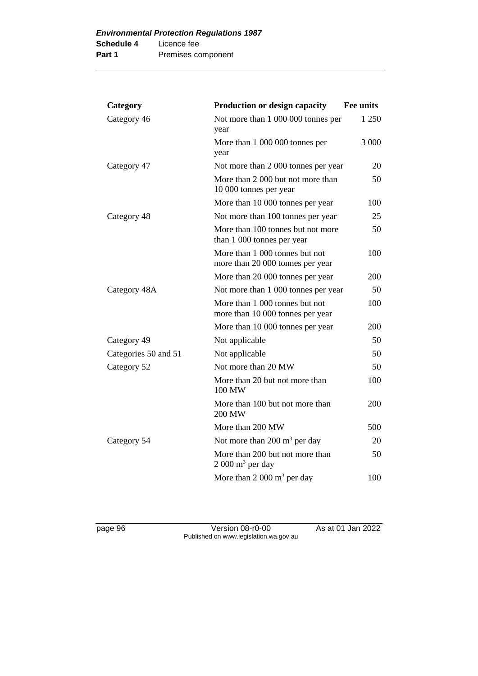| Category             | <b>Production or design capacity</b>                               | Fee units |
|----------------------|--------------------------------------------------------------------|-----------|
| Category 46          | Not more than 1 000 000 tonnes per<br>year                         | 1 250     |
|                      | More than 1 000 000 tonnes per<br>year                             | 3 0 0 0   |
| Category 47          | Not more than 2 000 tonnes per year                                | 20        |
|                      | More than 2 000 but not more than<br>10 000 tonnes per year        | 50        |
|                      | More than 10 000 tonnes per year                                   | 100       |
| Category 48          | Not more than 100 tonnes per year                                  | 25        |
|                      | More than 100 tonnes but not more<br>than 1 000 tonnes per year    | 50        |
|                      | More than 1 000 tonnes but not<br>more than 20 000 tonnes per year | 100       |
|                      | More than 20 000 tonnes per year                                   | 200       |
| Category 48A         | Not more than 1 000 tonnes per year                                | 50        |
|                      | More than 1 000 tonnes but not<br>more than 10 000 tonnes per year | 100       |
|                      | More than 10 000 tonnes per year                                   | 200       |
| Category 49          | Not applicable                                                     | 50        |
| Categories 50 and 51 | Not applicable                                                     | 50        |
| Category 52          | Not more than 20 MW                                                | 50        |
|                      | More than 20 but not more than<br>100 MW                           | 100       |
|                      | More than 100 but not more than<br>200 MW                          | 200       |
|                      | More than 200 MW                                                   | 500       |
| Category 54          | Not more than $200 \text{ m}^3$ per day                            | 20        |
|                      | More than 200 but not more than<br>$2000 \text{ m}^3$ per day      | 50        |
|                      | More than 2 000 $m3$ per day                                       | 100       |

page 96 Version 08-r0-00 As at 01 Jan 2022 Published on www.legislation.wa.gov.au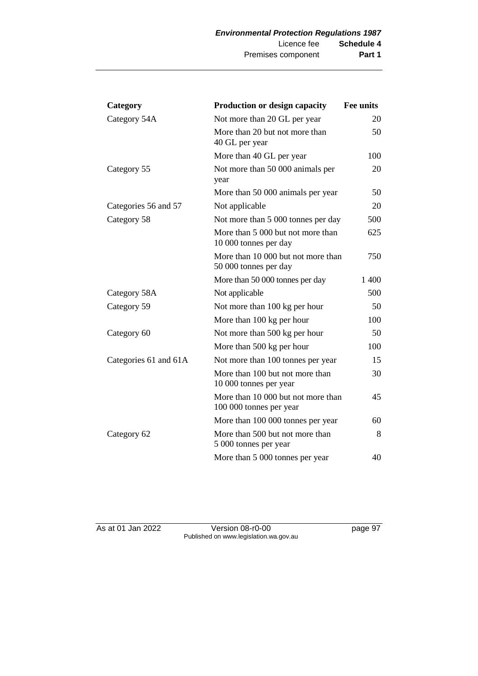| Category              | <b>Production or design capacity</b>                          | Fee units |
|-----------------------|---------------------------------------------------------------|-----------|
| Category 54A          | Not more than 20 GL per year                                  | 20        |
|                       | More than 20 but not more than<br>40 GL per year              | 50        |
|                       | More than 40 GL per year                                      | 100       |
| Category 55           | Not more than 50 000 animals per<br>year                      | 20        |
|                       | More than 50 000 animals per year                             | 50        |
| Categories 56 and 57  | Not applicable                                                | 20        |
| Category 58           | Not more than 5 000 tonnes per day                            | 500       |
|                       | More than 5 000 but not more than<br>10 000 tonnes per day    | 625       |
|                       | More than 10 000 but not more than<br>50 000 tonnes per day   | 750       |
|                       | More than 50 000 tonnes per day                               | 1 400     |
| Category 58A          | Not applicable                                                | 500       |
| Category 59           | Not more than 100 kg per hour                                 | 50        |
|                       | More than 100 kg per hour                                     | 100       |
| Category 60           | Not more than 500 kg per hour                                 | 50        |
|                       | More than 500 kg per hour                                     | 100       |
| Categories 61 and 61A | Not more than 100 tonnes per year                             | 15        |
|                       | More than 100 but not more than<br>10 000 tonnes per year     | 30        |
|                       | More than 10 000 but not more than<br>100 000 tonnes per year | 45        |
|                       | More than 100 000 tonnes per year                             | 60        |
| Category 62           | More than 500 but not more than<br>5 000 tonnes per year      | 8         |
|                       | More than 5 000 tonnes per year                               | 40        |

As at 01 Jan 2022 Version 08-r0-00 page 97 Published on www.legislation.wa.gov.au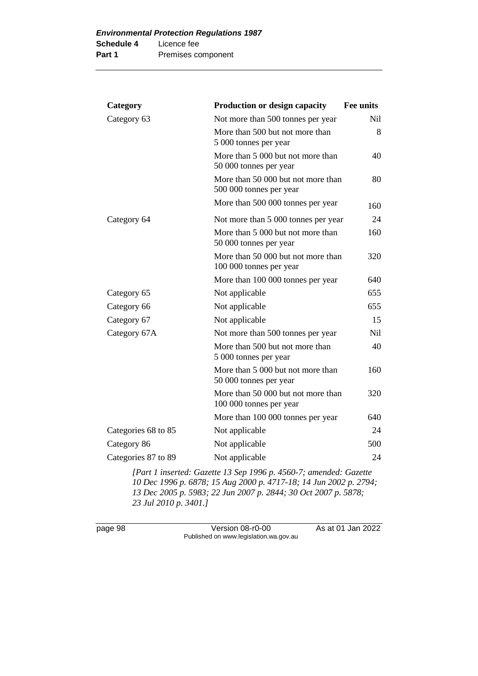| Category            | <b>Production or design capacity</b>                          | Fee units |
|---------------------|---------------------------------------------------------------|-----------|
| Category 63         | Not more than 500 tonnes per year                             | Nil       |
|                     | More than 500 but not more than<br>5 000 tonnes per year      | 8         |
|                     | More than 5 000 but not more than<br>50 000 tonnes per year   | 40        |
|                     | More than 50 000 but not more than<br>500 000 tonnes per year | 80        |
|                     | More than 500 000 tonnes per year                             | 160       |
| Category 64         | Not more than 5 000 tonnes per year                           | 24        |
|                     | More than 5 000 but not more than<br>50 000 tonnes per year   | 160       |
|                     | More than 50 000 but not more than<br>100 000 tonnes per year | 320       |
|                     | More than 100 000 tonnes per year                             | 640       |
| Category 65         | Not applicable                                                | 655       |
| Category 66         | Not applicable                                                | 655       |
| Category 67         | Not applicable                                                | 15        |
| Category 67A        | Not more than 500 tonnes per year                             | Nil       |
|                     | More than 500 but not more than<br>5 000 tonnes per year      | 40        |
|                     | More than 5 000 but not more than<br>50 000 tonnes per year   | 160       |
|                     | More than 50 000 but not more than<br>100 000 tonnes per year | 320       |
|                     | More than 100 000 tonnes per year                             | 640       |
| Categories 68 to 85 | Not applicable                                                | 24        |
| Category 86         | Not applicable                                                | 500       |
| Categories 87 to 89 | Not applicable                                                | 24        |

*[Part 1 inserted: Gazette 13 Sep 1996 p. 4560-7; amended: Gazette Dec 1996 p. 6878; 15 Aug 2000 p. 4717-18; 14 Jun 2002 p. 2794; Dec 2005 p. 5983; 22 Jun 2007 p. 2844; 30 Oct 2007 p. 5878; Jul 2010 p. 3401.]*

page 98 Version 08-r0-00 As at 01 Jan 2022 Published on www.legislation.wa.gov.au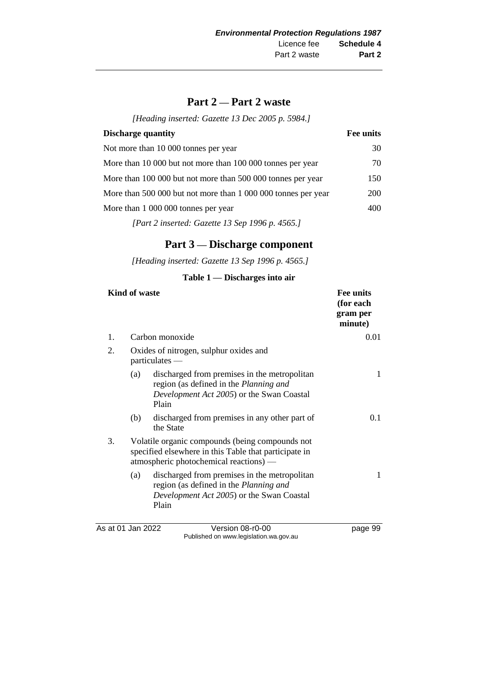### **Part 2 — Part 2 waste**

*[Heading inserted: Gazette 13 Dec 2005 p. 5984.]*

| <b>Discharge quantity</b>                                                                                                                                                                                                                                                                                                                                   | Fee units  |
|-------------------------------------------------------------------------------------------------------------------------------------------------------------------------------------------------------------------------------------------------------------------------------------------------------------------------------------------------------------|------------|
| Not more than 10 000 tonnes per year                                                                                                                                                                                                                                                                                                                        | 30         |
| More than 10 000 but not more than 100 000 tonnes per year                                                                                                                                                                                                                                                                                                  | 70         |
| More than 100 000 but not more than 500 000 tonnes per year                                                                                                                                                                                                                                                                                                 | 150        |
| More than 500 000 but not more than 1 000 000 tonnes per year                                                                                                                                                                                                                                                                                               | <b>200</b> |
| More than 1 000 000 tonnes per year                                                                                                                                                                                                                                                                                                                         | 400        |
| $\mathcal{L}$ $\mathcal{L}$ $\mathcal{L}$ $\mathcal{L}$ $\mathcal{L}$ $\mathcal{L}$ $\mathcal{L}$ $\mathcal{L}$ $\mathcal{L}$ $\mathcal{L}$ $\mathcal{L}$ $\mathcal{L}$ $\mathcal{L}$ $\mathcal{L}$ $\mathcal{L}$ $\mathcal{L}$ $\mathcal{L}$ $\mathcal{L}$ $\mathcal{L}$ $\mathcal{L}$ $\mathcal{L}$ $\mathcal{L}$ $\mathcal{L}$ $\mathcal{L}$ $\mathcal{$ |            |

*[Part 2 inserted: Gazette 13 Sep 1996 p. 4565.]*

### **Part 3 — Discharge component**

*[Heading inserted: Gazette 13 Sep 1996 p. 4565.]*

#### **Table 1 — Discharges into air**

| <b>Kind of waste</b> | Fee units<br>(for each<br>gram per<br>minute)                                                                                                      |                                                                                                                                              |     |
|----------------------|----------------------------------------------------------------------------------------------------------------------------------------------------|----------------------------------------------------------------------------------------------------------------------------------------------|-----|
| 1.                   | Carbon monoxide                                                                                                                                    | 0.01                                                                                                                                         |     |
| 2.                   | Oxides of nitrogen, sulphur oxides and<br>$particulates$ —                                                                                         |                                                                                                                                              |     |
|                      | (a)                                                                                                                                                | discharged from premises in the metropolitan<br>region (as defined in the Planning and<br>Development Act 2005) or the Swan Coastal<br>Plain | 1   |
|                      | (b)                                                                                                                                                | discharged from premises in any other part of<br>the State                                                                                   | 0.1 |
| 3.                   | Volatile organic compounds (being compounds not<br>specified elsewhere in this Table that participate in<br>atmospheric photochemical reactions) — |                                                                                                                                              |     |
|                      | (a)                                                                                                                                                | discharged from premises in the metropolitan<br>region (as defined in the Planning and<br>Development Act 2005) or the Swan Coastal<br>Plain | 1   |

As at 01 Jan 2022 Version 08-r0-00 page 99

Published on www.legislation.wa.gov.au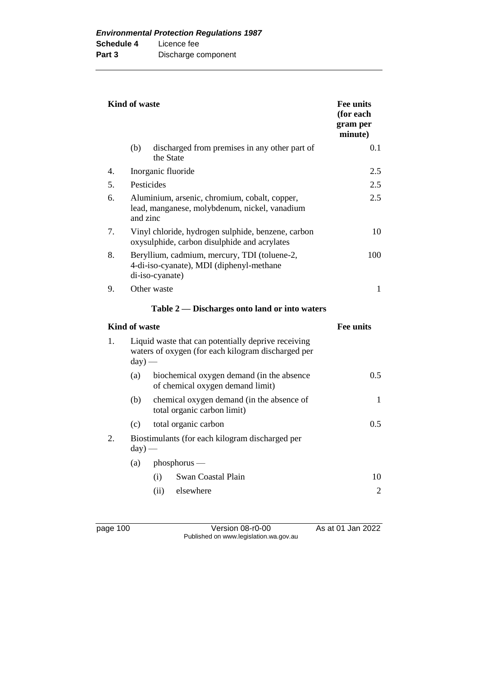| <b>Kind of waste</b> | <b>Fee units</b><br>(for each<br>gram per<br>minute)                                                                  |              |                                                                               |                  |  |  |
|----------------------|-----------------------------------------------------------------------------------------------------------------------|--------------|-------------------------------------------------------------------------------|------------------|--|--|
|                      | (b)                                                                                                                   | the State    | discharged from premises in any other part of                                 | 0.1              |  |  |
| 4.                   | Inorganic fluoride                                                                                                    | 2.5          |                                                                               |                  |  |  |
| 5.                   | Pesticides                                                                                                            | 2.5          |                                                                               |                  |  |  |
| б.                   | 2.5<br>Aluminium, arsenic, chromium, cobalt, copper,<br>lead, manganese, molybdenum, nickel, vanadium<br>and zinc     |              |                                                                               |                  |  |  |
| 7.                   | Vinyl chloride, hydrogen sulphide, benzene, carbon<br>10<br>oxysulphide, carbon disulphide and acrylates              |              |                                                                               |                  |  |  |
| 8.                   | 100<br>Beryllium, cadmium, mercury, TDI (toluene-2,<br>4-di-iso-cyanate), MDI (diphenyl-methane<br>di-iso-cyanate)    |              |                                                                               |                  |  |  |
| 9.                   | Other waste                                                                                                           | $\mathbf{1}$ |                                                                               |                  |  |  |
|                      |                                                                                                                       |              | Table 2 — Discharges onto land or into waters                                 |                  |  |  |
| <b>Kind of waste</b> |                                                                                                                       |              |                                                                               | <b>Fee units</b> |  |  |
| 1.                   | Liquid waste that can potentially deprive receiving<br>waters of oxygen (for each kilogram discharged per<br>$day)$ — |              |                                                                               |                  |  |  |
|                      | (a)                                                                                                                   |              | biochemical oxygen demand (in the absence<br>of chemical oxygen demand limit) | 0.5              |  |  |
|                      | (b)                                                                                                                   |              | chemical oxygen demand (in the absence of<br>total organic carbon limit)      | 1                |  |  |
|                      | (c)                                                                                                                   |              | total organic carbon                                                          | $0.5^{\circ}$    |  |  |
| 2.                   | Biostimulants (for each kilogram discharged per<br>$day)$ —                                                           |              |                                                                               |                  |  |  |
|                      | (a)                                                                                                                   |              |                                                                               |                  |  |  |
|                      |                                                                                                                       | (i)          | Swan Coastal Plain                                                            | 10               |  |  |
|                      |                                                                                                                       | (ii)         | elsewhere                                                                     | 2                |  |  |

page 100 Version 08-r0-00 As at 01 Jan 2022 Published on www.legislation.wa.gov.au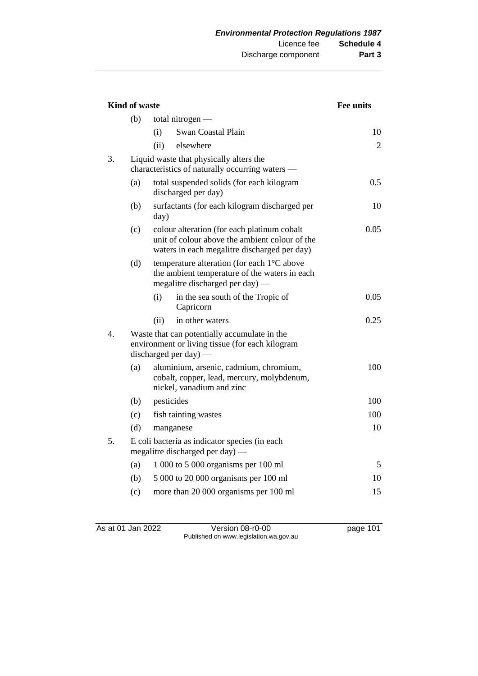| Kind of waste |                           |                                                                                                                                               | <b>Fee units</b> |
|---------------|---------------------------|-----------------------------------------------------------------------------------------------------------------------------------------------|------------------|
|               | (b)<br>total nitrogen $-$ |                                                                                                                                               |                  |
|               |                           | (i)<br><b>Swan Coastal Plain</b>                                                                                                              | 10               |
|               |                           | (ii)<br>elsewhere                                                                                                                             | $\overline{2}$   |
| 3.            |                           | Liquid waste that physically alters the<br>characteristics of naturally occurring waters —                                                    |                  |
|               | (a)                       | total suspended solids (for each kilogram<br>discharged per day)                                                                              | 0.5              |
|               | (b)                       | surfactants (for each kilogram discharged per<br>day)                                                                                         | 10               |
|               | (c)                       | colour alteration (for each platinum cobalt<br>unit of colour above the ambient colour of the<br>waters in each megalitre discharged per day) | 0.05             |
|               | (d)                       | temperature alteration (for each 1°C above<br>the ambient temperature of the waters in each<br>megalitre discharged per day) —                |                  |
|               |                           | (i)<br>in the sea south of the Tropic of<br>Capricorn                                                                                         | 0.05             |
|               |                           | (ii)<br>in other waters                                                                                                                       | 0.25             |
| 4.            |                           | Waste that can potentially accumulate in the<br>environment or living tissue (for each kilogram<br>discharged per day) $-$                    |                  |
|               | (a)                       | aluminium, arsenic, cadmium, chromium,<br>cobalt, copper, lead, mercury, molybdenum,<br>nickel, vanadium and zinc                             | 100              |
|               | (b)                       | pesticides                                                                                                                                    | 100              |
|               | (c)                       | fish tainting wastes                                                                                                                          | 100              |
|               | (d)                       | manganese                                                                                                                                     | 10               |
| 5.            |                           | E coli bacteria as indicator species (in each<br>megalitre discharged per day) —                                                              |                  |
|               | (a)                       | $1000$ to $5000$ organisms per $100$ ml                                                                                                       | 5                |
|               | (b)                       | 5 000 to 20 000 organisms per 100 ml                                                                                                          | 10               |
|               | (c)                       | more than 20 000 organisms per 100 ml                                                                                                         | 15               |

As at 01 Jan 2022 Version 08-r0-00 page 101 Published on www.legislation.wa.gov.au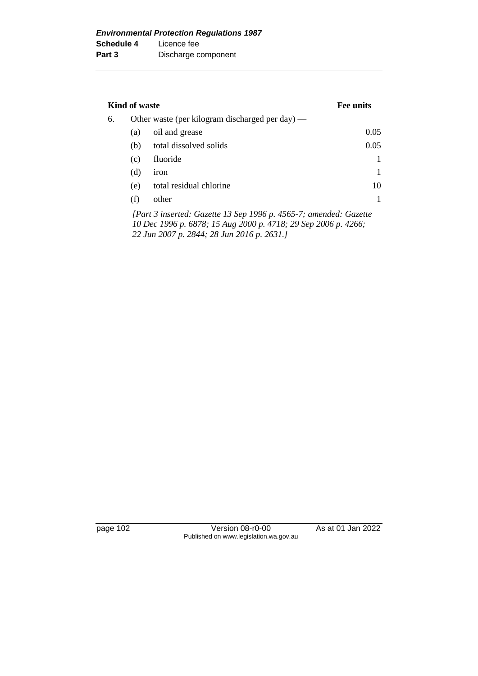|    | <b>Kind of waste</b> |                                                                                              | Fee units |
|----|----------------------|----------------------------------------------------------------------------------------------|-----------|
| 6. |                      | Other waste (per kilogram discharged per day) —                                              |           |
|    | (a)                  | oil and grease                                                                               | 0.05      |
|    | (b)                  | total dissolved solids                                                                       | 0.05      |
|    | (c)                  | fluoride                                                                                     |           |
|    | (d)                  | iron                                                                                         |           |
|    | (e)                  | total residual chlorine                                                                      | 10        |
|    | (f)                  | other                                                                                        |           |
|    |                      | $ID_{out}$ 2 incompatible $C_{g}$ rates 12 $C_{on}$ 1006 m 4565 7, and and all $C_{g}$ rates |           |

*[Part 3 inserted: Gazette 13 Sep 1996 p. 4565-7; amended: Gazette 10 Dec 1996 p. 6878; 15 Aug 2000 p. 4718; 29 Sep 2006 p. 4266; 22 Jun 2007 p. 2844; 28 Jun 2016 p. 2631.]*

page 102 Version 08-r0-00 As at 01 Jan 2022 Published on www.legislation.wa.gov.au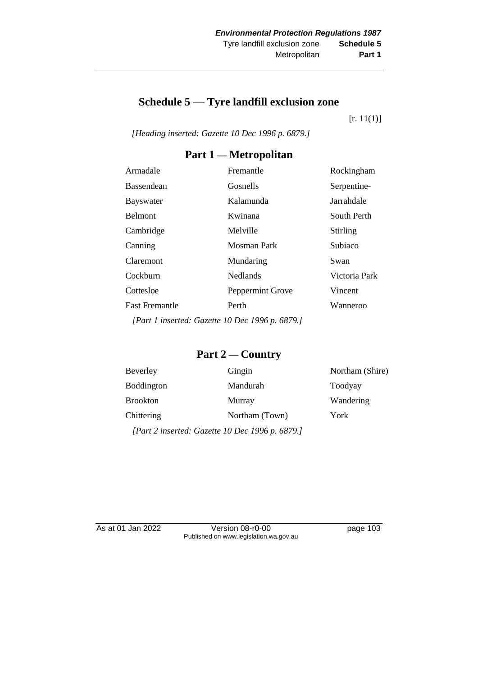# **Schedule 5 — Tyre landfill exclusion zone**

 $[r. 11(1)]$ 

*[Heading inserted: Gazette 10 Dec 1996 p. 6879.]*

## **Part 1 — Metropolitan**

| Armadale                                        | Fremantle        | Rockingham    |  |  |
|-------------------------------------------------|------------------|---------------|--|--|
| <b>Bassendean</b>                               | Gosnells         | Serpentine-   |  |  |
| <b>Bayswater</b>                                | Kalamunda        | Jarrahdale    |  |  |
| <b>Belmont</b>                                  | Kwinana          | South Perth   |  |  |
| Cambridge                                       | Melville         | Stirling      |  |  |
| Canning                                         | Mosman Park      | Subiaco       |  |  |
| Claremont                                       | Mundaring        | Swan          |  |  |
| Cockburn                                        | <b>Nedlands</b>  | Victoria Park |  |  |
| Cottesloe                                       | Peppermint Grove | Vincent       |  |  |
| <b>East Fremantle</b>                           | Perth            | Wanneroo      |  |  |
| [Part 1 inserted: Gazette 10 Dec 1996 p. 6879.] |                  |               |  |  |

# **Part 2 — Country**

| Beverley                                        | Gingin         | Northam (Shire) |  |  |
|-------------------------------------------------|----------------|-----------------|--|--|
| <b>Boddington</b>                               | Mandurah       | Toodyay         |  |  |
| <b>Brookton</b>                                 | Murray         | Wandering       |  |  |
| Chittering                                      | Northam (Town) | York            |  |  |
| [Part 2 inserted: Gazette 10 Dec 1996 p. 6879.] |                |                 |  |  |

As at 01 Jan 2022 Version 08-r0-00 page 103 Published on www.legislation.wa.gov.au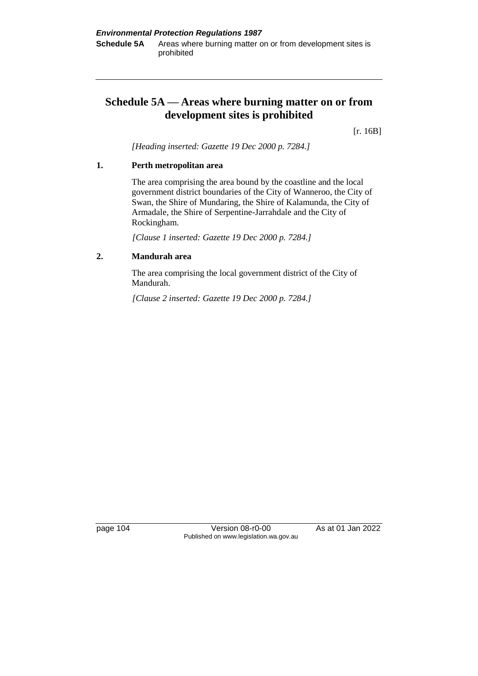## **Schedule 5A — Areas where burning matter on or from development sites is prohibited**

[r. 16B]

*[Heading inserted: Gazette 19 Dec 2000 p. 7284.]*

#### **1. Perth metropolitan area**

The area comprising the area bound by the coastline and the local government district boundaries of the City of Wanneroo, the City of Swan, the Shire of Mundaring, the Shire of Kalamunda, the City of Armadale, the Shire of Serpentine-Jarrahdale and the City of Rockingham.

*[Clause 1 inserted: Gazette 19 Dec 2000 p. 7284.]*

### **2. Mandurah area**

The area comprising the local government district of the City of Mandurah.

*[Clause 2 inserted: Gazette 19 Dec 2000 p. 7284.]*

page 104 Version 08-r0-00 As at 01 Jan 2022 Published on www.legislation.wa.gov.au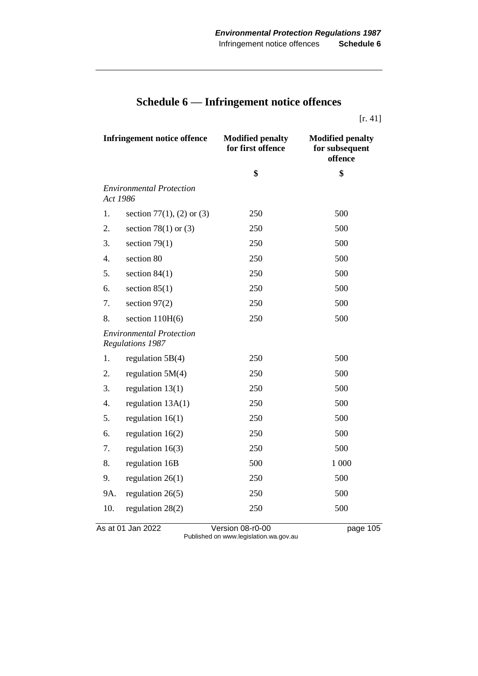# **Schedule 6 — Infringement notice offences**

[r. 41]

|                  | <b>Infringement notice offence</b>                         | <b>Modified penalty</b><br>for first offence | <b>Modified penalty</b><br>for subsequent<br>offence |
|------------------|------------------------------------------------------------|----------------------------------------------|------------------------------------------------------|
|                  |                                                            | \$                                           | \$                                                   |
| Act 1986         | <b>Environmental Protection</b>                            |                                              |                                                      |
| 1.               | section 77(1), (2) or (3)                                  | 250                                          | 500                                                  |
| 2.               | section 78(1) or $(3)$                                     | 250                                          | 500                                                  |
| 3.               | section $79(1)$                                            | 250                                          | 500                                                  |
| $\overline{4}$ . | section 80                                                 | 250                                          | 500                                                  |
| 5.               | section $84(1)$                                            | 250                                          | 500                                                  |
| 6.               | section $85(1)$                                            | 250                                          | 500                                                  |
| 7.               | section $97(2)$                                            | 250                                          | 500                                                  |
| 8.               | section $110H(6)$                                          | 250                                          | 500                                                  |
|                  | <i>Environmental Protection</i><br><b>Regulations 1987</b> |                                              |                                                      |
| 1.               | regulation $5B(4)$                                         | 250                                          | 500                                                  |
| 2.               | regulation $5M(4)$                                         | 250                                          | 500                                                  |
| 3.               | regulation $13(1)$                                         | 250                                          | 500                                                  |
| $\overline{4}$ . | regulation $13A(1)$                                        | 250                                          | 500                                                  |
| 5.               | regulation $16(1)$                                         | 250                                          | 500                                                  |
| 6.               | regulation $16(2)$                                         | 250                                          | 500                                                  |
| 7.               | regulation $16(3)$                                         | 250                                          | 500                                                  |
| 8.               | regulation 16B                                             | 500                                          | 1 000                                                |
| 9.               | regulation $26(1)$                                         | 250                                          | 500                                                  |
| 9A.              | regulation $26(5)$                                         | 250                                          | 500                                                  |
| 10.              | regulation $28(2)$                                         | 250                                          | 500                                                  |
|                  | As at 01 Jan 2022                                          | Version 08-r0-00                             | page 105                                             |

Published on www.legislation.wa.gov.au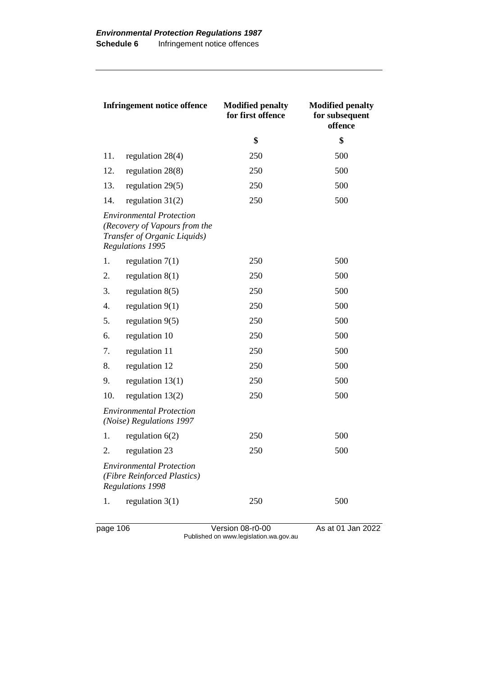| <b>Infringement notice offence</b>                                                        |                                                                                                                      | <b>Modified penalty</b><br>for first offence | <b>Modified penalty</b><br>for subsequent<br>offence |
|-------------------------------------------------------------------------------------------|----------------------------------------------------------------------------------------------------------------------|----------------------------------------------|------------------------------------------------------|
|                                                                                           |                                                                                                                      | \$                                           | \$                                                   |
| 11.                                                                                       | regulation 28(4)                                                                                                     | 250                                          | 500                                                  |
| 12.                                                                                       | regulation $28(8)$                                                                                                   | 250                                          | 500                                                  |
| 13.                                                                                       | regulation $29(5)$                                                                                                   | 250                                          | 500                                                  |
| 14.                                                                                       | regulation $31(2)$                                                                                                   | 250                                          | 500                                                  |
|                                                                                           | <b>Environmental Protection</b><br>(Recovery of Vapours from the<br>Transfer of Organic Liquids)<br>Regulations 1995 |                                              |                                                      |
| 1.                                                                                        | regulation $7(1)$                                                                                                    | 250                                          | 500                                                  |
| 2.                                                                                        | regulation $8(1)$                                                                                                    | 250                                          | 500                                                  |
| 3.                                                                                        | regulation $8(5)$                                                                                                    | 250                                          | 500                                                  |
| 4.                                                                                        | regulation $9(1)$                                                                                                    | 250                                          | 500                                                  |
| 5.                                                                                        | regulation $9(5)$                                                                                                    | 250                                          | 500                                                  |
| 6.                                                                                        | regulation 10                                                                                                        | 250                                          | 500                                                  |
| 7.                                                                                        | regulation 11                                                                                                        | 250                                          | 500                                                  |
| 8.                                                                                        | regulation 12                                                                                                        | 250                                          | 500                                                  |
| 9.                                                                                        | regulation $13(1)$                                                                                                   | 250                                          | 500                                                  |
| 10.                                                                                       | regulation $13(2)$                                                                                                   | 250                                          | 500                                                  |
|                                                                                           | <b>Environmental Protection</b><br>(Noise) Regulations 1997                                                          |                                              |                                                      |
| 1.                                                                                        | regulation $6(2)$                                                                                                    | 250                                          | 500                                                  |
| 2.                                                                                        | regulation 23                                                                                                        | 250                                          | 500                                                  |
| <b>Environmental Protection</b><br>(Fibre Reinforced Plastics)<br><b>Regulations 1998</b> |                                                                                                                      |                                              |                                                      |
| 1.                                                                                        | regulation $3(1)$                                                                                                    | 250                                          | 500                                                  |

page 106 Version 08-r0-00 As at 01 Jan 2022 Published on www.legislation.wa.gov.au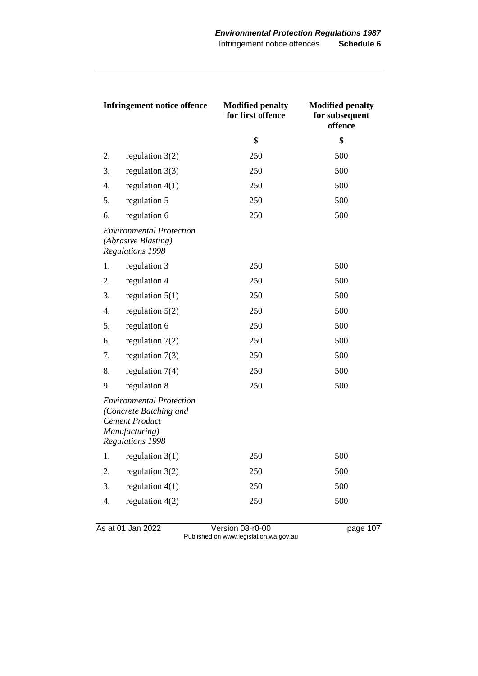|                  | <b>Infringement notice offence</b>                                                                                              | <b>Modified penalty</b><br>for first offence | <b>Modified penalty</b><br>for subsequent<br>offence |
|------------------|---------------------------------------------------------------------------------------------------------------------------------|----------------------------------------------|------------------------------------------------------|
|                  |                                                                                                                                 | \$                                           | \$                                                   |
| 2.               | regulation $3(2)$                                                                                                               | 250                                          | 500                                                  |
| 3.               | regulation $3(3)$                                                                                                               | 250                                          | 500                                                  |
| 4.               | regulation $4(1)$                                                                                                               | 250                                          | 500                                                  |
| 5.               | regulation 5                                                                                                                    | 250                                          | 500                                                  |
| 6.               | regulation 6                                                                                                                    | 250                                          | 500                                                  |
|                  | <b>Environmental Protection</b><br>(Abrasive Blasting)<br><b>Regulations 1998</b>                                               |                                              |                                                      |
| 1.               | regulation 3                                                                                                                    | 250                                          | 500                                                  |
| 2.               | regulation 4                                                                                                                    | 250                                          | 500                                                  |
| 3.               | regulation $5(1)$                                                                                                               | 250                                          | 500                                                  |
| $\overline{4}$ . | regulation $5(2)$                                                                                                               | 250                                          | 500                                                  |
| 5.               | regulation 6                                                                                                                    | 250                                          | 500                                                  |
| 6.               | regulation $7(2)$                                                                                                               | 250                                          | 500                                                  |
| 7.               | regulation $7(3)$                                                                                                               | 250                                          | 500                                                  |
| 8.               | regulation $7(4)$                                                                                                               | 250                                          | 500                                                  |
| 9.               | regulation 8                                                                                                                    | 250                                          | 500                                                  |
|                  | <b>Environmental Protection</b><br>(Concrete Batching and<br><b>Cement Product</b><br>Manufacturing)<br><b>Regulations 1998</b> |                                              |                                                      |
| 1.               | regulation $3(1)$                                                                                                               | 250                                          | 500                                                  |
| 2.               | regulation $3(2)$                                                                                                               | 250                                          | 500                                                  |
| 3.               | regulation $4(1)$                                                                                                               | 250                                          | 500                                                  |
| 4.               | regulation $4(2)$                                                                                                               | 250                                          | 500                                                  |

As at 01 Jan 2022 Version 08-r0-00 page 107 Published on www.legislation.wa.gov.au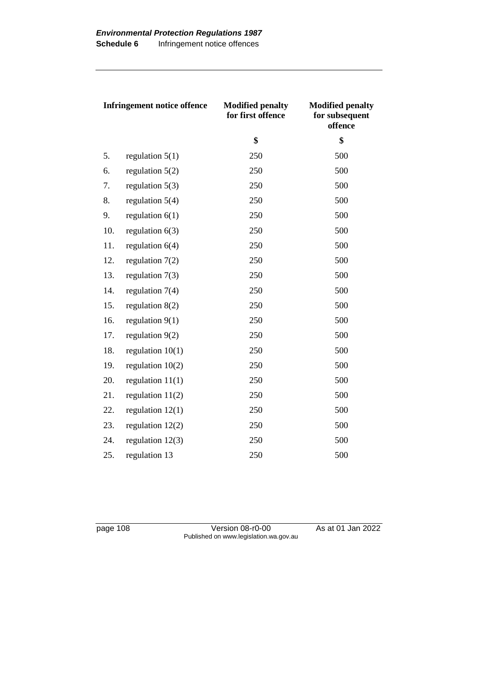| <b>Infringement notice offence</b> |                    | <b>Modified penalty</b><br>for first offence | <b>Modified penalty</b><br>for subsequent<br>offence |
|------------------------------------|--------------------|----------------------------------------------|------------------------------------------------------|
|                                    |                    | \$                                           | \$                                                   |
| 5.                                 | regulation $5(1)$  | 250                                          | 500                                                  |
| 6.                                 | regulation $5(2)$  | 250                                          | 500                                                  |
| 7.                                 | regulation $5(3)$  | 250                                          | 500                                                  |
| 8.                                 | regulation $5(4)$  | 250                                          | 500                                                  |
| 9.                                 | regulation $6(1)$  | 250                                          | 500                                                  |
| 10.                                | regulation $6(3)$  | 250                                          | 500                                                  |
| 11.                                | regulation $6(4)$  | 250                                          | 500                                                  |
| 12.                                | regulation $7(2)$  | 250                                          | 500                                                  |
| 13.                                | regulation $7(3)$  | 250                                          | 500                                                  |
| 14.                                | regulation $7(4)$  | 250                                          | 500                                                  |
| 15.                                | regulation $8(2)$  | 250                                          | 500                                                  |
| 16.                                | regulation $9(1)$  | 250                                          | 500                                                  |
| 17.                                | regulation $9(2)$  | 250                                          | 500                                                  |
| 18.                                | regulation $10(1)$ | 250                                          | 500                                                  |
| 19.                                | regulation $10(2)$ | 250                                          | 500                                                  |
| 20.                                | regulation $11(1)$ | 250                                          | 500                                                  |
| 21.                                | regulation $11(2)$ | 250                                          | 500                                                  |
| 22.                                | regulation $12(1)$ | 250                                          | 500                                                  |
| 23.                                | regulation $12(2)$ | 250                                          | 500                                                  |
| 24.                                | regulation $12(3)$ | 250                                          | 500                                                  |
| 25.                                | regulation 13      | 250                                          | 500                                                  |

page 108 Version 08-r0-00 As at 01 Jan 2022 Published on www.legislation.wa.gov.au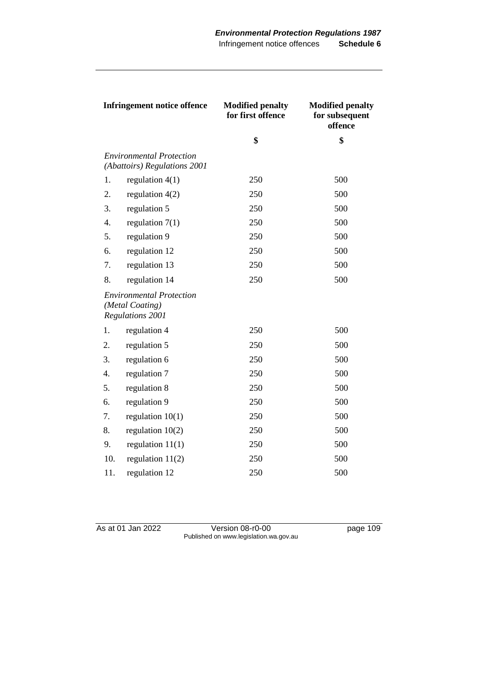|     | <b>Infringement notice offence</b>                                     | <b>Modified penalty</b><br>for first offence | <b>Modified penalty</b><br>for subsequent<br>offence |
|-----|------------------------------------------------------------------------|----------------------------------------------|------------------------------------------------------|
|     |                                                                        | \$                                           | \$                                                   |
|     | <b>Environmental Protection</b><br>(Abattoirs) Regulations 2001        |                                              |                                                      |
| 1.  | regulation $4(1)$                                                      | 250                                          | 500                                                  |
| 2.  | regulation $4(2)$                                                      | 250                                          | 500                                                  |
| 3.  | regulation 5                                                           | 250                                          | 500                                                  |
| 4.  | regulation $7(1)$                                                      | 250                                          | 500                                                  |
| 5.  | regulation 9                                                           | 250                                          | 500                                                  |
| 6.  | regulation 12                                                          | 250                                          | 500                                                  |
| 7.  | regulation 13                                                          | 250                                          | 500                                                  |
| 8.  | regulation 14                                                          | 250                                          | 500                                                  |
|     | <b>Environmental Protection</b><br>(Metal Coating)<br>Regulations 2001 |                                              |                                                      |
| 1.  | regulation 4                                                           | 250                                          | 500                                                  |
| 2.  | regulation 5                                                           | 250                                          | 500                                                  |
| 3.  | regulation 6                                                           | 250                                          | 500                                                  |
| 4.  | regulation 7                                                           | 250                                          | 500                                                  |
| 5.  | regulation 8                                                           | 250                                          | 500                                                  |
| 6.  | regulation 9                                                           | 250                                          | 500                                                  |
| 7.  | regulation $10(1)$                                                     | 250                                          | 500                                                  |
| 8.  | regulation $10(2)$                                                     | 250                                          | 500                                                  |
| 9.  | regulation $11(1)$                                                     | 250                                          | 500                                                  |
| 10. | regulation $11(2)$                                                     | 250                                          | 500                                                  |
| 11. | regulation 12                                                          | 250                                          | 500                                                  |

As at 01 Jan 2022 Version 08-r0-00 page 109 Published on www.legislation.wa.gov.au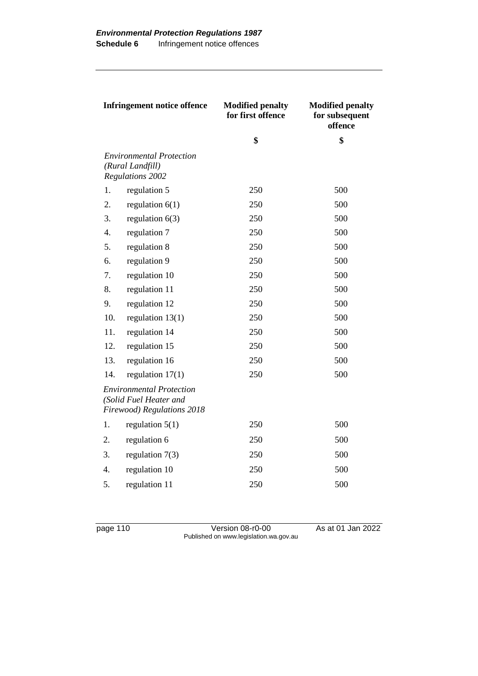|                                                                                | <b>Infringement notice offence</b>                                                      | <b>Modified penalty</b><br>for first offence | <b>Modified penalty</b><br>for subsequent<br>offence |
|--------------------------------------------------------------------------------|-----------------------------------------------------------------------------------------|----------------------------------------------|------------------------------------------------------|
|                                                                                |                                                                                         | \$                                           | \$                                                   |
| <b>Environmental Protection</b><br>(Rural Landfill)<br><b>Regulations 2002</b> |                                                                                         |                                              |                                                      |
| 1.                                                                             | regulation 5                                                                            | 250                                          | 500                                                  |
| 2.                                                                             | regulation $6(1)$                                                                       | 250                                          | 500                                                  |
| 3.                                                                             | regulation $6(3)$                                                                       | 250                                          | 500                                                  |
| 4.                                                                             | regulation 7                                                                            | 250                                          | 500                                                  |
| 5.                                                                             | regulation 8                                                                            | 250                                          | 500                                                  |
| 6.                                                                             | regulation 9                                                                            | 250                                          | 500                                                  |
| 7.                                                                             | regulation 10                                                                           | 250                                          | 500                                                  |
| 8.                                                                             | regulation 11                                                                           | 250                                          | 500                                                  |
| 9.                                                                             | regulation 12                                                                           | 250                                          | 500                                                  |
| 10.                                                                            | regulation $13(1)$                                                                      | 250                                          | 500                                                  |
| 11.                                                                            | regulation 14                                                                           | 250                                          | 500                                                  |
| 12.                                                                            | regulation 15                                                                           | 250                                          | 500                                                  |
| 13.                                                                            | regulation 16                                                                           | 250                                          | 500                                                  |
| 14.                                                                            | regulation $17(1)$                                                                      | 250                                          | 500                                                  |
|                                                                                | <b>Environmental Protection</b><br>(Solid Fuel Heater and<br>Firewood) Regulations 2018 |                                              |                                                      |
| 1.                                                                             | regulation $5(1)$                                                                       | 250                                          | 500                                                  |
| 2.                                                                             | regulation 6                                                                            | 250                                          | 500                                                  |
| 3.                                                                             | regulation $7(3)$                                                                       | 250                                          | 500                                                  |
| $\overline{4}$ .                                                               | regulation 10                                                                           | 250                                          | 500                                                  |
| 5.                                                                             | regulation 11                                                                           | 250                                          | 500                                                  |

page 110 Version 08-r0-00 As at 01 Jan 2022 Published on www.legislation.wa.gov.au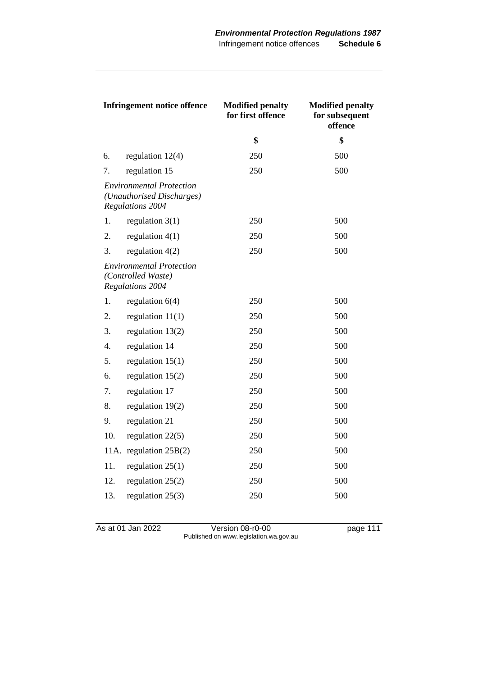| <b>Infringement notice offence</b> |                                                                                  | <b>Modified penalty</b><br>for first offence | <b>Modified penalty</b><br>for subsequent<br>offence |
|------------------------------------|----------------------------------------------------------------------------------|----------------------------------------------|------------------------------------------------------|
|                                    |                                                                                  | \$                                           | \$                                                   |
| 6.                                 | regulation $12(4)$                                                               | 250                                          | 500                                                  |
| 7.                                 | regulation 15                                                                    | 250                                          | 500                                                  |
|                                    | <b>Environmental Protection</b><br>(Unauthorised Discharges)<br>Regulations 2004 |                                              |                                                      |
| 1.                                 | regulation $3(1)$                                                                | 250                                          | 500                                                  |
| 2.                                 | regulation $4(1)$                                                                | 250                                          | 500                                                  |
| 3.                                 | regulation $4(2)$                                                                | 250                                          | 500                                                  |
|                                    | <b>Environmental Protection</b><br>(Controlled Waste)<br><b>Regulations 2004</b> |                                              |                                                      |
| 1.                                 | regulation $6(4)$                                                                | 250                                          | 500                                                  |
| 2.                                 | regulation $11(1)$                                                               | 250                                          | 500                                                  |
| 3.                                 | regulation $13(2)$                                                               | 250                                          | 500                                                  |
| 4.                                 | regulation 14                                                                    | 250                                          | 500                                                  |
| 5.                                 | regulation $15(1)$                                                               | 250                                          | 500                                                  |
| 6.                                 | regulation $15(2)$                                                               | 250                                          | 500                                                  |
| 7.                                 | regulation 17                                                                    | 250                                          | 500                                                  |
| 8.                                 | regulation 19(2)                                                                 | 250                                          | 500                                                  |
| 9.                                 | regulation 21                                                                    | 250                                          | 500                                                  |
| 10.                                | regulation $22(5)$                                                               | 250                                          | 500                                                  |
|                                    | 11A. regulation 25B(2)                                                           | 250                                          | 500                                                  |
| 11.                                | regulation $25(1)$                                                               | 250                                          | 500                                                  |
| 12.                                | regulation $25(2)$                                                               | 250                                          | 500                                                  |
| 13.                                | regulation $25(3)$                                                               | 250                                          | 500                                                  |

As at 01 Jan 2022 Version 08-r0-00 page 111 Published on www.legislation.wa.gov.au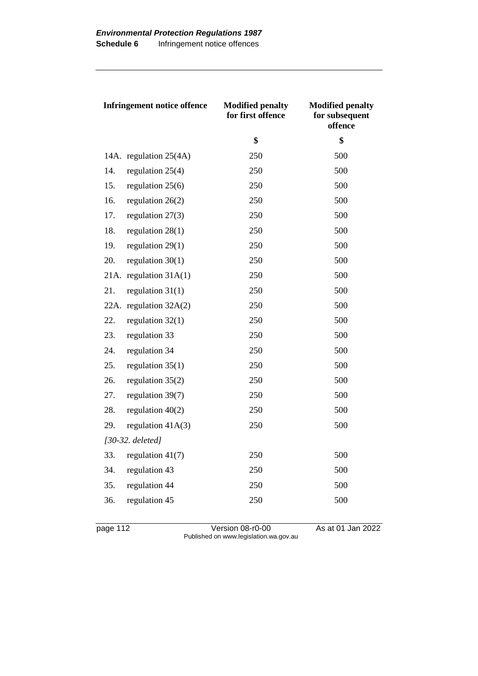| <b>Infringement notice offence</b> |                        | <b>Modified penalty</b><br>for first offence | <b>Modified penalty</b><br>for subsequent<br>offence |
|------------------------------------|------------------------|----------------------------------------------|------------------------------------------------------|
|                                    |                        | \$                                           | \$                                                   |
|                                    | 14A. regulation 25(4A) | 250                                          | 500                                                  |
| 14.                                | regulation $25(4)$     | 250                                          | 500                                                  |
| 15.                                | regulation $25(6)$     | 250                                          | 500                                                  |
| 16.                                | regulation $26(2)$     | 250                                          | 500                                                  |
| 17.                                | regulation $27(3)$     | 250                                          | 500                                                  |
| 18.                                | regulation $28(1)$     | 250                                          | 500                                                  |
| 19.                                | regulation $29(1)$     | 250                                          | 500                                                  |
| 20.                                | regulation $30(1)$     | 250                                          | 500                                                  |
| 21A.                               | regulation $31A(1)$    | 250                                          | 500                                                  |
| 21.                                | regulation $31(1)$     | 250                                          | 500                                                  |
| 22A.                               | regulation $32A(2)$    | 250                                          | 500                                                  |
| 22.                                | regulation $32(1)$     | 250                                          | 500                                                  |
| 23.                                | regulation 33          | 250                                          | 500                                                  |
| 24.                                | regulation 34          | 250                                          | 500                                                  |
| 25.                                | regulation $35(1)$     | 250                                          | 500                                                  |
| 26.                                | regulation $35(2)$     | 250                                          | 500                                                  |
| 27.                                | regulation 39(7)       | 250                                          | 500                                                  |
| 28.                                | regulation $40(2)$     | 250                                          | 500                                                  |
| 29.                                | regulation $41A(3)$    | 250                                          | 500                                                  |
| $[30-32.$ deleted]                 |                        |                                              |                                                      |
| 33.                                | regulation $41(7)$     | 250                                          | 500                                                  |
| 34.                                | regulation 43          | 250                                          | 500                                                  |
| 35.                                | regulation 44          | 250                                          | 500                                                  |
| 36.                                | regulation 45          | 250                                          | 500                                                  |
|                                    |                        |                                              |                                                      |

page 112 Version 08-r0-00 As at 01 Jan 2022 Published on www.legislation.wa.gov.au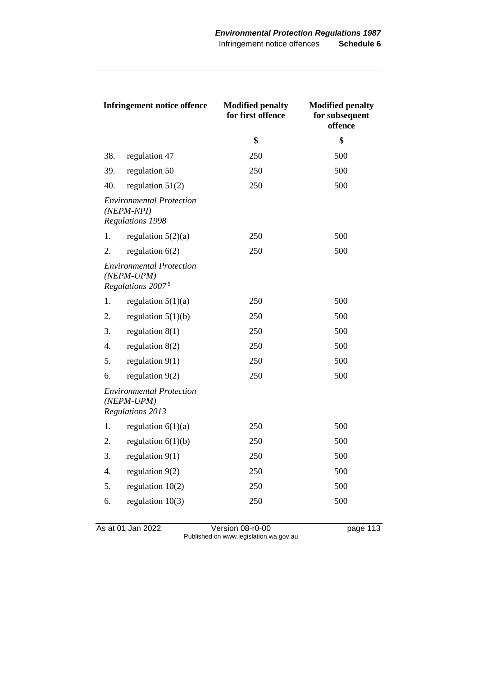|     | <b>Infringement notice offence</b>                                               | <b>Modified penalty</b><br>for first offence | <b>Modified penalty</b><br>for subsequent<br>offence |
|-----|----------------------------------------------------------------------------------|----------------------------------------------|------------------------------------------------------|
|     |                                                                                  | \$                                           | \$                                                   |
| 38. | regulation 47                                                                    | 250                                          | 500                                                  |
| 39. | regulation 50                                                                    | 250                                          | 500                                                  |
| 40. | regulation $51(2)$                                                               | 250                                          | 500                                                  |
|     | <b>Environmental Protection</b><br>$(NEPM-NPI)$<br><b>Regulations 1998</b>       |                                              |                                                      |
| 1.  | regulation $5(2)(a)$                                                             | 250                                          | 500                                                  |
| 2.  | regulation $6(2)$                                                                | 250                                          | 500                                                  |
|     | <b>Environmental Protection</b><br>$(NEPM-UPM)$<br>Regulations 2007 <sup>5</sup> |                                              |                                                      |
| 1.  | regulation $5(1)(a)$                                                             | 250                                          | 500                                                  |
| 2.  | regulation $5(1)(b)$                                                             | 250                                          | 500                                                  |
| 3.  | regulation $8(1)$                                                                | 250                                          | 500                                                  |
| 4.  | regulation $8(2)$                                                                | 250                                          | 500                                                  |
| 5.  | regulation $9(1)$                                                                | 250                                          | 500                                                  |
| 6.  | regulation $9(2)$                                                                | 250                                          | 500                                                  |
|     | <b>Environmental Protection</b><br>$(NEPM-UPM)$<br><b>Regulations 2013</b>       |                                              |                                                      |
| 1.  | regulation $6(1)(a)$                                                             | 250                                          | 500                                                  |
| 2.  | regulation $6(1)(b)$                                                             | 250                                          | 500                                                  |
| 3.  | regulation $9(1)$                                                                | 250                                          | 500                                                  |
| 4.  | regulation $9(2)$                                                                | 250                                          | 500                                                  |
| 5.  | regulation $10(2)$                                                               | 250                                          | 500                                                  |
| 6.  | regulation $10(3)$                                                               | 250                                          | 500                                                  |

As at 01 Jan 2022 Version 08-r0-00 page 113 Published on www.legislation.wa.gov.au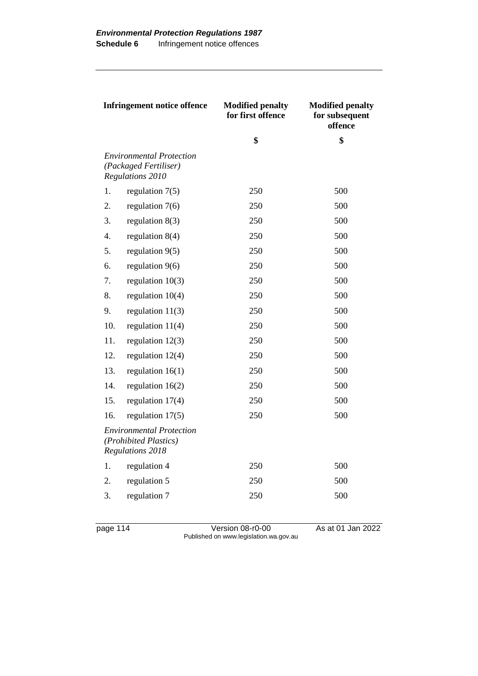| <b>Infringement notice offence</b> |                                                                                     | <b>Modified penalty</b><br>for first offence | <b>Modified penalty</b><br>for subsequent<br>offence |  |
|------------------------------------|-------------------------------------------------------------------------------------|----------------------------------------------|------------------------------------------------------|--|
|                                    |                                                                                     | \$                                           | \$                                                   |  |
|                                    | <b>Environmental Protection</b><br>(Packaged Fertiliser)<br><b>Regulations 2010</b> |                                              |                                                      |  |
| 1.                                 | regulation $7(5)$                                                                   | 250                                          | 500                                                  |  |
| 2.                                 | regulation $7(6)$                                                                   | 250                                          | 500                                                  |  |
| 3.                                 | regulation $8(3)$                                                                   | 250                                          | 500                                                  |  |
| 4.                                 | regulation $8(4)$                                                                   | 250                                          | 500                                                  |  |
| 5.                                 | regulation $9(5)$                                                                   | 250                                          | 500                                                  |  |
| 6.                                 | regulation $9(6)$                                                                   | 250                                          | 500                                                  |  |
| 7.                                 | regulation $10(3)$                                                                  | 250                                          | 500                                                  |  |
| 8.                                 | regulation $10(4)$                                                                  | 250                                          | 500                                                  |  |
| 9.                                 | regulation $11(3)$                                                                  | 250                                          | 500                                                  |  |
| 10.                                | regulation $11(4)$                                                                  | 250                                          | 500                                                  |  |
| 11.                                | regulation $12(3)$                                                                  | 250                                          | 500                                                  |  |
| 12.                                | regulation $12(4)$                                                                  | 250                                          | 500                                                  |  |
| 13.                                | regulation $16(1)$                                                                  | 250                                          | 500                                                  |  |
| 14.                                | regulation $16(2)$                                                                  | 250                                          | 500                                                  |  |
| 15.                                | regulation $17(4)$                                                                  | 250                                          | 500                                                  |  |
| 16.                                | regulation $17(5)$                                                                  | 250                                          | 500                                                  |  |
|                                    | <b>Environmental Protection</b><br>(Prohibited Plastics)<br><b>Regulations 2018</b> |                                              |                                                      |  |
| 1.                                 | regulation 4                                                                        | 250                                          | 500                                                  |  |
| 2.                                 | regulation 5                                                                        | 250                                          | 500                                                  |  |
| 3.                                 | regulation 7                                                                        | 250                                          | 500                                                  |  |

page 114 Version 08-r0-00 As at 01 Jan 2022 Published on www.legislation.wa.gov.au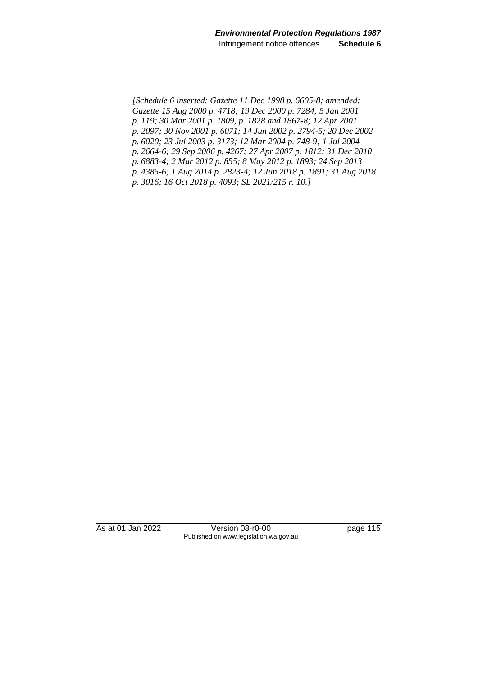*[Schedule 6 inserted: Gazette 11 Dec 1998 p. 6605-8; amended: Gazette 15 Aug 2000 p. 4718; 19 Dec 2000 p. 7284; 5 Jan 2001 p. 119; 30 Mar 2001 p. 1809, p. 1828 and 1867-8; 12 Apr 2001 p. 2097; 30 Nov 2001 p. 6071; 14 Jun 2002 p. 2794-5; 20 Dec 2002 p. 6020; 23 Jul 2003 p. 3173; 12 Mar 2004 p. 748-9; 1 Jul 2004 p. 2664-6; 29 Sep 2006 p. 4267; 27 Apr 2007 p. 1812; 31 Dec 2010 p. 6883-4; 2 Mar 2012 p. 855; 8 May 2012 p. 1893; 24 Sep 2013 p. 4385-6; 1 Aug 2014 p. 2823-4; 12 Jun 2018 p. 1891; 31 Aug 2018 p. 3016; 16 Oct 2018 p. 4093; SL 2021/215 r. 10.]*

As at 01 Jan 2022 Version 08-r0-00 page 115 Published on www.legislation.wa.gov.au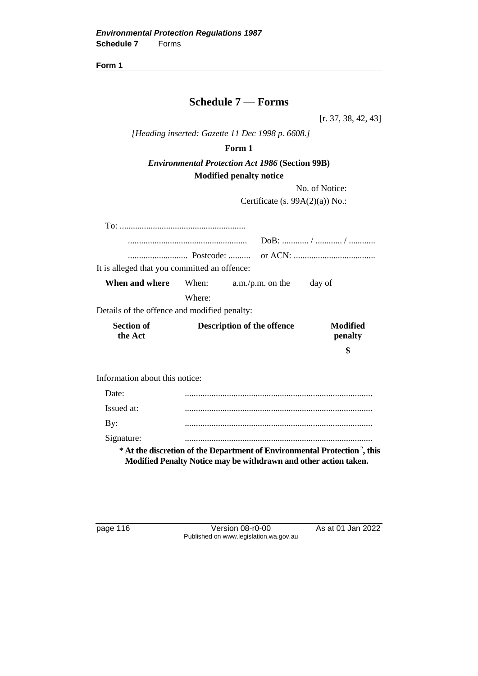## **Schedule 7 — Forms**

[r. 37, 38, 42, 43]

*[Heading inserted: Gazette 11 Dec 1998 p. 6608.]*

### **Form 1**

## *Environmental Protection Act 1986* **(Section 99B) Modified penalty notice**

No. of Notice:

Certificate (s. 99A(2)(a)) No.:

| It is alleged that you committed an offence: |                                                                                                                                                           |                     |
|----------------------------------------------|-----------------------------------------------------------------------------------------------------------------------------------------------------------|---------------------|
| When and where                               | When: $a.m./p.m.$ on the                                                                                                                                  | day of              |
|                                              | Where:                                                                                                                                                    |                     |
| Details of the offence and modified penalty: |                                                                                                                                                           |                     |
| <b>Section of</b><br>the Act                 | <b>Description of the offence</b>                                                                                                                         | Modified<br>penalty |
|                                              |                                                                                                                                                           | \$                  |
| Information about this notice:               |                                                                                                                                                           |                     |
| Date:                                        |                                                                                                                                                           |                     |
| Issued at:                                   |                                                                                                                                                           |                     |
| By:                                          |                                                                                                                                                           |                     |
| Signature:                                   |                                                                                                                                                           |                     |
|                                              | * At the discretion of the Department of Environmental Protection <sup>2</sup> , this<br>Modified Penalty Notice may be withdrawn and other action taken. |                     |

page 116 Version 08-r0-00 As at 01 Jan 2022 Published on www.legislation.wa.gov.au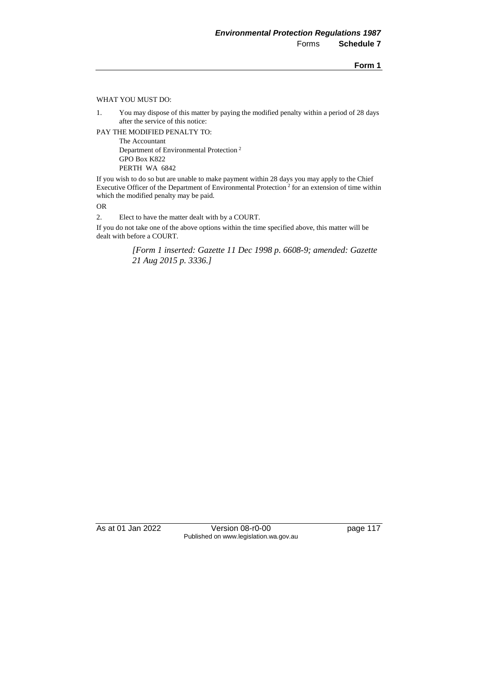#### WHAT YOU MUST DO:

1. You may dispose of this matter by paying the modified penalty within a period of 28 days after the service of this notice:

PAY THE MODIFIED PENALTY TO:

The Accountant Department of Environmental Protection <sup>2</sup> GPO Box K822 PERTH WA 6842

If you wish to do so but are unable to make payment within 28 days you may apply to the Chief Executive Officer of the Department of Environmental Protection<sup>2</sup> for an extension of time within which the modified penalty may be paid.

OR

2. Elect to have the matter dealt with by a COURT.

If you do not take one of the above options within the time specified above, this matter will be dealt with before a COURT.

> *[Form 1 inserted: Gazette 11 Dec 1998 p. 6608-9; amended: Gazette 21 Aug 2015 p. 3336.]*

As at 01 Jan 2022 Version 08-r0-00 page 117 Published on www.legislation.wa.gov.au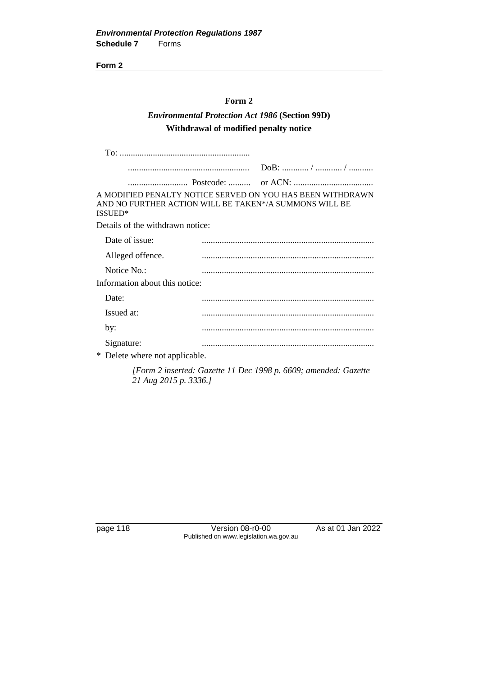#### **Form 2**

## *Environmental Protection Act 1986* **(Section 99D) Withdrawal of modified penalty notice**

| AND NO FURTHER ACTION WILL BE TAKEN*/A SUMMONS WILL BE<br>ISSUED* | A MODIFIED PENALTY NOTICE SERVED ON YOU HAS BEEN WITHDRAWN |
|-------------------------------------------------------------------|------------------------------------------------------------|
| Details of the withdrawn notice:                                  |                                                            |
| Date of issue:                                                    |                                                            |
| Alleged offence.                                                  |                                                            |
| Notice No.:                                                       |                                                            |
| Information about this notice:                                    |                                                            |
| Date:                                                             |                                                            |
| Issued at:                                                        |                                                            |
| by:                                                               |                                                            |
| Signature:                                                        |                                                            |
| * Delete where not applicable.                                    |                                                            |

*[Form 2 inserted: Gazette 11 Dec 1998 p. 6609; amended: Gazette 21 Aug 2015 p. 3336.]*

page 118 Version 08-r0-00 As at 01 Jan 2022 Published on www.legislation.wa.gov.au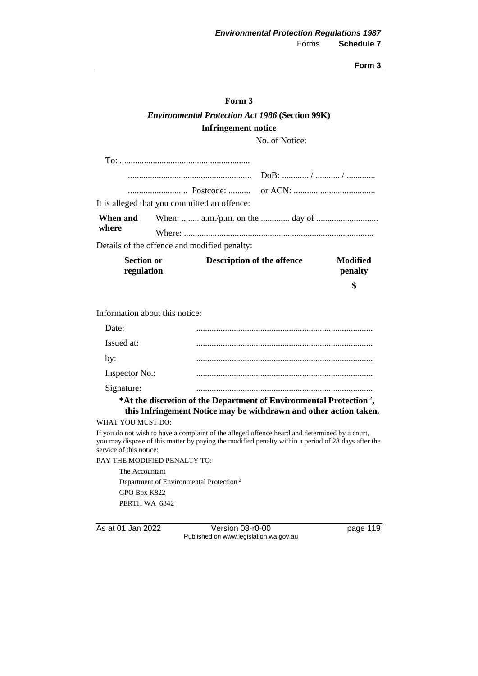#### **Form 3**

## *Environmental Protection Act 1986* **(Section 99K) Infringement notice**

No. of Notice:

|                                 |                                              |                                   | \$                  |
|---------------------------------|----------------------------------------------|-----------------------------------|---------------------|
| <b>Section or</b><br>regulation |                                              | <b>Description of the offence</b> | Modified<br>penalty |
|                                 | Details of the offence and modified penalty: |                                   |                     |
| where                           |                                              |                                   |                     |
|                                 |                                              |                                   |                     |
|                                 | It is alleged that you committed an offence: |                                   |                     |
|                                 |                                              |                                   |                     |
|                                 |                                              |                                   |                     |
|                                 |                                              |                                   |                     |

#### Information about this notice:

|                 | *At the discretion of the Department of Environmental Protection <sup>2</sup> , |
|-----------------|---------------------------------------------------------------------------------|
| Signature:      |                                                                                 |
| Inspector No.:  |                                                                                 |
| by:             |                                                                                 |
| Issued at:      |                                                                                 |
| $\text{Date}^*$ |                                                                                 |

# **this Infringement Notice may be withdrawn and other action taken.**

WHAT YOU MUST DO:

If you do not wish to have a complaint of the alleged offence heard and determined by a court, you may dispose of this matter by paying the modified penalty within a period of 28 days after the service of this notice:

#### PAY THE MODIFIED PENALTY TO:

The Accountant Department of Environmental Protection <sup>2</sup> GPO Box K822 PERTH WA 6842

As at 01 Jan 2022 Version 08-r0-00 page 119 Published on www.legislation.wa.gov.au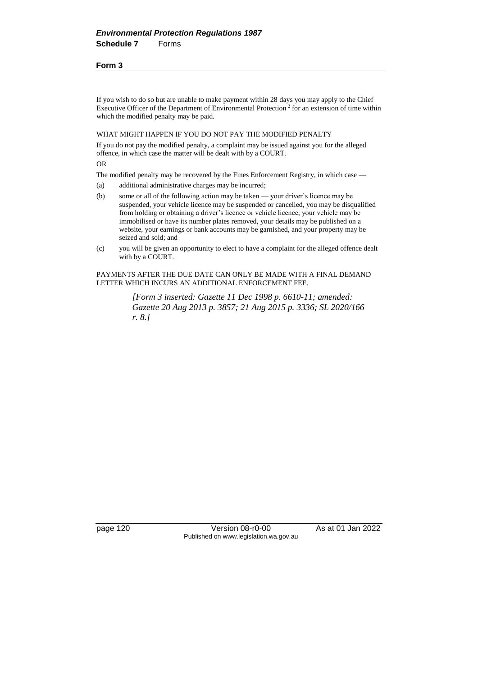If you wish to do so but are unable to make payment within 28 days you may apply to the Chief Executive Officer of the Department of Environmental Protection<sup>2</sup> for an extension of time within which the modified penalty may be paid.

#### WHAT MIGHT HAPPEN IF YOU DO NOT PAY THE MODIFIED PENALTY

If you do not pay the modified penalty, a complaint may be issued against you for the alleged offence, in which case the matter will be dealt with by a COURT.

OR

The modified penalty may be recovered by the Fines Enforcement Registry, in which case —

- (a) additional administrative charges may be incurred;
- (b) some or all of the following action may be taken your driver's licence may be suspended, your vehicle licence may be suspended or cancelled, you may be disqualified from holding or obtaining a driver's licence or vehicle licence, your vehicle may be immobilised or have its number plates removed, your details may be published on a website, your earnings or bank accounts may be garnished, and your property may be seized and sold; and
- (c) you will be given an opportunity to elect to have a complaint for the alleged offence dealt with by a COURT.

PAYMENTS AFTER THE DUE DATE CAN ONLY BE MADE WITH A FINAL DEMAND LETTER WHICH INCURS AN ADDITIONAL ENFORCEMENT FEE.

> *[Form 3 inserted: Gazette 11 Dec 1998 p. 6610-11; amended: Gazette 20 Aug 2013 p. 3857; 21 Aug 2015 p. 3336; SL 2020/166 r. 8.]*

page 120 Version 08-r0-00 As at 01 Jan 2022 Published on www.legislation.wa.gov.au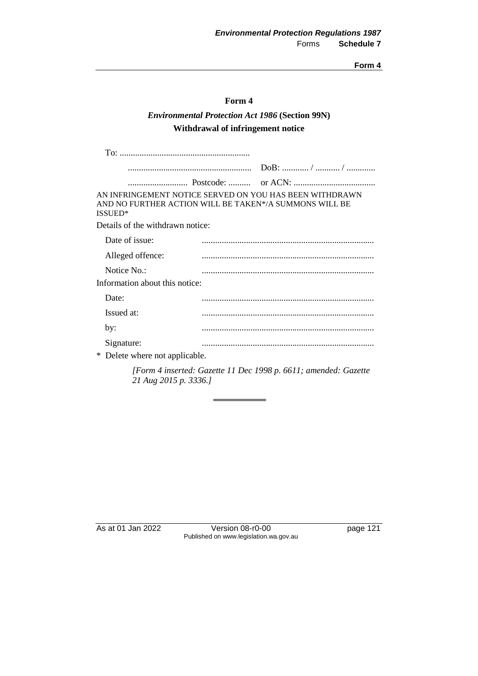#### **Form 4**

## *Environmental Protection Act 1986* **(Section 99N) Withdrawal of infringement notice**

| AND NO FURTHER ACTION WILL BE TAKEN*/A SUMMONS WILL BE<br><b>ISSUED*</b> | AN INFRINGEMENT NOTICE SERVED ON YOU HAS BEEN WITHDRAWN |
|--------------------------------------------------------------------------|---------------------------------------------------------|
| Details of the withdrawn notice:                                         |                                                         |
| Date of issue:                                                           |                                                         |
| Alleged offence:                                                         |                                                         |
| Notice No.:                                                              |                                                         |
| Information about this notice:                                           |                                                         |
| Date:                                                                    |                                                         |
| Issued at:                                                               |                                                         |
| by:                                                                      |                                                         |
| Signature:                                                               |                                                         |
| ∗<br>Delete where not applicable.                                        |                                                         |
|                                                                          |                                                         |

*[Form 4 inserted: Gazette 11 Dec 1998 p. 6611; amended: Gazette 21 Aug 2015 p. 3336.]*

As at 01 Jan 2022 Version 08-r0-00 page 121 Published on www.legislation.wa.gov.au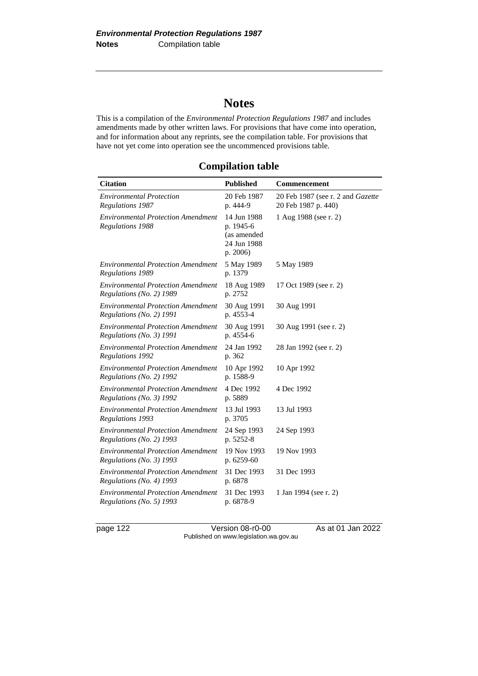# **Notes**

This is a compilation of the *Environmental Protection Regulations 1987* and includes amendments made by other written laws. For provisions that have come into operation, and for information about any reprints, see the compilation table. For provisions that have not yet come into operation see the uncommenced provisions table.

## **Compilation table**

| <b>Citation</b>                                                       | <b>Published</b>                                                   | Commencement                                             |
|-----------------------------------------------------------------------|--------------------------------------------------------------------|----------------------------------------------------------|
| <b>Environmental Protection</b><br>Regulations 1987                   | 20 Feb 1987<br>p. 444-9                                            | 20 Feb 1987 (see r. 2 and Gazette<br>20 Feb 1987 p. 440) |
| <b>Environmental Protection Amendment</b><br><b>Regulations 1988</b>  | 14 Jun 1988<br>p. 1945-6<br>(as amended<br>24 Jun 1988<br>p. 2006) | 1 Aug 1988 (see r. 2)                                    |
| <b>Environmental Protection Amendment</b><br><b>Regulations 1989</b>  | 5 May 1989<br>p. 1379                                              | 5 May 1989                                               |
| <b>Environmental Protection Amendment</b><br>Regulations (No. 2) 1989 | 18 Aug 1989<br>p. 2752                                             | 17 Oct 1989 (see r. 2)                                   |
| <b>Environmental Protection Amendment</b><br>Regulations (No. 2) 1991 | 30 Aug 1991<br>p. 4553-4                                           | 30 Aug 1991                                              |
| <b>Environmental Protection Amendment</b><br>Regulations (No. 3) 1991 | 30 Aug 1991<br>p. 4554-6                                           | 30 Aug 1991 (see r. 2)                                   |
| <b>Environmental Protection Amendment</b><br>Regulations 1992         | 24 Jan 1992<br>p. 362                                              | 28 Jan 1992 (see r. 2)                                   |
| <b>Environmental Protection Amendment</b><br>Regulations (No. 2) 1992 | 10 Apr 1992<br>p. 1588-9                                           | 10 Apr 1992                                              |
| <b>Environmental Protection Amendment</b><br>Regulations (No. 3) 1992 | 4 Dec 1992<br>p. 5889                                              | 4 Dec 1992                                               |
| <b>Environmental Protection Amendment</b><br>Regulations 1993         | 13 Jul 1993<br>p. 3705                                             | 13 Jul 1993                                              |
| <b>Environmental Protection Amendment</b><br>Regulations (No. 2) 1993 | 24 Sep 1993<br>p. 5252-8                                           | 24 Sep 1993                                              |
| <b>Environmental Protection Amendment</b><br>Regulations (No. 3) 1993 | 19 Nov 1993<br>p. 6259-60                                          | 19 Nov 1993                                              |
| <b>Environmental Protection Amendment</b><br>Regulations (No. 4) 1993 | 31 Dec 1993<br>p. 6878                                             | 31 Dec 1993                                              |
| <b>Environmental Protection Amendment</b><br>Regulations (No. 5) 1993 | 31 Dec 1993<br>p. 6878-9                                           | 1 Jan 1994 (see r. 2)                                    |

page 122 Version 08-r0-00 As at 01 Jan 2022 Published on www.legislation.wa.gov.au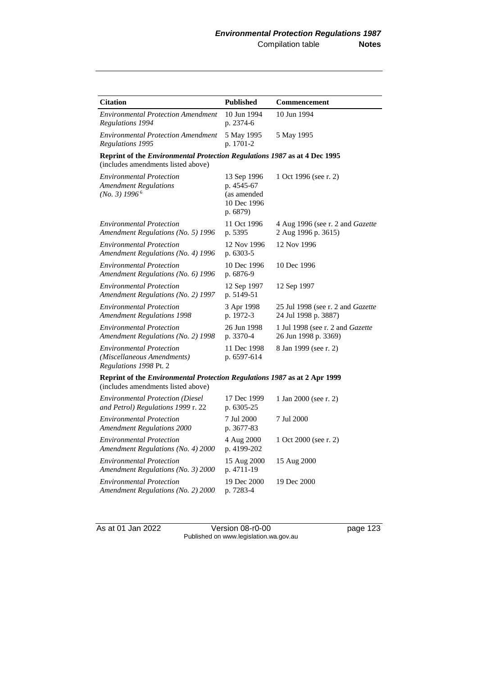| <b>Citation</b>                                                                                                        | <b>Published</b>                                                    | Commencement                                                   |  |  |
|------------------------------------------------------------------------------------------------------------------------|---------------------------------------------------------------------|----------------------------------------------------------------|--|--|
| <b>Environmental Protection Amendment</b><br>Regulations 1994                                                          | 10 Jun 1994<br>p. 2374-6                                            | 10 Jun 1994                                                    |  |  |
| <b>Environmental Protection Amendment</b><br>Regulations 1995                                                          | 5 May 1995<br>p. 1701-2                                             | 5 May 1995                                                     |  |  |
| Reprint of the <i>Environmental Protection Regulations 1987</i> as at 4 Dec 1995<br>(includes amendments listed above) |                                                                     |                                                                |  |  |
| <b>Environmental Protection</b><br><b>Amendment Regulations</b><br>$(No. 3)$ 1996 <sup>6</sup>                         | 13 Sep 1996<br>p. 4545-67<br>(as amended<br>10 Dec 1996<br>p. 6879) | 1 Oct 1996 (see r. 2)                                          |  |  |
| <b>Environmental Protection</b><br>Amendment Regulations (No. 5) 1996                                                  | 11 Oct 1996<br>p. 5395                                              | 4 Aug 1996 (see r. 2 and <i>Gazette</i><br>2 Aug 1996 p. 3615) |  |  |
| <b>Environmental Protection</b><br>Amendment Regulations (No. 4) 1996                                                  | 12 Nov 1996<br>p. 6303-5                                            | 12 Nov 1996                                                    |  |  |
| <b>Environmental Protection</b><br>Amendment Regulations (No. 6) 1996                                                  | 10 Dec 1996<br>p. 6876-9                                            | 10 Dec 1996                                                    |  |  |
| <b>Environmental Protection</b><br>Amendment Regulations (No. 2) 1997                                                  | 12 Sep 1997<br>p. 5149-51                                           | 12 Sep 1997                                                    |  |  |
| <b>Environmental Protection</b><br><b>Amendment Regulations 1998</b>                                                   | 3 Apr 1998<br>p. 1972-3                                             | 25 Jul 1998 (see r. 2 and Gazette<br>24 Jul 1998 p. 3887)      |  |  |
| <b>Environmental Protection</b><br>Amendment Regulations (No. 2) 1998                                                  | 26 Jun 1998<br>p. 3370-4                                            | 1 Jul 1998 (see r. 2 and Gazette<br>26 Jun 1998 p. 3369)       |  |  |
| <b>Environmental Protection</b><br>(Miscellaneous Amendments)<br>Regulations 1998 Pt. 2                                | 11 Dec 1998<br>p. 6597-614                                          | 8 Jan 1999 (see r. 2)                                          |  |  |
| Reprint of the <i>Environmental Protection Regulations 1987</i> as at 2 Apr 1999<br>(includes amendments listed above) |                                                                     |                                                                |  |  |
| <b>Environmental Protection (Diesel</b><br>and Petrol) Regulations 1999 r. 22                                          | 17 Dec 1999<br>p. 6305-25                                           | 1 Jan 2000 (see r. 2)                                          |  |  |
| <b>Environmental Protection</b><br><b>Amendment Regulations 2000</b>                                                   | 7 Jul 2000<br>p. 3677-83                                            | 7 Jul 2000                                                     |  |  |
| <b>Environmental Protection</b><br>Amendment Regulations (No. 4) 2000                                                  | 4 Aug 2000<br>p. 4199-202                                           | 1 Oct 2000 (see r. 2)                                          |  |  |
| <b>Environmental Protection</b><br>Amendment Regulations (No. 3) 2000                                                  | 15 Aug 2000<br>p. 4711-19                                           | 15 Aug 2000                                                    |  |  |
| <b>Environmental Protection</b><br>Amendment Regulations (No. 2) 2000                                                  | 19 Dec 2000<br>p. 7283-4                                            | 19 Dec 2000                                                    |  |  |

As at 01 Jan 2022 Version 08-r0-00 page 123 Published on www.legislation.wa.gov.au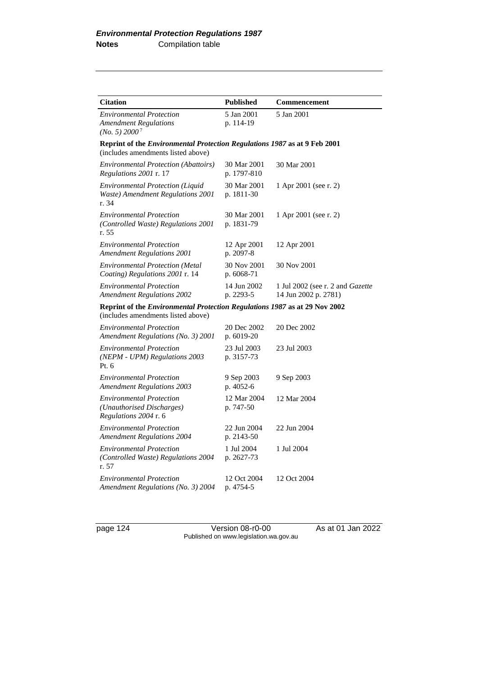| <b>Citation</b>                                                                                                  | <b>Published</b>           | Commencement                                                    |
|------------------------------------------------------------------------------------------------------------------|----------------------------|-----------------------------------------------------------------|
| <b>Environmental Protection</b><br><b>Amendment Regulations</b><br>(No. 5) 2000 <sup>7</sup>                     | 5 Jan 2001<br>p. 114-19    | 5 Jan 2001                                                      |
| Reprint of the Environmental Protection Regulations 1987 as at 9 Feb 2001<br>(includes amendments listed above)  |                            |                                                                 |
| <i>Environmental Protection (Abattoirs)</i><br>Regulations 2001 r. 17                                            | 30 Mar 2001<br>p. 1797-810 | 30 Mar 2001                                                     |
| Environmental Protection (Liquid<br>Waste) Amendment Regulations 2001<br>r. 34                                   | 30 Mar 2001<br>p. 1811-30  | 1 Apr 2001 (see r. 2)                                           |
| <b>Environmental Protection</b><br>(Controlled Waste) Regulations 2001<br>r. 55                                  | 30 Mar 2001<br>p. 1831-79  | 1 Apr 2001 (see r. 2)                                           |
| <b>Environmental Protection</b><br><b>Amendment Regulations 2001</b>                                             | 12 Apr 2001<br>p. 2097-8   | 12 Apr 2001                                                     |
| <b>Environmental Protection (Metal</b><br>Coating) Regulations 2001 r. 14                                        | 30 Nov 2001<br>p. 6068-71  | 30 Nov 2001                                                     |
| <b>Environmental Protection</b><br><b>Amendment Regulations 2002</b>                                             | 14 Jun 2002<br>p. 2293-5   | 1 Jul 2002 (see r. 2 and <i>Gazette</i><br>14 Jun 2002 p. 2781) |
| Reprint of the Environmental Protection Regulations 1987 as at 29 Nov 2002<br>(includes amendments listed above) |                            |                                                                 |
| <b>Environmental Protection</b><br>Amendment Regulations (No. 3) 2001                                            | 20 Dec 2002<br>p. 6019-20  | 20 Dec 2002                                                     |
| <b>Environmental Protection</b><br>(NEPM - UPM) Regulations 2003<br>Pt. 6                                        | 23 Jul 2003<br>p. 3157-73  | 23 Jul 2003                                                     |
| <b>Environmental Protection</b><br><b>Amendment Regulations 2003</b>                                             | 9 Sep 2003<br>p. 4052-6    | 9 Sep 2003                                                      |
| <b>Environmental Protection</b><br>(Unauthorised Discharges)<br>Regulations 2004 r. 6                            | 12 Mar 2004<br>p. 747-50   | 12 Mar 2004                                                     |
| <b>Environmental Protection</b><br><b>Amendment Regulations 2004</b>                                             | 22 Jun 2004<br>p. 2143-50  | 22 Jun 2004                                                     |
| <b>Environmental Protection</b><br>(Controlled Waste) Regulations 2004<br>r. 57                                  | 1 Jul 2004<br>p. 2627-73   | 1 Jul 2004                                                      |
| <b>Environmental Protection</b><br>Amendment Regulations (No. 3) 2004                                            | 12 Oct 2004<br>p. 4754-5   | 12 Oct 2004                                                     |

page 124 Version 08-r0-00 As at 01 Jan 2022 Published on www.legislation.wa.gov.au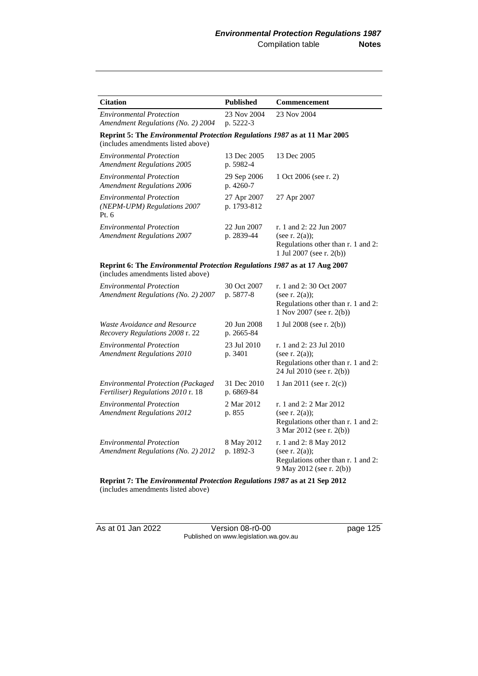| <b>Citation</b>                                                                                                  | <b>Published</b>           | Commencement                                                                                                    |  |  |
|------------------------------------------------------------------------------------------------------------------|----------------------------|-----------------------------------------------------------------------------------------------------------------|--|--|
| <b>Environmental Protection</b><br>Amendment Regulations (No. 2) 2004                                            | 23 Nov 2004<br>p. 5222-3   | 23 Nov 2004                                                                                                     |  |  |
| Reprint 5: The Environmental Protection Regulations 1987 as at 11 Mar 2005<br>(includes amendments listed above) |                            |                                                                                                                 |  |  |
| <b>Environmental Protection</b><br><b>Amendment Regulations 2005</b>                                             | 13 Dec 2005<br>p. 5982-4   | 13 Dec 2005                                                                                                     |  |  |
| <b>Environmental Protection</b><br><b>Amendment Regulations 2006</b>                                             | 29 Sep 2006<br>p. 4260-7   | 1 Oct 2006 (see r. 2)                                                                                           |  |  |
| <b>Environmental Protection</b><br>(NEPM-UPM) Regulations 2007<br>Pt. 6                                          | 27 Apr 2007<br>p. 1793-812 | 27 Apr 2007                                                                                                     |  |  |
| <b>Environmental Protection</b><br><b>Amendment Regulations 2007</b>                                             | 22 Jun 2007<br>p. 2839-44  | r. 1 and 2: 22 Jun 2007<br>(see r. $2(a)$ );<br>Regulations other than r. 1 and 2:<br>1 Jul 2007 (see r. 2(b))  |  |  |
| Reprint 6: The Environmental Protection Regulations 1987 as at 17 Aug 2007<br>(includes amendments listed above) |                            |                                                                                                                 |  |  |
| <b>Environmental Protection</b><br>Amendment Regulations (No. 2) 2007                                            | 30 Oct 2007<br>p. 5877-8   | r. 1 and 2:30 Oct 2007<br>(see r. $2(a)$ );<br>Regulations other than r. 1 and 2:<br>1 Nov 2007 (see r. 2(b))   |  |  |
| Waste Avoidance and Resource<br>Recovery Regulations 2008 r. 22                                                  | 20 Jun 2008<br>p. 2665-84  | 1 Jul 2008 (see r. 2(b))                                                                                        |  |  |
| <b>Environmental Protection</b><br><b>Amendment Regulations 2010</b>                                             | 23 Jul 2010<br>p. 3401     | r. 1 and 2: 23 Jul 2010<br>(see r. $2(a)$ );<br>Regulations other than r. 1 and 2:<br>24 Jul 2010 (see r. 2(b)) |  |  |
| <b>Environmental Protection (Packaged</b><br>Fertiliser) Regulations 2010 r. 18                                  | 31 Dec 2010<br>p. 6869-84  | 1 Jan 2011 (see r. $2(c)$ )                                                                                     |  |  |
| <b>Environmental Protection</b><br><b>Amendment Regulations 2012</b>                                             | 2 Mar 2012<br>p. 855       | r. 1 and 2: 2 Mar 2012<br>(see r. $2(a)$ );<br>Regulations other than r. 1 and 2:<br>3 Mar 2012 (see r. 2(b))   |  |  |
| <b>Environmental Protection</b><br><b>Amendment Regulations (No. 2) 2012</b>                                     | 8 May 2012<br>p. 1892-3    | r. 1 and 2: 8 May 2012<br>(see r. $2(a)$ );<br>Regulations other than r. 1 and 2:<br>9 May 2012 (see r. 2(b))   |  |  |

**Reprint 7: The** *Environmental Protection Regulations 1987* **as at 21 Sep 2012** (includes amendments listed above)

As at 01 Jan 2022 Version 08-r0-00 page 125 Published on www.legislation.wa.gov.au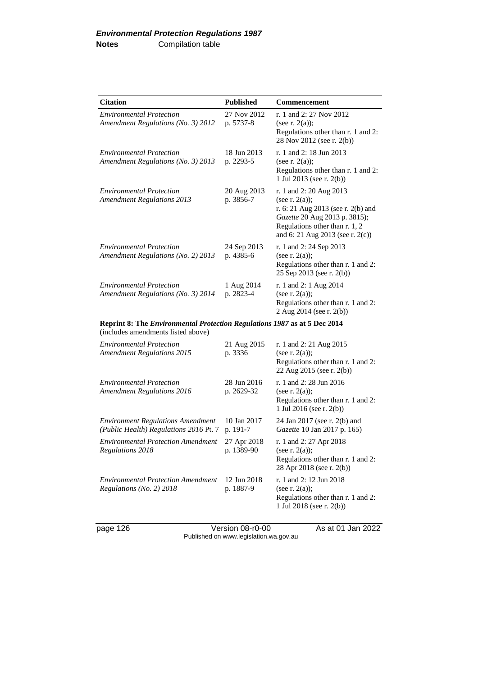| <b>Citation</b>                                                                                                 | <b>Published</b>          | Commencement                                                                                                                                                                              |
|-----------------------------------------------------------------------------------------------------------------|---------------------------|-------------------------------------------------------------------------------------------------------------------------------------------------------------------------------------------|
| <b>Environmental Protection</b><br>Amendment Regulations (No. 3) 2012                                           | 27 Nov 2012<br>p. 5737-8  | r. 1 and 2: 27 Nov 2012<br>(see r. $2(a)$ );<br>Regulations other than r. 1 and 2:<br>28 Nov 2012 (see r. 2(b))                                                                           |
| <b>Environmental Protection</b><br>Amendment Regulations (No. 3) 2013                                           | 18 Jun 2013<br>p. 2293-5  | r. 1 and 2: 18 Jun 2013<br>(see r. $2(a)$ );<br>Regulations other than r. 1 and 2:<br>1 Jul 2013 (see r. 2(b))                                                                            |
| <b>Environmental Protection</b><br><b>Amendment Regulations 2013</b>                                            | 20 Aug 2013<br>p. 3856-7  | r. 1 and 2: 20 Aug 2013<br>(see $r. 2(a)$ );<br>r. 6: 21 Aug 2013 (see r. 2(b) and<br>Gazette 20 Aug 2013 p. 3815);<br>Regulations other than r. 1, 2<br>and 6: 21 Aug 2013 (see r. 2(c)) |
| <b>Environmental Protection</b><br>Amendment Regulations (No. 2) 2013                                           | 24 Sep 2013<br>p. 4385-6  | r. 1 and 2: 24 Sep 2013<br>(see r. $2(a)$ );<br>Regulations other than r. 1 and 2:<br>25 Sep 2013 (see r. 2(b))                                                                           |
| <b>Environmental Protection</b><br>Amendment Regulations (No. 3) 2014                                           | 1 Aug 2014<br>p. 2823-4   | r. 1 and 2: 1 Aug 2014<br>(see r. $2(a)$ );<br>Regulations other than r. 1 and 2:<br>2 Aug 2014 (see r. 2(b))                                                                             |
| Reprint 8: The Environmental Protection Regulations 1987 as at 5 Dec 2014<br>(includes amendments listed above) |                           |                                                                                                                                                                                           |
| <b>Environmental Protection</b><br><b>Amendment Regulations 2015</b>                                            | 21 Aug 2015<br>p. 3336    | r. 1 and 2: 21 Aug 2015<br>(see r. $2(a)$ );<br>Regulations other than r. 1 and 2:<br>22 Aug 2015 (see r. 2(b))                                                                           |
| <b>Environmental Protection</b><br><b>Amendment Regulations 2016</b>                                            | 28 Jun 2016<br>p. 2629-32 | r. 1 and 2: 28 Jun 2016<br>(see r. $2(a)$ );<br>Regulations other than r. 1 and 2:<br>1 Jul 2016 (see r. 2(b))                                                                            |
| <b>Environment Regulations Amendment</b><br>(Public Health) Regulations 2016 Pt. 7                              | 10 Jan 2017<br>p. 191-7   | 24 Jan 2017 (see r. 2(b) and<br>Gazette 10 Jan 2017 p. 165)                                                                                                                               |
| <b>Environmental Protection Amendment</b><br>Regulations 2018                                                   | 27 Apr 2018<br>p. 1389-90 | r. 1 and 2: 27 Apr 2018<br>(see $r. 2(a)$ );<br>Regulations other than r. 1 and 2:<br>28 Apr 2018 (see r. 2(b))                                                                           |
| <b>Environmental Protection Amendment</b><br>Regulations (No. 2) 2018                                           | 12 Jun 2018<br>p. 1887-9  | r. 1 and 2: 12 Jun 2018<br>(see r. $2(a)$ );<br>Regulations other than r. 1 and 2:<br>1 Jul 2018 (see r. 2(b))                                                                            |

page 126 Version 08-r0-00 As at 01 Jan 2022 Published on www.legislation.wa.gov.au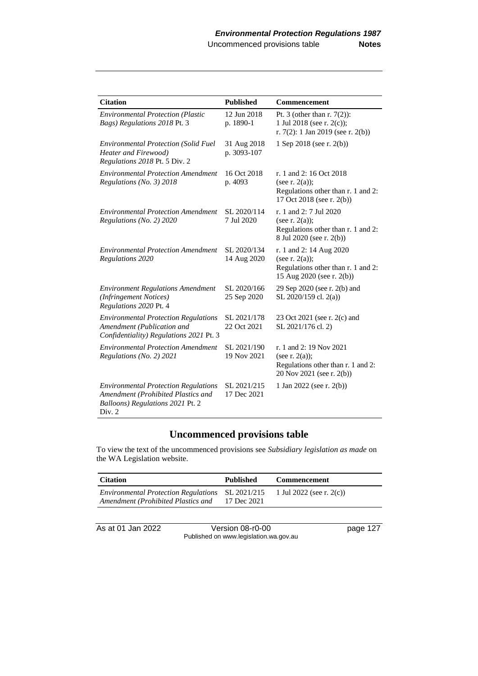| <b>Citation</b>                                                                                                                 | <b>Published</b>           | <b>Commencement</b>                                                                                             |
|---------------------------------------------------------------------------------------------------------------------------------|----------------------------|-----------------------------------------------------------------------------------------------------------------|
| <b>Environmental Protection (Plastic</b><br>Bags) Regulations 2018 Pt. 3                                                        | 12 Jun 2018<br>p. 1890-1   | Pt. 3 (other than $r. 7(2)$ ):<br>1 Jul 2018 (see r. 2(c));<br>r. 7(2): 1 Jan 2019 (see r. 2(b))                |
| <b>Environmental Protection (Solid Fuel</b><br>Heater and Firewood)<br>Regulations 2018 Pt. 5 Div. 2                            | 31 Aug 2018<br>p. 3093-107 | 1 Sep 2018 (see r. 2(b))                                                                                        |
| <b>Environmental Protection Amendment</b><br>Regulations (No. 3) 2018                                                           | 16 Oct 2018<br>p. 4093     | r. 1 and 2: 16 Oct 2018<br>(see r. $2(a)$ );<br>Regulations other than r. 1 and 2:<br>17 Oct 2018 (see r. 2(b)) |
| <b>Environmental Protection Amendment</b><br>Regulations (No. 2) 2020                                                           | SL 2020/114<br>7 Jul 2020  | r. 1 and 2: 7 Jul 2020<br>(see r. $2(a)$ );<br>Regulations other than r. 1 and 2:<br>8 Jul 2020 (see r. 2(b))   |
| <b>Environmental Protection Amendment</b><br>Regulations 2020                                                                   | SL 2020/134<br>14 Aug 2020 | r. 1 and 2: 14 Aug 2020<br>(see r. $2(a)$ );<br>Regulations other than r. 1 and 2:<br>15 Aug 2020 (see r. 2(b)) |
| <b>Environment Regulations Amendment</b><br>(Infringement Notices)<br>Regulations 2020 Pt. 4                                    | SL 2020/166<br>25 Sep 2020 | 29 Sep 2020 (see r. 2(b) and<br>SL 2020/159 cl. 2(a))                                                           |
| <b>Environmental Protection Regulations</b><br>Amendment (Publication and<br>Confidentiality) Regulations 2021 Pt. 3            | SL 2021/178<br>22 Oct 2021 | 23 Oct 2021 (see r. 2(c) and<br>SL 2021/176 cl. 2)                                                              |
| <b>Environmental Protection Amendment</b><br>Regulations (No. 2) 2021                                                           | SL 2021/190<br>19 Nov 2021 | r. 1 and 2: 19 Nov 2021<br>(see r. $2(a)$ );<br>Regulations other than r. 1 and 2:<br>20 Nov 2021 (see r. 2(b)) |
| <b>Environmental Protection Regulations</b><br>Amendment (Prohibited Plastics and<br>Balloons) Regulations 2021 Pt. 2<br>Div. 2 | SL 2021/215<br>17 Dec 2021 | 1 Jan 2022 (see r. 2(b))                                                                                        |

## **Uncommenced provisions table**

To view the text of the uncommenced provisions see *Subsidiary legislation as made* on the WA Legislation website.

| <b>Citation</b>                                                                                                        | Published   | <b>Commencement</b> |  |
|------------------------------------------------------------------------------------------------------------------------|-------------|---------------------|--|
| <i>Environmental Protection Regulations</i> SL 2021/215 1 Jul 2022 (see r. 2(c))<br>Amendment (Prohibited Plastics and | 17 Dec 2021 |                     |  |
|                                                                                                                        |             |                     |  |

As at 01 Jan 2022 <br>Version 08-r0-00 page 127 Published on www.legislation.wa.gov.au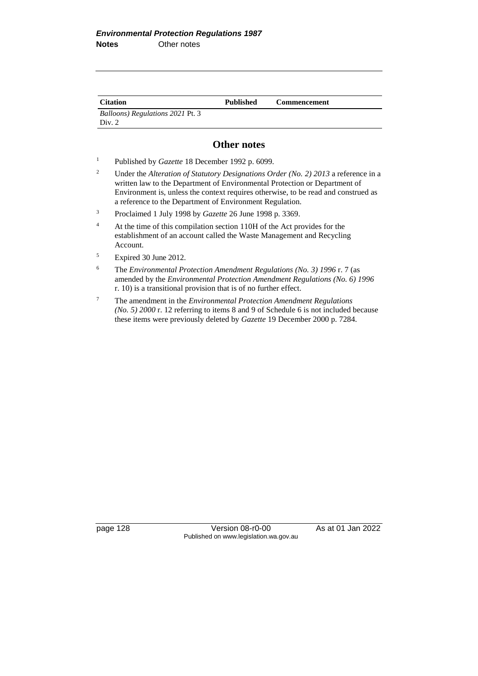| <b>Citation</b>                                           | <b>Published</b> | <b>Commencement</b> |
|-----------------------------------------------------------|------------------|---------------------|
| <i>Balloons</i> ) <i>Regulations</i> 2021 Pt. 3<br>Div. 2 |                  |                     |

### **Other notes**

- <sup>1</sup> Published by *Gazette* 18 December 1992 p. 6099.
- <sup>2</sup> Under the *Alteration of Statutory Designations Order (No. 2) 2013* a reference in a written law to the Department of Environmental Protection or Department of Environment is, unless the context requires otherwise, to be read and construed as a reference to the Department of Environment Regulation.
- <sup>3</sup> Proclaimed 1 July 1998 by *Gazette* 26 June 1998 p. 3369.
- <sup>4</sup> At the time of this compilation section 110H of the Act provides for the establishment of an account called the Waste Management and Recycling Account.
- <sup>5</sup> Expired 30 June 2012.
- <sup>6</sup> The *Environmental Protection Amendment Regulations (No. 3) 1996* r. 7 (as amended by the *Environmental Protection Amendment Regulations (No. 6) 1996* r. 10) is a transitional provision that is of no further effect.
- <sup>7</sup> The amendment in the *Environmental Protection Amendment Regulations (No. 5) 2000* r. 12 referring to items 8 and 9 of Schedule 6 is not included because these items were previously deleted by *Gazette* 19 December 2000 p. 7284.

page 128 Version 08-r0-00 As at 01 Jan 2022 Published on www.legislation.wa.gov.au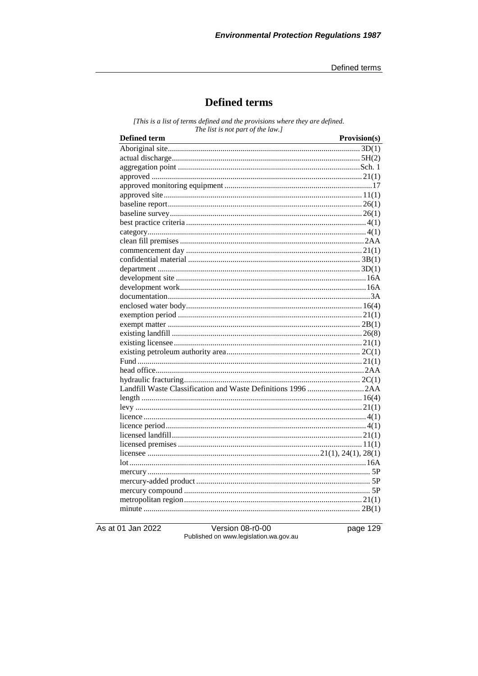# **Defined terms**

[This is a list of terms defined and the provisions where they are defined. The list is not part of the law.]

| <b>Defined term</b>                                          | Provision(s) |
|--------------------------------------------------------------|--------------|
|                                                              |              |
|                                                              |              |
|                                                              |              |
|                                                              |              |
|                                                              |              |
|                                                              |              |
|                                                              |              |
|                                                              |              |
|                                                              |              |
|                                                              |              |
|                                                              |              |
|                                                              |              |
|                                                              |              |
|                                                              |              |
|                                                              |              |
|                                                              |              |
|                                                              |              |
|                                                              |              |
|                                                              |              |
|                                                              |              |
|                                                              |              |
|                                                              |              |
|                                                              |              |
|                                                              |              |
|                                                              |              |
|                                                              |              |
| Landfill Waste Classification and Waste Definitions 1996 2AA |              |
|                                                              |              |
|                                                              |              |
|                                                              |              |
|                                                              |              |
|                                                              |              |
|                                                              |              |
|                                                              |              |
|                                                              |              |
|                                                              |              |
|                                                              |              |
|                                                              |              |
|                                                              |              |
|                                                              |              |

As at 01 Jan 2022

Version 08-r0-00<br>Published on www.legislation.wa.gov.au

page 129